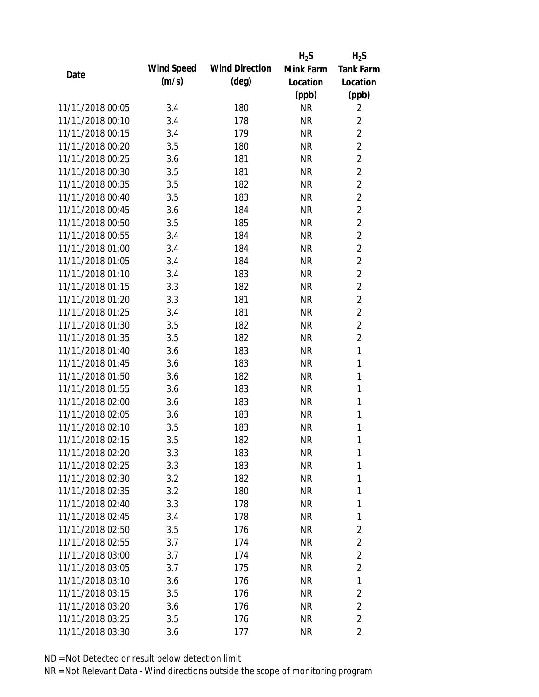|                  |            |                       | $H_2S$    | $H_2S$           |
|------------------|------------|-----------------------|-----------|------------------|
| Date             | Wind Speed | <b>Wind Direction</b> | Mink Farm | <b>Tank Farm</b> |
|                  | (m/s)      | $(\text{deg})$        | Location  | Location         |
|                  |            |                       | (ppb)     | (ppb)            |
| 11/11/2018 00:05 | 3.4        | 180                   | <b>NR</b> | 2                |
| 11/11/2018 00:10 | 3.4        | 178                   | <b>NR</b> | 2                |
| 11/11/2018 00:15 | 3.4        | 179                   | <b>NR</b> | $\overline{2}$   |
| 11/11/2018 00:20 | 3.5        | 180                   | <b>NR</b> | $\overline{2}$   |
| 11/11/2018 00:25 | 3.6        | 181                   | <b>NR</b> | $\overline{2}$   |
| 11/11/2018 00:30 | 3.5        | 181                   | <b>NR</b> | $\overline{2}$   |
| 11/11/2018 00:35 | 3.5        | 182                   | <b>NR</b> | $\overline{2}$   |
| 11/11/2018 00:40 | 3.5        | 183                   | <b>NR</b> | $\overline{2}$   |
| 11/11/2018 00:45 | 3.6        | 184                   | <b>NR</b> | $\overline{2}$   |
| 11/11/2018 00:50 | 3.5        | 185                   | <b>NR</b> | $\overline{2}$   |
| 11/11/2018 00:55 | 3.4        | 184                   | <b>NR</b> | $\overline{2}$   |
| 11/11/2018 01:00 | 3.4        | 184                   | <b>NR</b> | $\overline{2}$   |
| 11/11/2018 01:05 | 3.4        | 184                   | <b>NR</b> | $\overline{2}$   |
| 11/11/2018 01:10 | 3.4        | 183                   | <b>NR</b> | $\overline{2}$   |
| 11/11/2018 01:15 | 3.3        | 182                   | <b>NR</b> | $\overline{2}$   |
| 11/11/2018 01:20 | 3.3        | 181                   | <b>NR</b> | $\overline{2}$   |
| 11/11/2018 01:25 | 3.4        | 181                   | <b>NR</b> | $\overline{2}$   |
| 11/11/2018 01:30 | 3.5        | 182                   | <b>NR</b> | $\overline{2}$   |
| 11/11/2018 01:35 | 3.5        | 182                   | <b>NR</b> | $\overline{2}$   |
| 11/11/2018 01:40 | 3.6        | 183                   | <b>NR</b> | $\mathbf{1}$     |
| 11/11/2018 01:45 | 3.6        | 183                   | <b>NR</b> | $\mathbf{1}$     |
| 11/11/2018 01:50 | 3.6        | 182                   | <b>NR</b> | $\mathbf{1}$     |
| 11/11/2018 01:55 | 3.6        | 183                   | <b>NR</b> | $\mathbf{1}$     |
| 11/11/2018 02:00 | 3.6        | 183                   | <b>NR</b> | 1                |
| 11/11/2018 02:05 | 3.6        | 183                   | <b>NR</b> | $\mathbf{1}$     |
| 11/11/2018 02:10 | 3.5        | 183                   | <b>NR</b> | 1                |
| 11/11/2018 02:15 | 3.5        | 182                   | <b>NR</b> | 1                |
| 11/11/2018 02:20 | 3.3        | 183                   | <b>NR</b> | 1                |
| 11/11/2018 02:25 | 3.3        | 183                   | <b>NR</b> | 1                |
| 11/11/2018 02:30 | 3.2        | 182                   | <b>NR</b> | 1                |
| 11/11/2018 02:35 | 3.2        | 180                   | <b>NR</b> | 1                |
| 11/11/2018 02:40 | 3.3        | 178                   | <b>NR</b> | $\mathbf{1}$     |
| 11/11/2018 02:45 | 3.4        | 178                   | <b>NR</b> | 1                |
| 11/11/2018 02:50 | 3.5        | 176                   | <b>NR</b> | $\overline{2}$   |
| 11/11/2018 02:55 | 3.7        | 174                   | <b>NR</b> | 2                |
| 11/11/2018 03:00 | 3.7        | 174                   | <b>NR</b> | $\overline{2}$   |
| 11/11/2018 03:05 | 3.7        | 175                   | <b>NR</b> | $\overline{2}$   |
| 11/11/2018 03:10 | 3.6        | 176                   | NR        | 1                |
| 11/11/2018 03:15 | 3.5        | 176                   | <b>NR</b> | 2                |
| 11/11/2018 03:20 | 3.6        | 176                   | <b>NR</b> | $\overline{2}$   |
| 11/11/2018 03:25 | 3.5        | 176                   | <b>NR</b> | $\overline{2}$   |
| 11/11/2018 03:30 | 3.6        | 177                   | <b>NR</b> | 2                |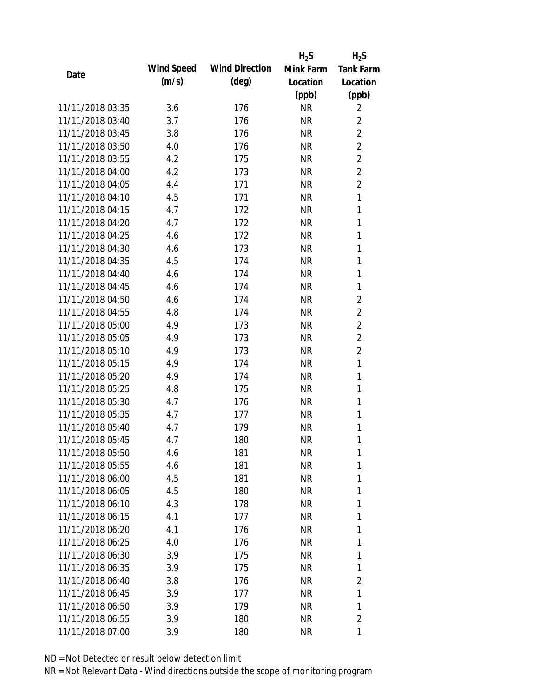|                  |            |                       | $H_2S$    | $H_2S$           |
|------------------|------------|-----------------------|-----------|------------------|
| Date             | Wind Speed | <b>Wind Direction</b> | Mink Farm | <b>Tank Farm</b> |
|                  | (m/s)      | $(\text{deg})$        | Location  | Location         |
|                  |            |                       | (ppb)     | (ppb)            |
| 11/11/2018 03:35 | 3.6        | 176                   | <b>NR</b> | 2                |
| 11/11/2018 03:40 | 3.7        | 176                   | <b>NR</b> | $\overline{2}$   |
| 11/11/2018 03:45 | 3.8        | 176                   | <b>NR</b> | $\overline{2}$   |
| 11/11/2018 03:50 | 4.0        | 176                   | <b>NR</b> | $\overline{2}$   |
| 11/11/2018 03:55 | 4.2        | 175                   | <b>NR</b> | $\overline{2}$   |
| 11/11/2018 04:00 | 4.2        | 173                   | <b>NR</b> | $\overline{2}$   |
| 11/11/2018 04:05 | 4.4        | 171                   | <b>NR</b> | $\overline{2}$   |
| 11/11/2018 04:10 | 4.5        | 171                   | <b>NR</b> | $\mathbf{1}$     |
| 11/11/2018 04:15 | 4.7        | 172                   | <b>NR</b> | $\mathbf{1}$     |
| 11/11/2018 04:20 | 4.7        | 172                   | <b>NR</b> | $\mathbf{1}$     |
| 11/11/2018 04:25 | 4.6        | 172                   | <b>NR</b> | $\mathbf{1}$     |
| 11/11/2018 04:30 | 4.6        | 173                   | <b>NR</b> | 1                |
| 11/11/2018 04:35 | 4.5        | 174                   | <b>NR</b> | $\mathbf{1}$     |
| 11/11/2018 04:40 | 4.6        | 174                   | <b>NR</b> | 1                |
| 11/11/2018 04:45 | 4.6        | 174                   | <b>NR</b> | 1                |
| 11/11/2018 04:50 | 4.6        | 174                   | <b>NR</b> | 2                |
| 11/11/2018 04:55 | 4.8        | 174                   | <b>NR</b> | $\overline{2}$   |
| 11/11/2018 05:00 | 4.9        | 173                   | <b>NR</b> | $\overline{2}$   |
| 11/11/2018 05:05 | 4.9        | 173                   | <b>NR</b> | $\overline{2}$   |
| 11/11/2018 05:10 | 4.9        | 173                   | <b>NR</b> | $\overline{2}$   |
| 11/11/2018 05:15 | 4.9        | 174                   | <b>NR</b> | $\mathbf{1}$     |
| 11/11/2018 05:20 | 4.9        | 174                   | <b>NR</b> | $\mathbf{1}$     |
| 11/11/2018 05:25 | 4.8        | 175                   | <b>NR</b> | $\mathbf{1}$     |
| 11/11/2018 05:30 | 4.7        | 176                   | <b>NR</b> | 1                |
| 11/11/2018 05:35 | 4.7        | 177                   | <b>NR</b> | $\mathbf{1}$     |
| 11/11/2018 05:40 | 4.7        | 179                   | <b>NR</b> | 1                |
| 11/11/2018 05:45 | 4.7        | 180                   | <b>NR</b> | 1                |
| 11/11/2018 05:50 | 4.6        | 181                   | <b>NR</b> | 1                |
| 11/11/2018 05:55 | 4.6        | 181                   | <b>NR</b> | 1                |
| 11/11/2018 06:00 | 4.5        | 181                   | <b>NR</b> | 1                |
| 11/11/2018 06:05 | 4.5        | 180                   | <b>NR</b> | 1                |
| 11/11/2018 06:10 | 4.3        | 178                   | <b>NR</b> | 1                |
| 11/11/2018 06:15 | 4.1        | 177                   | <b>NR</b> | 1                |
| 11/11/2018 06:20 | 4.1        | 176                   | <b>NR</b> | 1                |
| 11/11/2018 06:25 | 4.0        | 176                   | <b>NR</b> | 1                |
| 11/11/2018 06:30 | 3.9        | 175                   | <b>NR</b> | 1                |
| 11/11/2018 06:35 | 3.9        | 175                   | <b>NR</b> | 1                |
| 11/11/2018 06:40 | 3.8        | 176                   | <b>NR</b> | $\overline{2}$   |
| 11/11/2018 06:45 | 3.9        | 177                   | <b>NR</b> | 1                |
| 11/11/2018 06:50 | 3.9        | 179                   | <b>NR</b> | 1                |
| 11/11/2018 06:55 | 3.9        | 180                   | <b>NR</b> | 2                |
| 11/11/2018 07:00 | 3.9        | 180                   | <b>NR</b> | 1                |
|                  |            |                       |           |                  |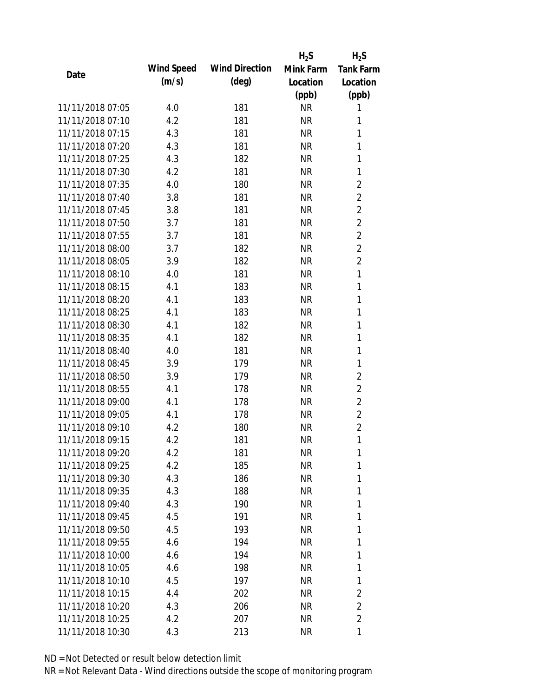|                  |            |                       | $H_2S$    | $H_2S$           |
|------------------|------------|-----------------------|-----------|------------------|
| Date             | Wind Speed | <b>Wind Direction</b> | Mink Farm | <b>Tank Farm</b> |
|                  | (m/s)      | $(\text{deg})$        | Location  | Location         |
|                  |            |                       | (ppb)     | (ppb)            |
| 11/11/2018 07:05 | 4.0        | 181                   | <b>NR</b> | 1                |
| 11/11/2018 07:10 | 4.2        | 181                   | <b>NR</b> | 1                |
| 11/11/2018 07:15 | 4.3        | 181                   | <b>NR</b> | 1                |
| 11/11/2018 07:20 | 4.3        | 181                   | <b>NR</b> | 1                |
| 11/11/2018 07:25 | 4.3        | 182                   | <b>NR</b> | 1                |
| 11/11/2018 07:30 | 4.2        | 181                   | <b>NR</b> | 1                |
| 11/11/2018 07:35 | 4.0        | 180                   | <b>NR</b> | $\overline{2}$   |
| 11/11/2018 07:40 | 3.8        | 181                   | <b>NR</b> | $\overline{2}$   |
| 11/11/2018 07:45 | 3.8        | 181                   | <b>NR</b> | $\overline{2}$   |
| 11/11/2018 07:50 | 3.7        | 181                   | <b>NR</b> | $\overline{2}$   |
| 11/11/2018 07:55 | 3.7        | 181                   | <b>NR</b> | $\overline{2}$   |
| 11/11/2018 08:00 | 3.7        | 182                   | <b>NR</b> | $\overline{2}$   |
| 11/11/2018 08:05 | 3.9        | 182                   | <b>NR</b> | $\overline{2}$   |
| 11/11/2018 08:10 | 4.0        | 181                   | <b>NR</b> | $\mathbf{1}$     |
| 11/11/2018 08:15 | 4.1        | 183                   | <b>NR</b> | 1                |
| 11/11/2018 08:20 | 4.1        | 183                   | <b>NR</b> | 1                |
| 11/11/2018 08:25 | 4.1        | 183                   | <b>NR</b> | 1                |
| 11/11/2018 08:30 | 4.1        | 182                   | <b>NR</b> | 1                |
| 11/11/2018 08:35 | 4.1        | 182                   | <b>NR</b> | $\mathbf{1}$     |
| 11/11/2018 08:40 | 4.0        | 181                   | NR        | 1                |
| 11/11/2018 08:45 | 3.9        | 179                   | <b>NR</b> | 1                |
| 11/11/2018 08:50 | 3.9        | 179                   | <b>NR</b> | $\overline{2}$   |
| 11/11/2018 08:55 | 4.1        | 178                   | <b>NR</b> | $\overline{2}$   |
| 11/11/2018 09:00 | 4.1        | 178                   | <b>NR</b> | $\overline{2}$   |
| 11/11/2018 09:05 | 4.1        | 178                   | <b>NR</b> | $\overline{2}$   |
| 11/11/2018 09:10 | 4.2        | 180                   | <b>NR</b> | $\overline{2}$   |
| 11/11/2018 09:15 | 4.2        | 181                   | <b>NR</b> | $\mathbf{1}$     |
| 11/11/2018 09:20 | 4.2        | 181                   | <b>NR</b> | 1                |
| 11/11/2018 09:25 | 4.2        | 185                   | <b>NR</b> | 1                |
| 11/11/2018 09:30 | 4.3        | 186                   | NR        | 1                |
| 11/11/2018 09:35 | 4.3        | 188                   | NR        | 1                |
| 11/11/2018 09:40 | 4.3        | 190                   | <b>NR</b> | 1                |
| 11/11/2018 09:45 | 4.5        | 191                   | NR        | 1                |
| 11/11/2018 09:50 | 4.5        | 193                   | <b>NR</b> | 1                |
| 11/11/2018 09:55 | 4.6        | 194                   | <b>NR</b> | 1                |
| 11/11/2018 10:00 | 4.6        | 194                   | NR        | 1                |
| 11/11/2018 10:05 | 4.6        | 198                   | NR        | 1                |
| 11/11/2018 10:10 | 4.5        | 197                   | NR        | 1                |
| 11/11/2018 10:15 | 4.4        | 202                   | NR        | 2                |
| 11/11/2018 10:20 | 4.3        | 206                   | <b>NR</b> | 2                |
| 11/11/2018 10:25 | 4.2        | 207                   | <b>NR</b> | $\overline{2}$   |
| 11/11/2018 10:30 | 4.3        | 213                   | <b>NR</b> | 1                |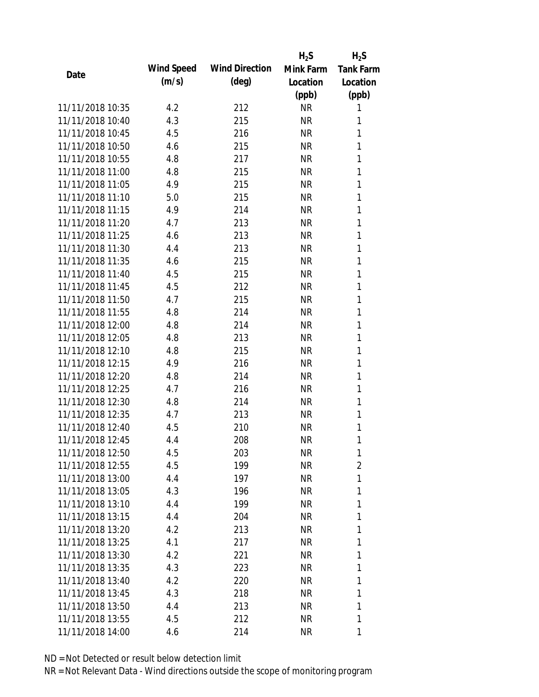|                  |            |                       | $H_2S$    | $H_2S$           |
|------------------|------------|-----------------------|-----------|------------------|
| Date             | Wind Speed | <b>Wind Direction</b> | Mink Farm | <b>Tank Farm</b> |
|                  | (m/s)      | $(\text{deg})$        | Location  | Location         |
|                  |            |                       | (ppb)     | (ppb)            |
| 11/11/2018 10:35 | 4.2        | 212                   | <b>NR</b> | 1                |
| 11/11/2018 10:40 | 4.3        | 215                   | <b>NR</b> | 1                |
| 11/11/2018 10:45 | 4.5        | 216                   | <b>NR</b> | 1                |
| 11/11/2018 10:50 | 4.6        | 215                   | <b>NR</b> | 1                |
| 11/11/2018 10:55 | 4.8        | 217                   | <b>NR</b> | 1                |
| 11/11/2018 11:00 | 4.8        | 215                   | <b>NR</b> | 1                |
| 11/11/2018 11:05 | 4.9        | 215                   | <b>NR</b> | 1                |
| 11/11/2018 11:10 | 5.0        | 215                   | <b>NR</b> | 1                |
| 11/11/2018 11:15 | 4.9        | 214                   | <b>NR</b> | 1                |
| 11/11/2018 11:20 | 4.7        | 213                   | <b>NR</b> | 1                |
| 11/11/2018 11:25 | 4.6        | 213                   | <b>NR</b> | 1                |
| 11/11/2018 11:30 | 4.4        | 213                   | <b>NR</b> | 1                |
| 11/11/2018 11:35 | 4.6        | 215                   | <b>NR</b> | 1                |
| 11/11/2018 11:40 | 4.5        | 215                   | <b>NR</b> | 1                |
| 11/11/2018 11:45 | 4.5        | 212                   | <b>NR</b> | 1                |
| 11/11/2018 11:50 | 4.7        | 215                   | <b>NR</b> | 1                |
| 11/11/2018 11:55 | 4.8        | 214                   | <b>NR</b> | 1                |
| 11/11/2018 12:00 | 4.8        | 214                   | <b>NR</b> | 1                |
| 11/11/2018 12:05 | 4.8        | 213                   | <b>NR</b> | 1                |
| 11/11/2018 12:10 | 4.8        | 215                   | <b>NR</b> | 1                |
| 11/11/2018 12:15 | 4.9        | 216                   | <b>NR</b> | 1                |
| 11/11/2018 12:20 | 4.8        | 214                   | <b>NR</b> | 1                |
| 11/11/2018 12:25 | 4.7        | 216                   | <b>NR</b> | 1                |
| 11/11/2018 12:30 | 4.8        | 214                   | <b>NR</b> | 1                |
| 11/11/2018 12:35 | 4.7        | 213                   | <b>NR</b> | 1                |
| 11/11/2018 12:40 | 4.5        | 210                   | <b>NR</b> | 1                |
| 11/11/2018 12:45 | 4.4        | 208                   | <b>NR</b> | 1                |
| 11/11/2018 12:50 | 4.5        | 203                   | <b>NR</b> | 1                |
| 11/11/2018 12:55 | 4.5        | 199                   | <b>NR</b> | 2                |
| 11/11/2018 13:00 | 4.4        | 197                   | <b>NR</b> | 1                |
| 11/11/2018 13:05 | 4.3        | 196                   | <b>NR</b> | 1                |
| 11/11/2018 13:10 | 4.4        | 199                   | <b>NR</b> | 1                |
| 11/11/2018 13:15 | 4.4        | 204                   | <b>NR</b> | 1                |
| 11/11/2018 13:20 | 4.2        | 213                   | <b>NR</b> | 1                |
| 11/11/2018 13:25 | 4.1        | 217                   | <b>NR</b> | 1                |
| 11/11/2018 13:30 | 4.2        | 221                   | <b>NR</b> | 1                |
| 11/11/2018 13:35 | 4.3        | 223                   | <b>NR</b> | 1                |
| 11/11/2018 13:40 | 4.2        | 220                   | <b>NR</b> | 1                |
| 11/11/2018 13:45 | 4.3        | 218                   | <b>NR</b> | 1                |
| 11/11/2018 13:50 | 4.4        | 213                   | <b>NR</b> | 1                |
| 11/11/2018 13:55 | 4.5        | 212                   | <b>NR</b> | 1                |
| 11/11/2018 14:00 | 4.6        | 214                   | <b>NR</b> | 1                |
|                  |            |                       |           |                  |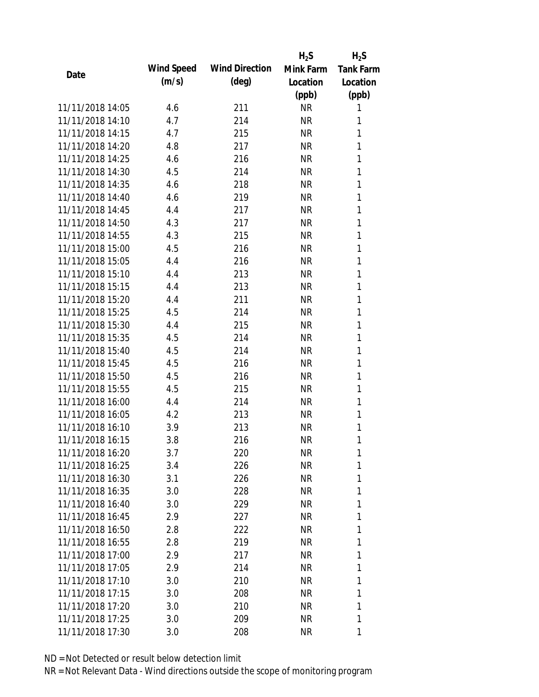|                  |            |                       | $H_2S$    | $H_2S$           |
|------------------|------------|-----------------------|-----------|------------------|
| Date             | Wind Speed | <b>Wind Direction</b> | Mink Farm | <b>Tank Farm</b> |
|                  | (m/s)      | $(\text{deg})$        | Location  | Location         |
|                  |            |                       | (ppb)     | (ppb)            |
| 11/11/2018 14:05 | 4.6        | 211                   | <b>NR</b> | 1                |
| 11/11/2018 14:10 | 4.7        | 214                   | <b>NR</b> | 1                |
| 11/11/2018 14:15 | 4.7        | 215                   | <b>NR</b> | 1                |
| 11/11/2018 14:20 | 4.8        | 217                   | <b>NR</b> | 1                |
| 11/11/2018 14:25 | 4.6        | 216                   | <b>NR</b> | 1                |
| 11/11/2018 14:30 | 4.5        | 214                   | <b>NR</b> | 1                |
| 11/11/2018 14:35 | 4.6        | 218                   | <b>NR</b> | 1                |
| 11/11/2018 14:40 | 4.6        | 219                   | <b>NR</b> | 1                |
| 11/11/2018 14:45 | 4.4        | 217                   | <b>NR</b> | 1                |
| 11/11/2018 14:50 | 4.3        | 217                   | <b>NR</b> | 1                |
| 11/11/2018 14:55 | 4.3        | 215                   | <b>NR</b> | 1                |
| 11/11/2018 15:00 | 4.5        | 216                   | <b>NR</b> | 1                |
| 11/11/2018 15:05 | 4.4        | 216                   | <b>NR</b> | 1                |
| 11/11/2018 15:10 | 4.4        | 213                   | <b>NR</b> | 1                |
| 11/11/2018 15:15 | 4.4        | 213                   | <b>NR</b> | 1                |
| 11/11/2018 15:20 | 4.4        | 211                   | <b>NR</b> | 1                |
| 11/11/2018 15:25 | 4.5        | 214                   | <b>NR</b> | 1                |
| 11/11/2018 15:30 | 4.4        | 215                   | <b>NR</b> | 1                |
| 11/11/2018 15:35 | 4.5        | 214                   | <b>NR</b> | 1                |
| 11/11/2018 15:40 | 4.5        | 214                   | <b>NR</b> | 1                |
| 11/11/2018 15:45 | 4.5        | 216                   | <b>NR</b> | 1                |
| 11/11/2018 15:50 | 4.5        | 216                   | <b>NR</b> | 1                |
| 11/11/2018 15:55 | 4.5        | 215                   | <b>NR</b> | 1                |
| 11/11/2018 16:00 | 4.4        | 214                   | <b>NR</b> | 1                |
| 11/11/2018 16:05 | 4.2        | 213                   | <b>NR</b> | 1                |
| 11/11/2018 16:10 | 3.9        | 213                   | <b>NR</b> | 1                |
| 11/11/2018 16:15 | 3.8        | 216                   | <b>NR</b> | 1                |
| 11/11/2018 16:20 | 3.7        | 220                   | <b>NR</b> | 1                |
| 11/11/2018 16:25 | 3.4        | 226                   | <b>NR</b> | 1                |
| 11/11/2018 16:30 | 3.1        | 226                   | <b>NR</b> | 1                |
| 11/11/2018 16:35 | 3.0        | 228                   | <b>NR</b> | 1                |
| 11/11/2018 16:40 | 3.0        | 229                   | <b>NR</b> | 1                |
| 11/11/2018 16:45 | 2.9        | 227                   | <b>NR</b> | 1                |
| 11/11/2018 16:50 | 2.8        | 222                   | <b>NR</b> | 1                |
| 11/11/2018 16:55 | 2.8        | 219                   | <b>NR</b> | 1                |
| 11/11/2018 17:00 | 2.9        | 217                   | <b>NR</b> | 1                |
| 11/11/2018 17:05 | 2.9        | 214                   | <b>NR</b> | 1                |
| 11/11/2018 17:10 | 3.0        | 210                   | <b>NR</b> | 1                |
| 11/11/2018 17:15 | 3.0        | 208                   | <b>NR</b> | 1                |
| 11/11/2018 17:20 | 3.0        | 210                   | <b>NR</b> | 1                |
| 11/11/2018 17:25 | 3.0        | 209                   | <b>NR</b> | 1                |
| 11/11/2018 17:30 | 3.0        | 208                   | <b>NR</b> | 1                |
|                  |            |                       |           |                  |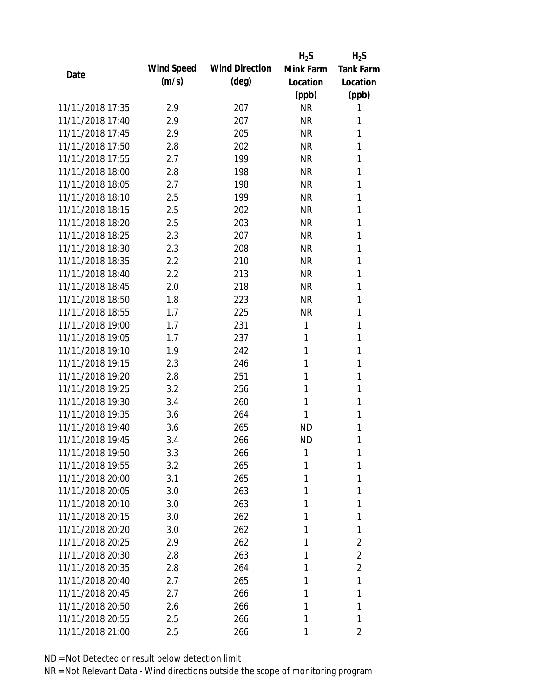|                  |            |                       | $H_2S$    | $H_2S$           |
|------------------|------------|-----------------------|-----------|------------------|
| Date             | Wind Speed | <b>Wind Direction</b> | Mink Farm | <b>Tank Farm</b> |
|                  | (m/s)      | $(\text{deg})$        | Location  | Location         |
|                  |            |                       | (ppb)     | (ppb)            |
| 11/11/2018 17:35 | 2.9        | 207                   | <b>NR</b> | 1                |
| 11/11/2018 17:40 | 2.9        | 207                   | <b>NR</b> | 1                |
| 11/11/2018 17:45 | 2.9        | 205                   | <b>NR</b> | 1                |
| 11/11/2018 17:50 | 2.8        | 202                   | <b>NR</b> | 1                |
| 11/11/2018 17:55 | 2.7        | 199                   | <b>NR</b> | 1                |
| 11/11/2018 18:00 | 2.8        | 198                   | <b>NR</b> | 1                |
| 11/11/2018 18:05 | 2.7        | 198                   | <b>NR</b> | 1                |
| 11/11/2018 18:10 | 2.5        | 199                   | <b>NR</b> | 1                |
| 11/11/2018 18:15 | 2.5        | 202                   | <b>NR</b> | 1                |
| 11/11/2018 18:20 | 2.5        | 203                   | <b>NR</b> | 1                |
| 11/11/2018 18:25 | 2.3        | 207                   | <b>NR</b> | 1                |
| 11/11/2018 18:30 | 2.3        | 208                   | <b>NR</b> | 1                |
| 11/11/2018 18:35 | 2.2        | 210                   | <b>NR</b> | 1                |
| 11/11/2018 18:40 | 2.2        | 213                   | <b>NR</b> | 1                |
| 11/11/2018 18:45 | 2.0        | 218                   | <b>NR</b> | 1                |
| 11/11/2018 18:50 | 1.8        | 223                   | <b>NR</b> | 1                |
| 11/11/2018 18:55 | 1.7        | 225                   | <b>NR</b> | 1                |
| 11/11/2018 19:00 | 1.7        | 231                   | 1         | 1                |
| 11/11/2018 19:05 | 1.7        | 237                   | 1         | 1                |
| 11/11/2018 19:10 | 1.9        | 242                   | 1         | 1                |
| 11/11/2018 19:15 | 2.3        | 246                   | 1         | 1                |
| 11/11/2018 19:20 | 2.8        | 251                   | 1         | 1                |
| 11/11/2018 19:25 | 3.2        | 256                   | 1         | 1                |
| 11/11/2018 19:30 | 3.4        | 260                   | 1         | 1                |
| 11/11/2018 19:35 | 3.6        | 264                   | 1         | 1                |
| 11/11/2018 19:40 | 3.6        | 265                   | <b>ND</b> | 1                |
| 11/11/2018 19:45 | 3.4        | 266                   | <b>ND</b> | 1                |
| 11/11/2018 19:50 | 3.3        | 266                   | 1         | 1                |
| 11/11/2018 19:55 | 3.2        | 265                   | 1         | 1                |
| 11/11/2018 20:00 | 3.1        | 265                   | 1         | 1                |
| 11/11/2018 20:05 | 3.0        | 263                   | 1         | 1                |
| 11/11/2018 20:10 | 3.0        | 263                   | 1         | 1                |
| 11/11/2018 20:15 | 3.0        | 262                   | 1         | 1                |
| 11/11/2018 20:20 | 3.0        | 262                   | 1         | 1                |
| 11/11/2018 20:25 | 2.9        | 262                   | 1         | $\overline{2}$   |
| 11/11/2018 20:30 | 2.8        | 263                   | 1         | 2                |
| 11/11/2018 20:35 | 2.8        | 264                   | 1         | 2                |
| 11/11/2018 20:40 | 2.7        | 265                   | 1         | 1                |
| 11/11/2018 20:45 | 2.7        | 266                   | 1         | 1                |
| 11/11/2018 20:50 | 2.6        | 266                   | 1         | 1                |
| 11/11/2018 20:55 | 2.5        | 266                   | 1         | 1                |
| 11/11/2018 21:00 | 2.5        | 266                   | 1         | 2                |
|                  |            |                       |           |                  |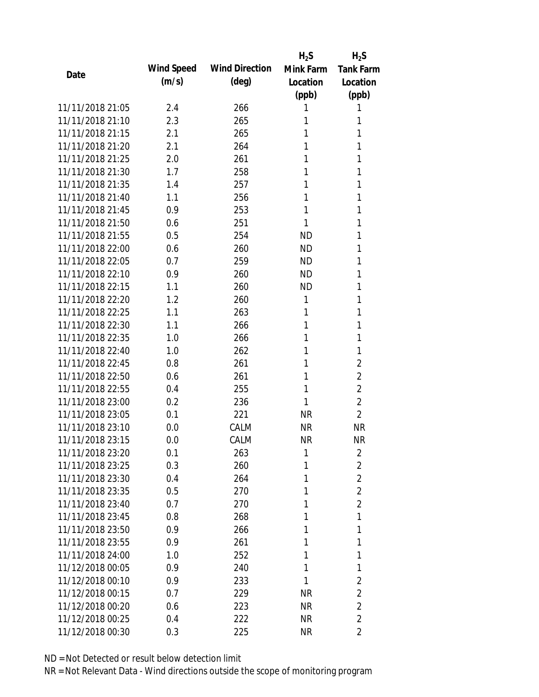|                  |            |                       | $H_2S$    | $H_2S$           |
|------------------|------------|-----------------------|-----------|------------------|
|                  | Wind Speed | <b>Wind Direction</b> | Mink Farm | <b>Tank Farm</b> |
| Date             | (m/s)      | $(\text{deg})$        | Location  | Location         |
|                  |            |                       | (ppb)     | (ppb)            |
| 11/11/2018 21:05 | 2.4        | 266                   | 1         | 1                |
| 11/11/2018 21:10 | 2.3        | 265                   | 1         | 1                |
| 11/11/2018 21:15 | 2.1        | 265                   | 1         | 1                |
| 11/11/2018 21:20 | 2.1        | 264                   | 1         | 1                |
| 11/11/2018 21:25 | 2.0        | 261                   | 1         | 1                |
| 11/11/2018 21:30 | 1.7        | 258                   | 1         | 1                |
| 11/11/2018 21:35 | 1.4        | 257                   | 1         | 1                |
| 11/11/2018 21:40 | 1.1        | 256                   | 1         | 1                |
| 11/11/2018 21:45 | 0.9        | 253                   | 1         | 1                |
| 11/11/2018 21:50 | 0.6        | 251                   | 1         | 1                |
| 11/11/2018 21:55 | 0.5        | 254                   | <b>ND</b> | 1                |
| 11/11/2018 22:00 | 0.6        | 260                   | <b>ND</b> | 1                |
| 11/11/2018 22:05 | 0.7        | 259                   | <b>ND</b> | 1                |
| 11/11/2018 22:10 | 0.9        | 260                   | <b>ND</b> | 1                |
| 11/11/2018 22:15 | 1.1        | 260                   | <b>ND</b> | 1                |
| 11/11/2018 22:20 | 1.2        | 260                   | 1         | 1                |
| 11/11/2018 22:25 | 1.1        | 263                   | 1         | 1                |
| 11/11/2018 22:30 | 1.1        | 266                   | 1         | 1                |
| 11/11/2018 22:35 | 1.0        | 266                   | 1         | 1                |
| 11/11/2018 22:40 | 1.0        | 262                   | 1         | 1                |
| 11/11/2018 22:45 | 0.8        | 261                   | 1         | 2                |
| 11/11/2018 22:50 | 0.6        | 261                   | 1         | $\overline{2}$   |
| 11/11/2018 22:55 | 0.4        | 255                   | 1         | $\overline{2}$   |
| 11/11/2018 23:00 | 0.2        | 236                   | 1         | $\overline{2}$   |
| 11/11/2018 23:05 | 0.1        | 221                   | <b>NR</b> | $\overline{2}$   |
| 11/11/2018 23:10 | 0.0        | CALM                  | <b>NR</b> | <b>NR</b>        |
| 11/11/2018 23:15 | 0.0        | CALM                  | <b>NR</b> | <b>NR</b>        |
| 11/11/2018 23:20 | 0.1        | 263                   | 1         | 2                |
| 11/11/2018 23:25 | 0.3        | 260                   | 1         | $\overline{2}$   |
| 11/11/2018 23:30 | 0.4        | 264                   | 1         | $\overline{2}$   |
| 11/11/2018 23:35 | 0.5        | 270                   | 1         | $\overline{2}$   |
| 11/11/2018 23:40 | 0.7        | 270                   | 1         | $\overline{2}$   |
| 11/11/2018 23:45 | 0.8        | 268                   | 1         | 1                |
| 11/11/2018 23:50 | 0.9        | 266                   | 1         | 1                |
| 11/11/2018 23:55 | 0.9        | 261                   | 1         | 1                |
| 11/11/2018 24:00 | 1.0        | 252                   | 1         | 1                |
| 11/12/2018 00:05 | 0.9        | 240                   | 1         | 1                |
| 11/12/2018 00:10 | 0.9        | 233                   | 1         | 2                |
| 11/12/2018 00:15 | 0.7        | 229                   | <b>NR</b> | $\overline{2}$   |
| 11/12/2018 00:20 | 0.6        | 223                   | <b>NR</b> | $\overline{2}$   |
| 11/12/2018 00:25 | 0.4        | 222                   | <b>NR</b> | $\overline{2}$   |
| 11/12/2018 00:30 | 0.3        | 225                   | <b>NR</b> | $\overline{2}$   |
|                  |            |                       |           |                  |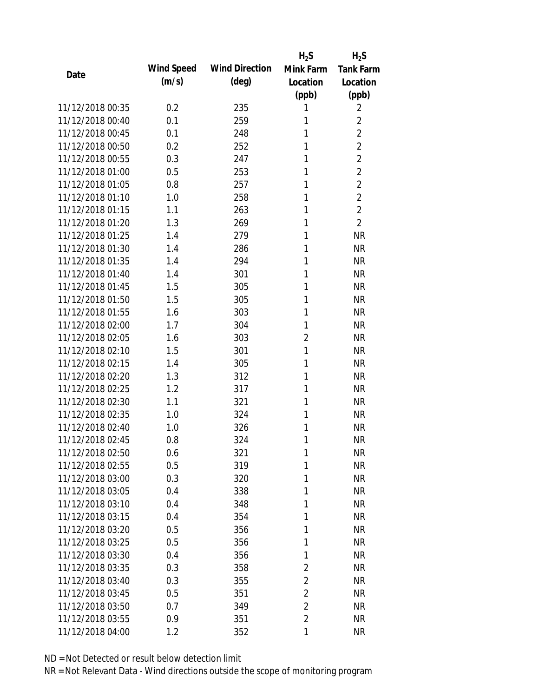|                  |            |                       | $H_2S$         | $H_2S$           |
|------------------|------------|-----------------------|----------------|------------------|
| Date             | Wind Speed | <b>Wind Direction</b> | Mink Farm      | <b>Tank Farm</b> |
|                  | (m/s)      | $(\text{deg})$        | Location       | Location         |
|                  |            |                       | (ppb)          | (ppb)            |
| 11/12/2018 00:35 | 0.2        | 235                   | 1              | 2                |
| 11/12/2018 00:40 | 0.1        | 259                   | 1              | $\overline{2}$   |
| 11/12/2018 00:45 | 0.1        | 248                   | 1              | $\overline{2}$   |
| 11/12/2018 00:50 | 0.2        | 252                   | 1              | $\overline{2}$   |
| 11/12/2018 00:55 | 0.3        | 247                   | 1              | $\overline{2}$   |
| 11/12/2018 01:00 | 0.5        | 253                   | 1              | $\overline{2}$   |
| 11/12/2018 01:05 | 0.8        | 257                   | 1              | $\overline{2}$   |
| 11/12/2018 01:10 | 1.0        | 258                   | 1              | $\overline{2}$   |
| 11/12/2018 01:15 | 1.1        | 263                   | 1              | $\overline{2}$   |
| 11/12/2018 01:20 | 1.3        | 269                   | 1              | $\overline{2}$   |
| 11/12/2018 01:25 | 1.4        | 279                   | 1              | <b>NR</b>        |
| 11/12/2018 01:30 | 1.4        | 286                   | 1              | <b>NR</b>        |
| 11/12/2018 01:35 | 1.4        | 294                   | 1              | <b>NR</b>        |
| 11/12/2018 01:40 | 1.4        | 301                   | 1              | <b>NR</b>        |
| 11/12/2018 01:45 | 1.5        | 305                   | 1              | <b>NR</b>        |
| 11/12/2018 01:50 | 1.5        | 305                   | 1              | <b>NR</b>        |
| 11/12/2018 01:55 | 1.6        | 303                   | 1              | <b>NR</b>        |
| 11/12/2018 02:00 | 1.7        | 304                   | 1              | <b>NR</b>        |
| 11/12/2018 02:05 | 1.6        | 303                   | $\overline{2}$ | <b>NR</b>        |
| 11/12/2018 02:10 | 1.5        | 301                   | 1              | <b>NR</b>        |
| 11/12/2018 02:15 | 1.4        | 305                   | 1              | <b>NR</b>        |
| 11/12/2018 02:20 | 1.3        | 312                   | 1              | <b>NR</b>        |
| 11/12/2018 02:25 | 1.2        | 317                   | 1              | <b>NR</b>        |
| 11/12/2018 02:30 | 1.1        | 321                   | 1              | <b>NR</b>        |
| 11/12/2018 02:35 | 1.0        | 324                   | 1              | <b>NR</b>        |
| 11/12/2018 02:40 | 1.0        | 326                   | 1              | <b>NR</b>        |
| 11/12/2018 02:45 | 0.8        | 324                   | 1              | <b>NR</b>        |
| 11/12/2018 02:50 | 0.6        | 321                   | 1              | <b>NR</b>        |
| 11/12/2018 02:55 | 0.5        | 319                   | 1              | <b>NR</b>        |
| 11/12/2018 03:00 | 0.3        | 320                   | 1              | <b>NR</b>        |
| 11/12/2018 03:05 | 0.4        | 338                   | 1              | <b>NR</b>        |
| 11/12/2018 03:10 | 0.4        | 348                   | 1              | <b>NR</b>        |
| 11/12/2018 03:15 | 0.4        | 354                   | 1              | <b>NR</b>        |
| 11/12/2018 03:20 | 0.5        | 356                   | 1              | <b>NR</b>        |
| 11/12/2018 03:25 | 0.5        | 356                   | 1              | <b>NR</b>        |
| 11/12/2018 03:30 | 0.4        | 356                   | 1              | <b>NR</b>        |
| 11/12/2018 03:35 | 0.3        | 358                   | $\overline{2}$ | <b>NR</b>        |
| 11/12/2018 03:40 | 0.3        | 355                   | 2              | <b>NR</b>        |
| 11/12/2018 03:45 | 0.5        | 351                   | $\overline{2}$ | <b>NR</b>        |
| 11/12/2018 03:50 | 0.7        | 349                   | $\overline{2}$ | <b>NR</b>        |
| 11/12/2018 03:55 | 0.9        | 351                   | $\overline{2}$ | <b>NR</b>        |
| 11/12/2018 04:00 | 1.2        | 352                   | 1              | <b>NR</b>        |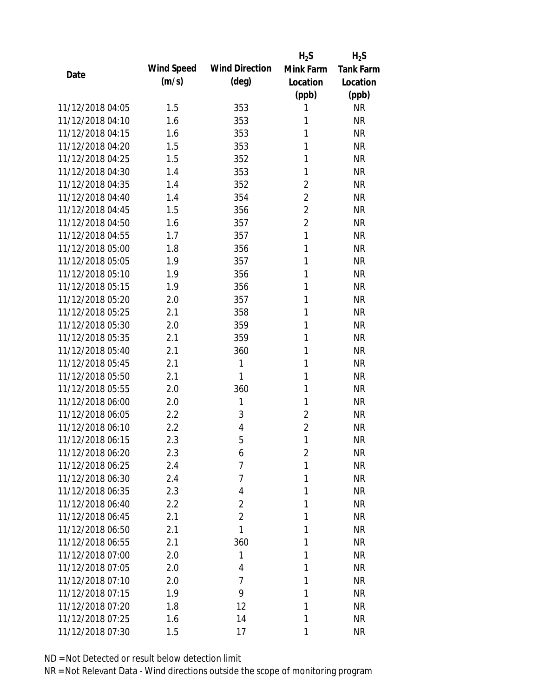|                  |            |                       | $H_2S$         | $H_2S$           |
|------------------|------------|-----------------------|----------------|------------------|
| Date             | Wind Speed | <b>Wind Direction</b> | Mink Farm      | <b>Tank Farm</b> |
|                  | (m/s)      | $(\text{deg})$        | Location       | Location         |
|                  |            |                       | (ppb)          | (ppb)            |
| 11/12/2018 04:05 | 1.5        | 353                   | 1              | <b>NR</b>        |
| 11/12/2018 04:10 | 1.6        | 353                   | 1              | <b>NR</b>        |
| 11/12/2018 04:15 | 1.6        | 353                   | 1              | <b>NR</b>        |
| 11/12/2018 04:20 | 1.5        | 353                   | 1              | <b>NR</b>        |
| 11/12/2018 04:25 | 1.5        | 352                   | 1              | <b>NR</b>        |
| 11/12/2018 04:30 | 1.4        | 353                   | 1              | <b>NR</b>        |
| 11/12/2018 04:35 | 1.4        | 352                   | $\overline{2}$ | <b>NR</b>        |
| 11/12/2018 04:40 | 1.4        | 354                   | $\overline{2}$ | <b>NR</b>        |
| 11/12/2018 04:45 | 1.5        | 356                   | $\overline{2}$ | <b>NR</b>        |
| 11/12/2018 04:50 | 1.6        | 357                   | $\overline{2}$ | <b>NR</b>        |
| 11/12/2018 04:55 | 1.7        | 357                   | $\mathbf{1}$   | <b>NR</b>        |
| 11/12/2018 05:00 | 1.8        | 356                   | 1              | <b>NR</b>        |
| 11/12/2018 05:05 | 1.9        | 357                   | 1              | <b>NR</b>        |
| 11/12/2018 05:10 | 1.9        | 356                   | 1              | <b>NR</b>        |
| 11/12/2018 05:15 | 1.9        | 356                   | 1              | <b>NR</b>        |
| 11/12/2018 05:20 | 2.0        | 357                   | 1              | <b>NR</b>        |
| 11/12/2018 05:25 | 2.1        | 358                   | 1              | <b>NR</b>        |
| 11/12/2018 05:30 | 2.0        | 359                   | 1              | <b>NR</b>        |
| 11/12/2018 05:35 | 2.1        | 359                   | $\mathbf{1}$   | <b>NR</b>        |
| 11/12/2018 05:40 | 2.1        | 360                   | 1              | <b>NR</b>        |
| 11/12/2018 05:45 | 2.1        | 1                     | 1              | <b>NR</b>        |
| 11/12/2018 05:50 | 2.1        | $\mathbf{1}$          | 1              | <b>NR</b>        |
| 11/12/2018 05:55 | 2.0        | 360                   | 1              | <b>NR</b>        |
| 11/12/2018 06:00 | 2.0        | 1                     | 1              | <b>NR</b>        |
| 11/12/2018 06:05 | 2.2        | 3                     | $\overline{2}$ | <b>NR</b>        |
| 11/12/2018 06:10 | 2.2        | 4                     | $\overline{2}$ | <b>NR</b>        |
| 11/12/2018 06:15 | 2.3        | 5                     | $\mathbf{1}$   | <b>NR</b>        |
| 11/12/2018 06:20 | 2.3        | 6                     | $\overline{2}$ | <b>NR</b>        |
| 11/12/2018 06:25 | 2.4        | 7                     | 1              | <b>NR</b>        |
| 11/12/2018 06:30 | 2.4        | 7                     | 1              | <b>NR</b>        |
| 11/12/2018 06:35 | 2.3        | 4                     | 1              | <b>NR</b>        |
| 11/12/2018 06:40 | 2.2        | $\overline{2}$        | 1              | <b>NR</b>        |
| 11/12/2018 06:45 | 2.1        | $\overline{2}$        | 1              | <b>NR</b>        |
| 11/12/2018 06:50 | 2.1        | 1                     | 1              | <b>NR</b>        |
| 11/12/2018 06:55 | 2.1        | 360                   | 1              | <b>NR</b>        |
| 11/12/2018 07:00 | 2.0        | 1                     | 1              | <b>NR</b>        |
| 11/12/2018 07:05 | 2.0        | 4                     | 1              | <b>NR</b>        |
| 11/12/2018 07:10 | 2.0        | $\overline{7}$        | 1              | <b>NR</b>        |
| 11/12/2018 07:15 | 1.9        | 9                     | 1              | <b>NR</b>        |
| 11/12/2018 07:20 | 1.8        | 12                    | 1              | <b>NR</b>        |
| 11/12/2018 07:25 | 1.6        | 14                    | 1              | <b>NR</b>        |
| 11/12/2018 07:30 | 1.5        | 17                    | 1              | <b>NR</b>        |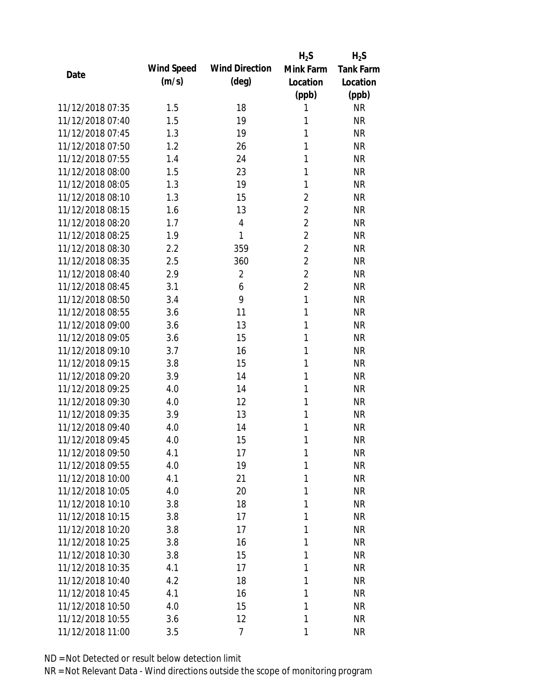|                  |            |                       | $H_2S$         | $H_2S$           |
|------------------|------------|-----------------------|----------------|------------------|
| Date             | Wind Speed | <b>Wind Direction</b> | Mink Farm      | <b>Tank Farm</b> |
|                  | (m/s)      | $(\text{deg})$        | Location       | Location         |
|                  |            |                       | (ppb)          | (ppb)            |
| 11/12/2018 07:35 | 1.5        | 18                    | 1              | <b>NR</b>        |
| 11/12/2018 07:40 | 1.5        | 19                    | 1              | <b>NR</b>        |
| 11/12/2018 07:45 | 1.3        | 19                    | 1              | <b>NR</b>        |
| 11/12/2018 07:50 | 1.2        | 26                    | 1              | <b>NR</b>        |
| 11/12/2018 07:55 | 1.4        | 24                    | 1              | <b>NR</b>        |
| 11/12/2018 08:00 | 1.5        | 23                    | 1              | <b>NR</b>        |
| 11/12/2018 08:05 | 1.3        | 19                    | 1              | <b>NR</b>        |
| 11/12/2018 08:10 | 1.3        | 15                    | $\overline{2}$ | <b>NR</b>        |
| 11/12/2018 08:15 | 1.6        | 13                    | $\overline{2}$ | <b>NR</b>        |
| 11/12/2018 08:20 | 1.7        | $\overline{4}$        | $\overline{2}$ | <b>NR</b>        |
| 11/12/2018 08:25 | 1.9        | 1                     | $\overline{2}$ | <b>NR</b>        |
| 11/12/2018 08:30 | 2.2        | 359                   | $\overline{2}$ | <b>NR</b>        |
| 11/12/2018 08:35 | 2.5        | 360                   | $\overline{2}$ | <b>NR</b>        |
| 11/12/2018 08:40 | 2.9        | $\overline{2}$        | $\overline{2}$ | <b>NR</b>        |
| 11/12/2018 08:45 | 3.1        | 6                     | $\overline{2}$ | <b>NR</b>        |
| 11/12/2018 08:50 | 3.4        | 9                     | $\mathbf{1}$   | <b>NR</b>        |
| 11/12/2018 08:55 | 3.6        | 11                    | $\mathbf{1}$   | <b>NR</b>        |
| 11/12/2018 09:00 | 3.6        | 13                    | 1              | <b>NR</b>        |
| 11/12/2018 09:05 | 3.6        | 15                    | 1              | <b>NR</b>        |
| 11/12/2018 09:10 | 3.7        | 16                    | 1              | <b>NR</b>        |
| 11/12/2018 09:15 | 3.8        | 15                    | 1              | <b>NR</b>        |
| 11/12/2018 09:20 | 3.9        | 14                    | 1              | <b>NR</b>        |
| 11/12/2018 09:25 | 4.0        | 14                    | 1              | <b>NR</b>        |
| 11/12/2018 09:30 | 4.0        | 12                    | 1              | <b>NR</b>        |
| 11/12/2018 09:35 | 3.9        | 13                    | 1              | <b>NR</b>        |
| 11/12/2018 09:40 | 4.0        | 14                    | 1              | <b>NR</b>        |
| 11/12/2018 09:45 | 4.0        | 15                    | 1              | <b>NR</b>        |
| 11/12/2018 09:50 | 4.1        | 17                    | 1              | <b>NR</b>        |
| 11/12/2018 09:55 | 4.0        | 19                    | 1              | <b>NR</b>        |
| 11/12/2018 10:00 | 4.1        | 21                    | 1              | <b>NR</b>        |
| 11/12/2018 10:05 | 4.0        | 20                    | 1              | <b>NR</b>        |
| 11/12/2018 10:10 | 3.8        | 18                    | 1              | <b>NR</b>        |
| 11/12/2018 10:15 | 3.8        | 17                    | 1              | <b>NR</b>        |
| 11/12/2018 10:20 | 3.8        | 17                    | 1              | <b>NR</b>        |
| 11/12/2018 10:25 | 3.8        | 16                    | 1              | <b>NR</b>        |
| 11/12/2018 10:30 | 3.8        | 15                    | 1              | <b>NR</b>        |
| 11/12/2018 10:35 | 4.1        | 17                    | 1              | <b>NR</b>        |
| 11/12/2018 10:40 | 4.2        | 18                    | 1              | <b>NR</b>        |
| 11/12/2018 10:45 | 4.1        | 16                    | 1              | <b>NR</b>        |
| 11/12/2018 10:50 | 4.0        | 15                    | 1              | <b>NR</b>        |
| 11/12/2018 10:55 | 3.6        | 12                    | 1              | <b>NR</b>        |
| 11/12/2018 11:00 | 3.5        | 7                     | 1              | <b>NR</b>        |
|                  |            |                       |                |                  |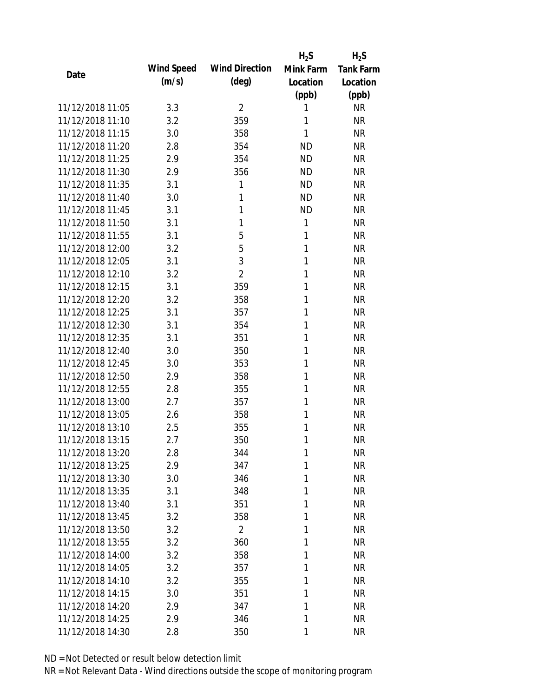|                  |            |                       | $H_2S$       | $H_2S$           |
|------------------|------------|-----------------------|--------------|------------------|
| Date             | Wind Speed | <b>Wind Direction</b> | Mink Farm    | <b>Tank Farm</b> |
|                  | (m/s)      | $(\text{deg})$        | Location     | Location         |
|                  |            |                       | (ppb)        | (ppb)            |
| 11/12/2018 11:05 | 3.3        | $\overline{2}$        | 1            | <b>NR</b>        |
| 11/12/2018 11:10 | 3.2        | 359                   | 1            | <b>NR</b>        |
| 11/12/2018 11:15 | 3.0        | 358                   | 1            | <b>NR</b>        |
| 11/12/2018 11:20 | 2.8        | 354                   | <b>ND</b>    | <b>NR</b>        |
| 11/12/2018 11:25 | 2.9        | 354                   | <b>ND</b>    | <b>NR</b>        |
| 11/12/2018 11:30 | 2.9        | 356                   | <b>ND</b>    | <b>NR</b>        |
| 11/12/2018 11:35 | 3.1        | 1                     | <b>ND</b>    | <b>NR</b>        |
| 11/12/2018 11:40 | 3.0        | 1                     | <b>ND</b>    | <b>NR</b>        |
| 11/12/2018 11:45 | 3.1        | 1                     | <b>ND</b>    | <b>NR</b>        |
| 11/12/2018 11:50 | 3.1        | 1                     | $\mathbf{1}$ | <b>NR</b>        |
| 11/12/2018 11:55 | 3.1        | 5                     | 1            | <b>NR</b>        |
| 11/12/2018 12:00 | 3.2        | 5                     | 1            | <b>NR</b>        |
| 11/12/2018 12:05 | 3.1        | 3                     | 1            | <b>NR</b>        |
| 11/12/2018 12:10 | 3.2        | $\overline{2}$        | 1            | <b>NR</b>        |
| 11/12/2018 12:15 | 3.1        | 359                   | 1            | <b>NR</b>        |
| 11/12/2018 12:20 | 3.2        | 358                   | 1            | <b>NR</b>        |
| 11/12/2018 12:25 | 3.1        | 357                   | 1            | <b>NR</b>        |
| 11/12/2018 12:30 | 3.1        | 354                   | 1            | <b>NR</b>        |
| 11/12/2018 12:35 | 3.1        | 351                   | 1            | <b>NR</b>        |
| 11/12/2018 12:40 | 3.0        | 350                   | 1            | <b>NR</b>        |
| 11/12/2018 12:45 | 3.0        | 353                   | 1            | <b>NR</b>        |
| 11/12/2018 12:50 | 2.9        | 358                   | 1            | <b>NR</b>        |
| 11/12/2018 12:55 | 2.8        | 355                   | 1            | <b>NR</b>        |
| 11/12/2018 13:00 | 2.7        | 357                   | 1            | <b>NR</b>        |
| 11/12/2018 13:05 | 2.6        | 358                   | 1            | <b>NR</b>        |
| 11/12/2018 13:10 | 2.5        | 355                   | 1            | <b>NR</b>        |
| 11/12/2018 13:15 | 2.7        | 350                   | 1            | <b>NR</b>        |
| 11/12/2018 13:20 | 2.8        | 344                   | 1            | <b>NR</b>        |
| 11/12/2018 13:25 | 2.9        | 347                   | 1            | <b>NR</b>        |
| 11/12/2018 13:30 | 3.0        | 346                   | 1            | <b>NR</b>        |
| 11/12/2018 13:35 | 3.1        | 348                   | 1            | <b>NR</b>        |
| 11/12/2018 13:40 | 3.1        | 351                   | 1            | <b>NR</b>        |
| 11/12/2018 13:45 | 3.2        | 358                   | 1            | <b>NR</b>        |
| 11/12/2018 13:50 | 3.2        | $\overline{2}$        | 1            | <b>NR</b>        |
| 11/12/2018 13:55 | 3.2        | 360                   | 1            | <b>NR</b>        |
| 11/12/2018 14:00 | 3.2        | 358                   | 1            | <b>NR</b>        |
| 11/12/2018 14:05 | 3.2        | 357                   | 1            | <b>NR</b>        |
| 11/12/2018 14:10 | 3.2        | 355                   | 1            | <b>NR</b>        |
| 11/12/2018 14:15 | 3.0        | 351                   | 1            | <b>NR</b>        |
| 11/12/2018 14:20 | 2.9        | 347                   | 1            | <b>NR</b>        |
| 11/12/2018 14:25 | 2.9        | 346                   | 1            | <b>NR</b>        |
| 11/12/2018 14:30 | 2.8        | 350                   | 1            | <b>NR</b>        |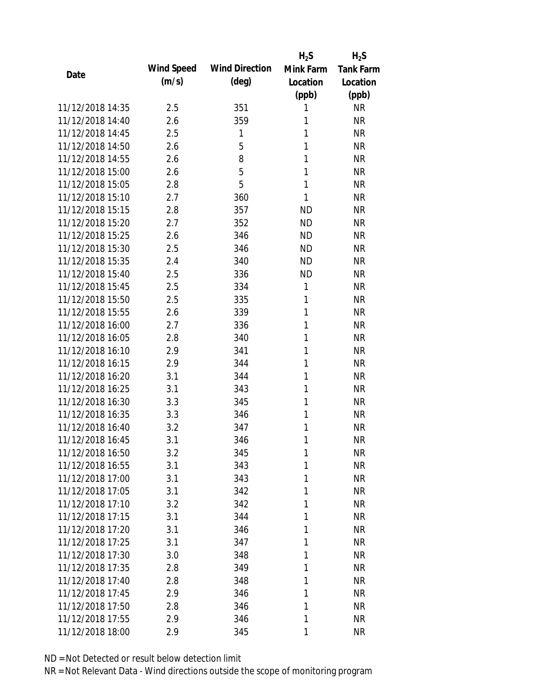|                  |            |                       | $H_2S$       | $H_2S$           |
|------------------|------------|-----------------------|--------------|------------------|
| Date             | Wind Speed | <b>Wind Direction</b> | Mink Farm    | <b>Tank Farm</b> |
|                  | (m/s)      | $(\text{deg})$        | Location     | Location         |
|                  |            |                       | (ppb)        | (ppb)            |
| 11/12/2018 14:35 | 2.5        | 351                   | 1            | <b>NR</b>        |
| 11/12/2018 14:40 | 2.6        | 359                   | 1            | <b>NR</b>        |
| 11/12/2018 14:45 | 2.5        | 1                     | 1            | <b>NR</b>        |
| 11/12/2018 14:50 | 2.6        | 5                     | 1            | <b>NR</b>        |
| 11/12/2018 14:55 | 2.6        | 8                     | 1            | <b>NR</b>        |
| 11/12/2018 15:00 | 2.6        | 5                     | 1            | <b>NR</b>        |
| 11/12/2018 15:05 | 2.8        | 5                     | 1            | <b>NR</b>        |
| 11/12/2018 15:10 | 2.7        | 360                   | 1            | <b>NR</b>        |
| 11/12/2018 15:15 | 2.8        | 357                   | <b>ND</b>    | <b>NR</b>        |
| 11/12/2018 15:20 | 2.7        | 352                   | <b>ND</b>    | <b>NR</b>        |
| 11/12/2018 15:25 | 2.6        | 346                   | <b>ND</b>    | <b>NR</b>        |
| 11/12/2018 15:30 | 2.5        | 346                   | <b>ND</b>    | <b>NR</b>        |
| 11/12/2018 15:35 | 2.4        | 340                   | <b>ND</b>    | <b>NR</b>        |
| 11/12/2018 15:40 | 2.5        | 336                   | <b>ND</b>    | <b>NR</b>        |
| 11/12/2018 15:45 | 2.5        | 334                   | $\mathbf{1}$ | <b>NR</b>        |
| 11/12/2018 15:50 | 2.5        | 335                   | 1            | <b>NR</b>        |
| 11/12/2018 15:55 | 2.6        | 339                   | 1            | <b>NR</b>        |
| 11/12/2018 16:00 | 2.7        | 336                   | 1            | <b>NR</b>        |
| 11/12/2018 16:05 | 2.8        | 340                   | 1            | <b>NR</b>        |
| 11/12/2018 16:10 | 2.9        | 341                   | 1            | <b>NR</b>        |
| 11/12/2018 16:15 | 2.9        | 344                   | 1            | <b>NR</b>        |
| 11/12/2018 16:20 | 3.1        | 344                   | 1            | <b>NR</b>        |
| 11/12/2018 16:25 | 3.1        | 343                   | 1            | <b>NR</b>        |
| 11/12/2018 16:30 | 3.3        | 345                   | 1            | <b>NR</b>        |
| 11/12/2018 16:35 | 3.3        | 346                   | 1            | <b>NR</b>        |
| 11/12/2018 16:40 | 3.2        | 347                   | 1            | <b>NR</b>        |
| 11/12/2018 16:45 | 3.1        | 346                   | 1            | <b>NR</b>        |
| 11/12/2018 16:50 | 3.2        | 345                   | 1            | <b>NR</b>        |
| 11/12/2018 16:55 | 3.1        | 343                   | 1            | <b>NR</b>        |
| 11/12/2018 17:00 | 3.1        | 343                   | 1            | <b>NR</b>        |
| 11/12/2018 17:05 | 3.1        | 342                   | 1            | <b>NR</b>        |
| 11/12/2018 17:10 | 3.2        | 342                   | 1            | <b>NR</b>        |
| 11/12/2018 17:15 | 3.1        | 344                   | 1            | <b>NR</b>        |
| 11/12/2018 17:20 | 3.1        | 346                   | 1            | <b>NR</b>        |
| 11/12/2018 17:25 | 3.1        | 347                   | 1            | <b>NR</b>        |
| 11/12/2018 17:30 | 3.0        | 348                   | 1            | <b>NR</b>        |
| 11/12/2018 17:35 | 2.8        | 349                   | 1            | <b>NR</b>        |
| 11/12/2018 17:40 | 2.8        | 348                   | 1            | <b>NR</b>        |
| 11/12/2018 17:45 | 2.9        | 346                   | 1            | <b>NR</b>        |
| 11/12/2018 17:50 | 2.8        | 346                   | 1            | <b>NR</b>        |
| 11/12/2018 17:55 | 2.9        | 346                   | 1            | <b>NR</b>        |
| 11/12/2018 18:00 | 2.9        | 345                   | 1            | <b>NR</b>        |
|                  |            |                       |              |                  |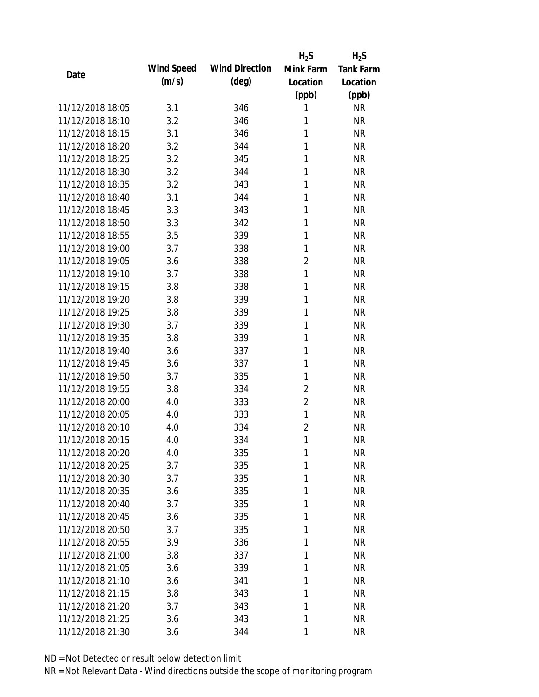|                  |            |                       | $H_2S$         | $H_2S$           |
|------------------|------------|-----------------------|----------------|------------------|
| Date             | Wind Speed | <b>Wind Direction</b> | Mink Farm      | <b>Tank Farm</b> |
|                  | (m/s)      | $(\text{deg})$        | Location       | Location         |
|                  |            |                       | (ppb)          | (ppb)            |
| 11/12/2018 18:05 | 3.1        | 346                   | 1              | <b>NR</b>        |
| 11/12/2018 18:10 | 3.2        | 346                   | 1              | <b>NR</b>        |
| 11/12/2018 18:15 | 3.1        | 346                   | 1              | <b>NR</b>        |
| 11/12/2018 18:20 | 3.2        | 344                   | 1              | <b>NR</b>        |
| 11/12/2018 18:25 | 3.2        | 345                   | 1              | <b>NR</b>        |
| 11/12/2018 18:30 | 3.2        | 344                   | 1              | <b>NR</b>        |
| 11/12/2018 18:35 | 3.2        | 343                   | 1              | <b>NR</b>        |
| 11/12/2018 18:40 | 3.1        | 344                   | 1              | <b>NR</b>        |
| 11/12/2018 18:45 | 3.3        | 343                   | 1              | <b>NR</b>        |
| 11/12/2018 18:50 | 3.3        | 342                   | 1              | <b>NR</b>        |
| 11/12/2018 18:55 | 3.5        | 339                   | 1              | <b>NR</b>        |
| 11/12/2018 19:00 | 3.7        | 338                   | 1              | <b>NR</b>        |
| 11/12/2018 19:05 | 3.6        | 338                   | $\overline{2}$ | <b>NR</b>        |
| 11/12/2018 19:10 | 3.7        | 338                   | 1              | <b>NR</b>        |
| 11/12/2018 19:15 | 3.8        | 338                   | 1              | <b>NR</b>        |
| 11/12/2018 19:20 | 3.8        | 339                   | 1              | <b>NR</b>        |
| 11/12/2018 19:25 | 3.8        | 339                   | 1              | <b>NR</b>        |
| 11/12/2018 19:30 | 3.7        | 339                   | 1              | <b>NR</b>        |
| 11/12/2018 19:35 | 3.8        | 339                   | 1              | <b>NR</b>        |
| 11/12/2018 19:40 | 3.6        | 337                   | 1              | <b>NR</b>        |
| 11/12/2018 19:45 | 3.6        | 337                   | 1              | <b>NR</b>        |
| 11/12/2018 19:50 | 3.7        | 335                   | 1              | <b>NR</b>        |
| 11/12/2018 19:55 | 3.8        | 334                   | $\overline{2}$ | <b>NR</b>        |
| 11/12/2018 20:00 | 4.0        | 333                   | $\overline{2}$ | <b>NR</b>        |
| 11/12/2018 20:05 | 4.0        | 333                   | $\mathbf{1}$   | <b>NR</b>        |
| 11/12/2018 20:10 | 4.0        | 334                   | $\overline{2}$ | <b>NR</b>        |
| 11/12/2018 20:15 | 4.0        | 334                   | 1              | <b>NR</b>        |
| 11/12/2018 20:20 | 4.0        | 335                   | 1              | <b>NR</b>        |
| 11/12/2018 20:25 | 3.7        | 335                   | 1              | <b>NR</b>        |
| 11/12/2018 20:30 | 3.7        | 335                   | 1              | <b>NR</b>        |
| 11/12/2018 20:35 | 3.6        | 335                   | 1              | <b>NR</b>        |
| 11/12/2018 20:40 | 3.7        | 335                   | 1              | <b>NR</b>        |
| 11/12/2018 20:45 | 3.6        | 335                   | 1              | <b>NR</b>        |
| 11/12/2018 20:50 | 3.7        | 335                   | 1              | <b>NR</b>        |
| 11/12/2018 20:55 | 3.9        | 336                   | 1              | <b>NR</b>        |
| 11/12/2018 21:00 | 3.8        | 337                   | 1              | <b>NR</b>        |
| 11/12/2018 21:05 | 3.6        | 339                   | 1              | <b>NR</b>        |
| 11/12/2018 21:10 | 3.6        | 341                   | 1              | <b>NR</b>        |
| 11/12/2018 21:15 | 3.8        | 343                   | 1              | <b>NR</b>        |
| 11/12/2018 21:20 | 3.7        | 343                   | 1              | <b>NR</b>        |
| 11/12/2018 21:25 | 3.6        | 343                   | 1              | <b>NR</b>        |
| 11/12/2018 21:30 | 3.6        | 344                   | 1              | <b>NR</b>        |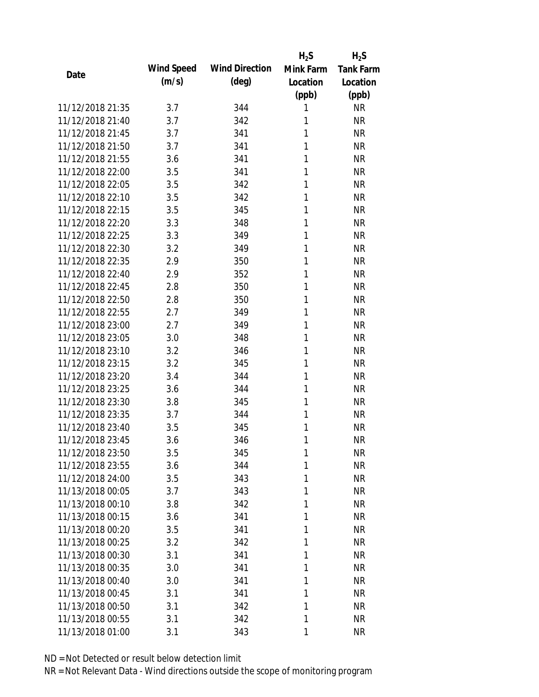|                  |            |                       | $H_2S$    | $H_2S$           |
|------------------|------------|-----------------------|-----------|------------------|
| Date             | Wind Speed | <b>Wind Direction</b> | Mink Farm | <b>Tank Farm</b> |
|                  | (m/s)      | $(\text{deg})$        | Location  | Location         |
|                  |            |                       | (ppb)     | (ppb)            |
| 11/12/2018 21:35 | 3.7        | 344                   | 1         | <b>NR</b>        |
| 11/12/2018 21:40 | 3.7        | 342                   | 1         | <b>NR</b>        |
| 11/12/2018 21:45 | 3.7        | 341                   | 1         | <b>NR</b>        |
| 11/12/2018 21:50 | 3.7        | 341                   | 1         | <b>NR</b>        |
| 11/12/2018 21:55 | 3.6        | 341                   | 1         | <b>NR</b>        |
| 11/12/2018 22:00 | 3.5        | 341                   | 1         | <b>NR</b>        |
| 11/12/2018 22:05 | 3.5        | 342                   | 1         | <b>NR</b>        |
| 11/12/2018 22:10 | 3.5        | 342                   | 1         | <b>NR</b>        |
| 11/12/2018 22:15 | 3.5        | 345                   | 1         | <b>NR</b>        |
| 11/12/2018 22:20 | 3.3        | 348                   | 1         | <b>NR</b>        |
| 11/12/2018 22:25 | 3.3        | 349                   | 1         | <b>NR</b>        |
| 11/12/2018 22:30 | 3.2        | 349                   | 1         | <b>NR</b>        |
| 11/12/2018 22:35 | 2.9        | 350                   | 1         | <b>NR</b>        |
| 11/12/2018 22:40 | 2.9        | 352                   | 1         | <b>NR</b>        |
| 11/12/2018 22:45 | 2.8        | 350                   | 1         | <b>NR</b>        |
| 11/12/2018 22:50 | 2.8        | 350                   | 1         | <b>NR</b>        |
| 11/12/2018 22:55 | 2.7        | 349                   | 1         | <b>NR</b>        |
| 11/12/2018 23:00 | 2.7        | 349                   | 1         | <b>NR</b>        |
| 11/12/2018 23:05 | 3.0        | 348                   | 1         | <b>NR</b>        |
| 11/12/2018 23:10 | 3.2        | 346                   | 1         | <b>NR</b>        |
| 11/12/2018 23:15 | 3.2        | 345                   | 1         | <b>NR</b>        |
| 11/12/2018 23:20 | 3.4        | 344                   | 1         | <b>NR</b>        |
| 11/12/2018 23:25 | 3.6        | 344                   | 1         | <b>NR</b>        |
| 11/12/2018 23:30 | 3.8        | 345                   | 1         | <b>NR</b>        |
| 11/12/2018 23:35 | 3.7        | 344                   | 1         | <b>NR</b>        |
| 11/12/2018 23:40 | 3.5        | 345                   | 1         | <b>NR</b>        |
| 11/12/2018 23:45 | 3.6        | 346                   | 1         | <b>NR</b>        |
| 11/12/2018 23:50 | 3.5        | 345                   | 1         | <b>NR</b>        |
| 11/12/2018 23:55 | 3.6        | 344                   | 1         | <b>NR</b>        |
| 11/12/2018 24:00 | 3.5        | 343                   | 1         | <b>NR</b>        |
| 11/13/2018 00:05 | 3.7        | 343                   | 1         | <b>NR</b>        |
| 11/13/2018 00:10 | 3.8        | 342                   | 1         | <b>NR</b>        |
| 11/13/2018 00:15 | 3.6        | 341                   | 1         | <b>NR</b>        |
| 11/13/2018 00:20 | 3.5        | 341                   | 1         | <b>NR</b>        |
| 11/13/2018 00:25 | 3.2        | 342                   | 1         | <b>NR</b>        |
| 11/13/2018 00:30 | 3.1        | 341                   | 1         | <b>NR</b>        |
| 11/13/2018 00:35 | 3.0        | 341                   | 1         | <b>NR</b>        |
| 11/13/2018 00:40 | 3.0        | 341                   | 1         | <b>NR</b>        |
| 11/13/2018 00:45 | 3.1        | 341                   | 1         | <b>NR</b>        |
| 11/13/2018 00:50 | 3.1        | 342                   | 1         | <b>NR</b>        |
| 11/13/2018 00:55 | 3.1        | 342                   | 1         | <b>NR</b>        |
| 11/13/2018 01:00 | 3.1        | 343                   | 1         | <b>NR</b>        |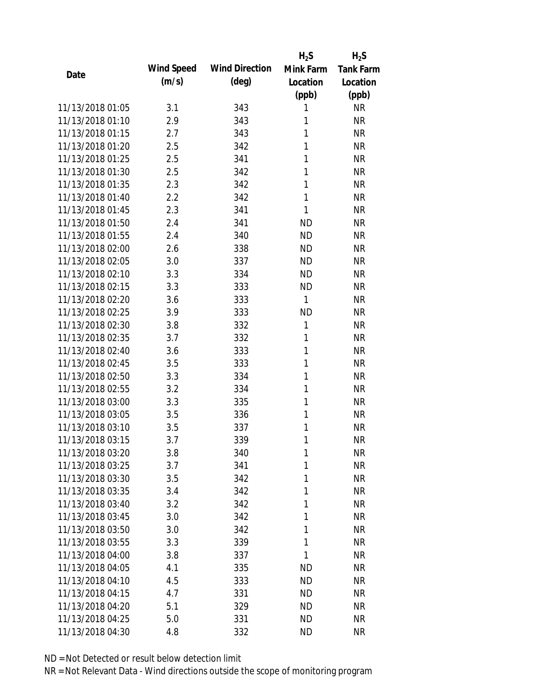|                  |            |                       | $H_2S$       | $H_2S$           |
|------------------|------------|-----------------------|--------------|------------------|
|                  | Wind Speed | <b>Wind Direction</b> | Mink Farm    | <b>Tank Farm</b> |
| Date             | (m/s)      | $(\text{deg})$        | Location     | Location         |
|                  |            |                       | (ppb)        | (ppb)            |
| 11/13/2018 01:05 | 3.1        | 343                   | 1            | <b>NR</b>        |
| 11/13/2018 01:10 | 2.9        | 343                   | 1            | <b>NR</b>        |
| 11/13/2018 01:15 | 2.7        | 343                   | 1            | <b>NR</b>        |
| 11/13/2018 01:20 | 2.5        | 342                   | 1            | <b>NR</b>        |
| 11/13/2018 01:25 | 2.5        | 341                   | 1            | <b>NR</b>        |
| 11/13/2018 01:30 | 2.5        | 342                   | 1            | <b>NR</b>        |
| 11/13/2018 01:35 | 2.3        | 342                   | 1            | <b>NR</b>        |
| 11/13/2018 01:40 | 2.2        | 342                   | 1            | <b>NR</b>        |
| 11/13/2018 01:45 | 2.3        | 341                   | 1            | <b>NR</b>        |
| 11/13/2018 01:50 | 2.4        | 341                   | <b>ND</b>    | <b>NR</b>        |
| 11/13/2018 01:55 | 2.4        | 340                   | <b>ND</b>    | <b>NR</b>        |
| 11/13/2018 02:00 | 2.6        | 338                   | <b>ND</b>    | <b>NR</b>        |
| 11/13/2018 02:05 | 3.0        | 337                   | <b>ND</b>    | <b>NR</b>        |
| 11/13/2018 02:10 | 3.3        | 334                   | <b>ND</b>    | <b>NR</b>        |
| 11/13/2018 02:15 | 3.3        | 333                   | <b>ND</b>    | <b>NR</b>        |
| 11/13/2018 02:20 | 3.6        | 333                   | $\mathbf{1}$ | <b>NR</b>        |
| 11/13/2018 02:25 | 3.9        | 333                   | <b>ND</b>    | <b>NR</b>        |
| 11/13/2018 02:30 | 3.8        | 332                   | 1            | <b>NR</b>        |
| 11/13/2018 02:35 | 3.7        | 332                   | 1            | <b>NR</b>        |
| 11/13/2018 02:40 | 3.6        | 333                   | 1            | <b>NR</b>        |
| 11/13/2018 02:45 | 3.5        | 333                   | 1            | <b>NR</b>        |
| 11/13/2018 02:50 | 3.3        | 334                   | 1            | <b>NR</b>        |
| 11/13/2018 02:55 | 3.2        | 334                   | 1            | <b>NR</b>        |
| 11/13/2018 03:00 | 3.3        | 335                   | 1            | <b>NR</b>        |
| 11/13/2018 03:05 | 3.5        | 336                   | 1            | <b>NR</b>        |
| 11/13/2018 03:10 | 3.5        | 337                   | 1            | <b>NR</b>        |
| 11/13/2018 03:15 | 3.7        | 339                   | 1            | <b>NR</b>        |
| 11/13/2018 03:20 | 3.8        | 340                   | 1            | <b>NR</b>        |
| 11/13/2018 03:25 | 3.7        | 341                   | 1            | <b>NR</b>        |
| 11/13/2018 03:30 | 3.5        | 342                   | 1            | <b>NR</b>        |
| 11/13/2018 03:35 | 3.4        | 342                   | 1            | <b>NR</b>        |
| 11/13/2018 03:40 | 3.2        | 342                   | 1            | <b>NR</b>        |
| 11/13/2018 03:45 | 3.0        | 342                   | 1            | <b>NR</b>        |
| 11/13/2018 03:50 | 3.0        | 342                   | 1            | <b>NR</b>        |
| 11/13/2018 03:55 | 3.3        | 339                   | $\mathbf{1}$ | <b>NR</b>        |
| 11/13/2018 04:00 | 3.8        | 337                   | 1            | <b>NR</b>        |
| 11/13/2018 04:05 | 4.1        | 335                   | <b>ND</b>    | <b>NR</b>        |
| 11/13/2018 04:10 | 4.5        | 333                   | <b>ND</b>    | <b>NR</b>        |
| 11/13/2018 04:15 | 4.7        | 331                   | <b>ND</b>    | <b>NR</b>        |
| 11/13/2018 04:20 | 5.1        | 329                   | <b>ND</b>    | <b>NR</b>        |
| 11/13/2018 04:25 | 5.0        | 331                   | <b>ND</b>    | <b>NR</b>        |
| 11/13/2018 04:30 | 4.8        | 332                   | <b>ND</b>    | <b>NR</b>        |
|                  |            |                       |              |                  |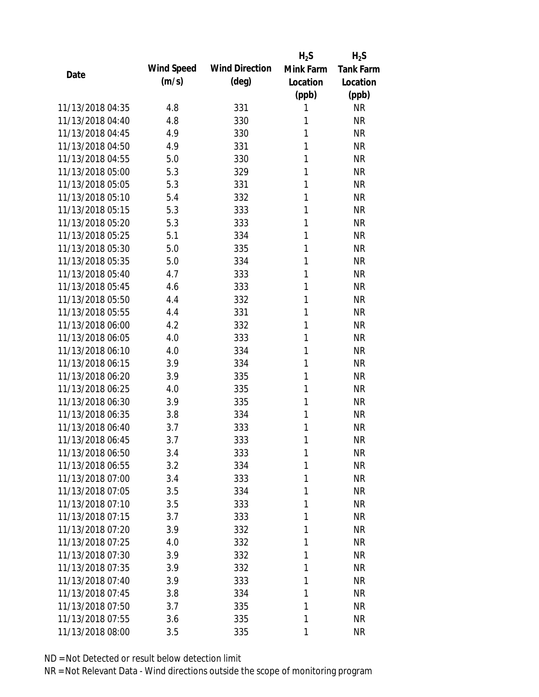|                  |            |                       | $H_2S$    | $H_2S$           |
|------------------|------------|-----------------------|-----------|------------------|
| Date             | Wind Speed | <b>Wind Direction</b> | Mink Farm | <b>Tank Farm</b> |
|                  | (m/s)      | $(\text{deg})$        | Location  | Location         |
|                  |            |                       | (ppb)     | (ppb)            |
| 11/13/2018 04:35 | 4.8        | 331                   | 1         | <b>NR</b>        |
| 11/13/2018 04:40 | 4.8        | 330                   | 1         | <b>NR</b>        |
| 11/13/2018 04:45 | 4.9        | 330                   | 1         | <b>NR</b>        |
| 11/13/2018 04:50 | 4.9        | 331                   | 1         | <b>NR</b>        |
| 11/13/2018 04:55 | 5.0        | 330                   | 1         | <b>NR</b>        |
| 11/13/2018 05:00 | 5.3        | 329                   | 1         | <b>NR</b>        |
| 11/13/2018 05:05 | 5.3        | 331                   | 1         | <b>NR</b>        |
| 11/13/2018 05:10 | 5.4        | 332                   | 1         | <b>NR</b>        |
| 11/13/2018 05:15 | 5.3        | 333                   | 1         | <b>NR</b>        |
| 11/13/2018 05:20 | 5.3        | 333                   | 1         | <b>NR</b>        |
| 11/13/2018 05:25 | 5.1        | 334                   | 1         | <b>NR</b>        |
| 11/13/2018 05:30 | 5.0        | 335                   | 1         | <b>NR</b>        |
| 11/13/2018 05:35 | 5.0        | 334                   | 1         | <b>NR</b>        |
| 11/13/2018 05:40 | 4.7        | 333                   | 1         | <b>NR</b>        |
| 11/13/2018 05:45 | 4.6        | 333                   | 1         | <b>NR</b>        |
| 11/13/2018 05:50 | 4.4        | 332                   | 1         | <b>NR</b>        |
| 11/13/2018 05:55 | 4.4        | 331                   | 1         | <b>NR</b>        |
| 11/13/2018 06:00 | 4.2        | 332                   | 1         | <b>NR</b>        |
| 11/13/2018 06:05 | 4.0        | 333                   | 1         | <b>NR</b>        |
| 11/13/2018 06:10 | 4.0        | 334                   | 1         | <b>NR</b>        |
| 11/13/2018 06:15 | 3.9        | 334                   | 1         | <b>NR</b>        |
| 11/13/2018 06:20 | 3.9        | 335                   | 1         | <b>NR</b>        |
| 11/13/2018 06:25 | 4.0        | 335                   | 1         | <b>NR</b>        |
| 11/13/2018 06:30 | 3.9        | 335                   | 1         | <b>NR</b>        |
| 11/13/2018 06:35 | 3.8        | 334                   | 1         | <b>NR</b>        |
| 11/13/2018 06:40 | 3.7        | 333                   | 1         | <b>NR</b>        |
| 11/13/2018 06:45 | 3.7        | 333                   | 1         | <b>NR</b>        |
| 11/13/2018 06:50 | 3.4        | 333                   | 1         | <b>NR</b>        |
| 11/13/2018 06:55 | 3.2        | 334                   | 1         | <b>NR</b>        |
| 11/13/2018 07:00 | 3.4        | 333                   | 1         | <b>NR</b>        |
| 11/13/2018 07:05 | 3.5        | 334                   | 1         | <b>NR</b>        |
| 11/13/2018 07:10 | 3.5        | 333                   | 1         | <b>NR</b>        |
| 11/13/2018 07:15 | 3.7        | 333                   | 1         | <b>NR</b>        |
| 11/13/2018 07:20 | 3.9        | 332                   | 1         | <b>NR</b>        |
| 11/13/2018 07:25 | 4.0        | 332                   | 1         | <b>NR</b>        |
| 11/13/2018 07:30 | 3.9        | 332                   | 1         | <b>NR</b>        |
| 11/13/2018 07:35 | 3.9        | 332                   | 1         | <b>NR</b>        |
| 11/13/2018 07:40 | 3.9        | 333                   | 1         | <b>NR</b>        |
| 11/13/2018 07:45 | 3.8        | 334                   | 1         | <b>NR</b>        |
| 11/13/2018 07:50 | 3.7        | 335                   | 1         | <b>NR</b>        |
| 11/13/2018 07:55 | 3.6        | 335                   | 1         | <b>NR</b>        |
| 11/13/2018 08:00 | 3.5        | 335                   | 1         | <b>NR</b>        |
|                  |            |                       |           |                  |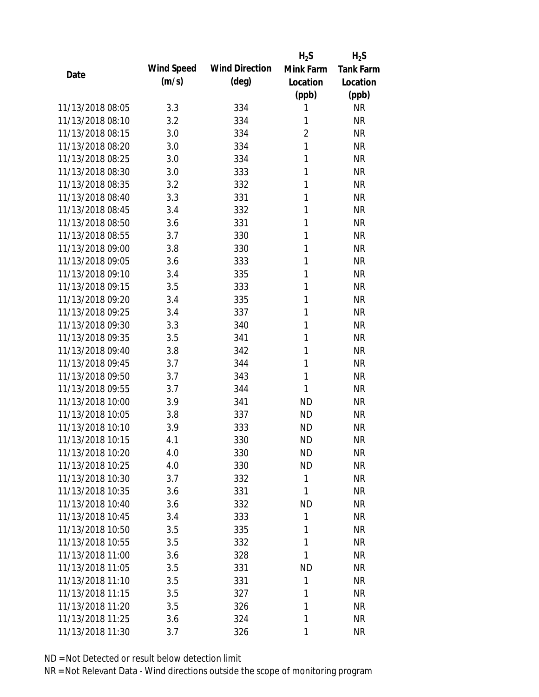|                  |            |                       | $H_2S$         | $H_2S$           |
|------------------|------------|-----------------------|----------------|------------------|
|                  | Wind Speed | <b>Wind Direction</b> | Mink Farm      | <b>Tank Farm</b> |
| Date             | (m/s)      | $(\text{deg})$        | Location       | Location         |
|                  |            |                       | (ppb)          | (ppb)            |
| 11/13/2018 08:05 | 3.3        | 334                   | 1              | <b>NR</b>        |
| 11/13/2018 08:10 | 3.2        | 334                   | 1              | <b>NR</b>        |
| 11/13/2018 08:15 | 3.0        | 334                   | $\overline{2}$ | <b>NR</b>        |
| 11/13/2018 08:20 | 3.0        | 334                   | $\mathbf{1}$   | <b>NR</b>        |
| 11/13/2018 08:25 | 3.0        | 334                   | $\mathbf{1}$   | <b>NR</b>        |
| 11/13/2018 08:30 | 3.0        | 333                   | 1              | <b>NR</b>        |
| 11/13/2018 08:35 | 3.2        | 332                   | 1              | <b>NR</b>        |
| 11/13/2018 08:40 | 3.3        | 331                   | 1              | <b>NR</b>        |
| 11/13/2018 08:45 | 3.4        | 332                   | 1              | <b>NR</b>        |
| 11/13/2018 08:50 | 3.6        | 331                   | 1              | <b>NR</b>        |
| 11/13/2018 08:55 | 3.7        | 330                   | 1              | <b>NR</b>        |
| 11/13/2018 09:00 | 3.8        | 330                   | 1              | <b>NR</b>        |
| 11/13/2018 09:05 | 3.6        | 333                   | 1              | <b>NR</b>        |
| 11/13/2018 09:10 | 3.4        | 335                   | 1              | <b>NR</b>        |
| 11/13/2018 09:15 | 3.5        | 333                   | 1              | <b>NR</b>        |
| 11/13/2018 09:20 | 3.4        | 335                   | 1              | <b>NR</b>        |
| 11/13/2018 09:25 | 3.4        | 337                   | 1              | <b>NR</b>        |
| 11/13/2018 09:30 | 3.3        | 340                   | $\mathbf{1}$   | <b>NR</b>        |
| 11/13/2018 09:35 | 3.5        | 341                   | 1              | <b>NR</b>        |
| 11/13/2018 09:40 | 3.8        | 342                   | 1              | <b>NR</b>        |
| 11/13/2018 09:45 | 3.7        | 344                   | 1              | <b>NR</b>        |
| 11/13/2018 09:50 | 3.7        | 343                   | 1              | <b>NR</b>        |
| 11/13/2018 09:55 | 3.7        | 344                   | 1              | <b>NR</b>        |
| 11/13/2018 10:00 | 3.9        | 341                   | <b>ND</b>      | <b>NR</b>        |
| 11/13/2018 10:05 | 3.8        | 337                   | <b>ND</b>      | <b>NR</b>        |
| 11/13/2018 10:10 | 3.9        | 333                   | <b>ND</b>      | <b>NR</b>        |
| 11/13/2018 10:15 | 4.1        | 330                   | <b>ND</b>      | <b>NR</b>        |
| 11/13/2018 10:20 | 4.0        | 330                   | <b>ND</b>      | <b>NR</b>        |
| 11/13/2018 10:25 | 4.0        | 330                   | <b>ND</b>      | <b>NR</b>        |
| 11/13/2018 10:30 | 3.7        | 332                   | 1              | <b>NR</b>        |
| 11/13/2018 10:35 | 3.6        | 331                   | 1              | <b>NR</b>        |
| 11/13/2018 10:40 | 3.6        | 332                   | <b>ND</b>      | NR               |
| 11/13/2018 10:45 | 3.4        | 333                   | 1              | NR               |
| 11/13/2018 10:50 | 3.5        | 335                   | 1              | <b>NR</b>        |
| 11/13/2018 10:55 | 3.5        | 332                   | 1              | <b>NR</b>        |
| 11/13/2018 11:00 | 3.6        | 328                   | 1              | <b>NR</b>        |
| 11/13/2018 11:05 | 3.5        | 331                   | <b>ND</b>      | <b>NR</b>        |
| 11/13/2018 11:10 | 3.5        | 331                   | 1              | <b>NR</b>        |
| 11/13/2018 11:15 | 3.5        | 327                   | 1              | <b>NR</b>        |
| 11/13/2018 11:20 | 3.5        | 326                   | 1              | NR               |
| 11/13/2018 11:25 | 3.6        | 324                   | 1              | <b>NR</b>        |
| 11/13/2018 11:30 | 3.7        | 326                   | 1              | <b>NR</b>        |
|                  |            |                       |                |                  |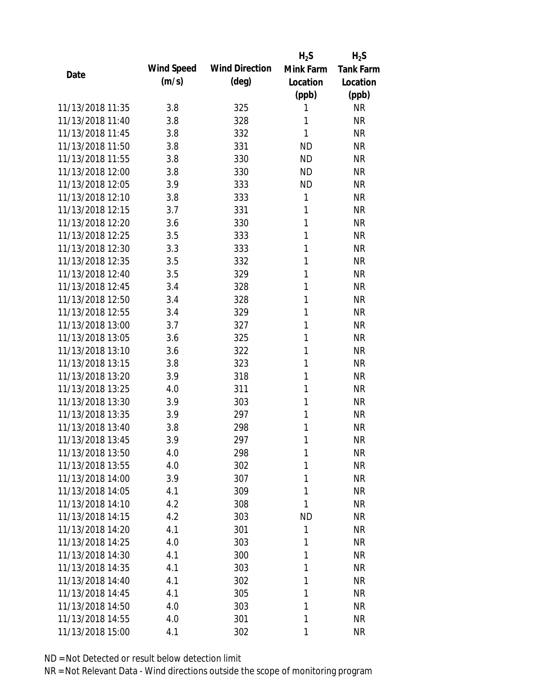|                  |            |                       | $H_2S$    | $H_2S$           |
|------------------|------------|-----------------------|-----------|------------------|
| Date             | Wind Speed | <b>Wind Direction</b> | Mink Farm | <b>Tank Farm</b> |
|                  | (m/s)      | $(\text{deg})$        | Location  | Location         |
|                  |            |                       | (ppb)     | (ppb)            |
| 11/13/2018 11:35 | 3.8        | 325                   | 1         | <b>NR</b>        |
| 11/13/2018 11:40 | 3.8        | 328                   | 1         | <b>NR</b>        |
| 11/13/2018 11:45 | 3.8        | 332                   | 1         | <b>NR</b>        |
| 11/13/2018 11:50 | 3.8        | 331                   | <b>ND</b> | <b>NR</b>        |
| 11/13/2018 11:55 | 3.8        | 330                   | <b>ND</b> | <b>NR</b>        |
| 11/13/2018 12:00 | 3.8        | 330                   | <b>ND</b> | <b>NR</b>        |
| 11/13/2018 12:05 | 3.9        | 333                   | <b>ND</b> | <b>NR</b>        |
| 11/13/2018 12:10 | 3.8        | 333                   | 1         | <b>NR</b>        |
| 11/13/2018 12:15 | 3.7        | 331                   | 1         | <b>NR</b>        |
| 11/13/2018 12:20 | 3.6        | 330                   | 1         | <b>NR</b>        |
| 11/13/2018 12:25 | 3.5        | 333                   | 1         | <b>NR</b>        |
| 11/13/2018 12:30 | 3.3        | 333                   | 1         | <b>NR</b>        |
| 11/13/2018 12:35 | 3.5        | 332                   | 1         | <b>NR</b>        |
| 11/13/2018 12:40 | 3.5        | 329                   | 1         | <b>NR</b>        |
| 11/13/2018 12:45 | 3.4        | 328                   | 1         | <b>NR</b>        |
| 11/13/2018 12:50 | 3.4        | 328                   | 1         | <b>NR</b>        |
| 11/13/2018 12:55 | 3.4        | 329                   | 1         | <b>NR</b>        |
| 11/13/2018 13:00 | 3.7        | 327                   | 1         | <b>NR</b>        |
| 11/13/2018 13:05 | 3.6        | 325                   | 1         | <b>NR</b>        |
| 11/13/2018 13:10 | 3.6        | 322                   | 1         | <b>NR</b>        |
| 11/13/2018 13:15 | 3.8        | 323                   | 1         | <b>NR</b>        |
| 11/13/2018 13:20 | 3.9        | 318                   | 1         | <b>NR</b>        |
| 11/13/2018 13:25 | 4.0        | 311                   | 1         | <b>NR</b>        |
| 11/13/2018 13:30 | 3.9        | 303                   | 1         | <b>NR</b>        |
| 11/13/2018 13:35 | 3.9        | 297                   | 1         | <b>NR</b>        |
| 11/13/2018 13:40 | 3.8        | 298                   | 1         | <b>NR</b>        |
| 11/13/2018 13:45 | 3.9        | 297                   | 1         | <b>NR</b>        |
| 11/13/2018 13:50 | 4.0        | 298                   | 1         | <b>NR</b>        |
| 11/13/2018 13:55 | 4.0        | 302                   | 1         | <b>NR</b>        |
| 11/13/2018 14:00 | 3.9        | 307                   | 1         | <b>NR</b>        |
| 11/13/2018 14:05 | 4.1        | 309                   | 1         | <b>NR</b>        |
| 11/13/2018 14:10 | 4.2        | 308                   | 1         | <b>NR</b>        |
| 11/13/2018 14:15 | 4.2        | 303                   | <b>ND</b> | <b>NR</b>        |
| 11/13/2018 14:20 | 4.1        | 301                   | 1         | <b>NR</b>        |
| 11/13/2018 14:25 | 4.0        | 303                   | 1         | <b>NR</b>        |
| 11/13/2018 14:30 | 4.1        | 300                   | 1         | <b>NR</b>        |
| 11/13/2018 14:35 | 4.1        | 303                   | 1         | <b>NR</b>        |
| 11/13/2018 14:40 | 4.1        | 302                   | 1         | <b>NR</b>        |
| 11/13/2018 14:45 | 4.1        | 305                   | 1         | <b>NR</b>        |
| 11/13/2018 14:50 | 4.0        | 303                   | 1         | <b>NR</b>        |
| 11/13/2018 14:55 | 4.0        | 301                   | 1         | <b>NR</b>        |
| 11/13/2018 15:00 | 4.1        | 302                   | 1         | <b>NR</b>        |
|                  |            |                       |           |                  |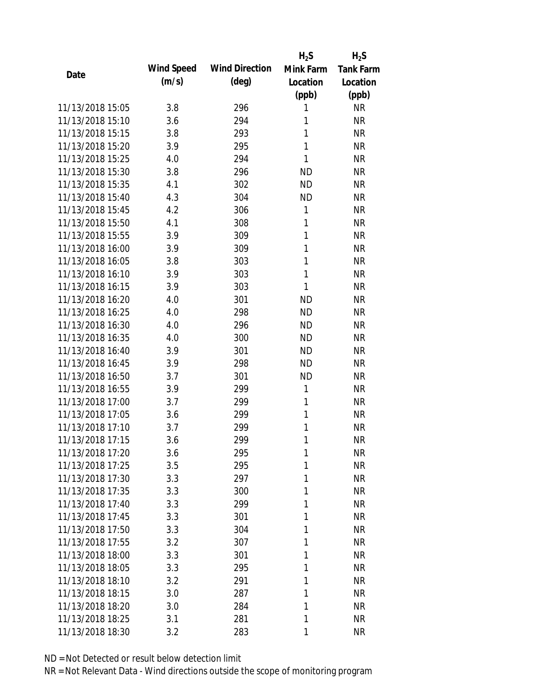|                  |            |                       | $H_2S$       | $H_2S$           |
|------------------|------------|-----------------------|--------------|------------------|
| Date             | Wind Speed | <b>Wind Direction</b> | Mink Farm    | <b>Tank Farm</b> |
|                  | (m/s)      | $(\text{deg})$        | Location     | Location         |
|                  |            |                       | (ppb)        | (ppb)            |
| 11/13/2018 15:05 | 3.8        | 296                   | 1            | <b>NR</b>        |
| 11/13/2018 15:10 | 3.6        | 294                   | 1            | <b>NR</b>        |
| 11/13/2018 15:15 | 3.8        | 293                   | 1            | <b>NR</b>        |
| 11/13/2018 15:20 | 3.9        | 295                   | 1            | <b>NR</b>        |
| 11/13/2018 15:25 | 4.0        | 294                   | 1            | <b>NR</b>        |
| 11/13/2018 15:30 | 3.8        | 296                   | <b>ND</b>    | <b>NR</b>        |
| 11/13/2018 15:35 | 4.1        | 302                   | <b>ND</b>    | <b>NR</b>        |
| 11/13/2018 15:40 | 4.3        | 304                   | <b>ND</b>    | <b>NR</b>        |
| 11/13/2018 15:45 | 4.2        | 306                   | 1            | <b>NR</b>        |
| 11/13/2018 15:50 | 4.1        | 308                   | $\mathbf{1}$ | <b>NR</b>        |
| 11/13/2018 15:55 | 3.9        | 309                   | 1            | <b>NR</b>        |
| 11/13/2018 16:00 | 3.9        | 309                   | 1            | <b>NR</b>        |
| 11/13/2018 16:05 | 3.8        | 303                   | 1            | <b>NR</b>        |
| 11/13/2018 16:10 | 3.9        | 303                   | 1            | <b>NR</b>        |
| 11/13/2018 16:15 | 3.9        | 303                   | 1            | <b>NR</b>        |
| 11/13/2018 16:20 | 4.0        | 301                   | <b>ND</b>    | <b>NR</b>        |
| 11/13/2018 16:25 | 4.0        | 298                   | <b>ND</b>    | <b>NR</b>        |
| 11/13/2018 16:30 | 4.0        | 296                   | <b>ND</b>    | <b>NR</b>        |
| 11/13/2018 16:35 | 4.0        | 300                   | <b>ND</b>    | <b>NR</b>        |
| 11/13/2018 16:40 | 3.9        | 301                   | <b>ND</b>    | <b>NR</b>        |
| 11/13/2018 16:45 | 3.9        | 298                   | <b>ND</b>    | <b>NR</b>        |
| 11/13/2018 16:50 | 3.7        | 301                   | <b>ND</b>    | <b>NR</b>        |
| 11/13/2018 16:55 | 3.9        | 299                   | 1            | <b>NR</b>        |
| 11/13/2018 17:00 | 3.7        | 299                   | 1            | <b>NR</b>        |
| 11/13/2018 17:05 | 3.6        | 299                   | 1            | <b>NR</b>        |
| 11/13/2018 17:10 | 3.7        | 299                   | 1            | <b>NR</b>        |
| 11/13/2018 17:15 | 3.6        | 299                   | 1            | <b>NR</b>        |
| 11/13/2018 17:20 | 3.6        | 295                   | 1            | <b>NR</b>        |
| 11/13/2018 17:25 | 3.5        | 295                   | 1            | <b>NR</b>        |
| 11/13/2018 17:30 | 3.3        | 297                   | 1            | <b>NR</b>        |
| 11/13/2018 17:35 | 3.3        | 300                   | 1            | <b>NR</b>        |
| 11/13/2018 17:40 | 3.3        | 299                   | 1            | <b>NR</b>        |
| 11/13/2018 17:45 | 3.3        | 301                   | 1            | <b>NR</b>        |
| 11/13/2018 17:50 | 3.3        | 304                   | 1            | <b>NR</b>        |
| 11/13/2018 17:55 | 3.2        | 307                   | 1            | <b>NR</b>        |
| 11/13/2018 18:00 | 3.3        | 301                   | 1            | <b>NR</b>        |
| 11/13/2018 18:05 | 3.3        | 295                   | 1            | <b>NR</b>        |
| 11/13/2018 18:10 | 3.2        | 291                   | 1            | <b>NR</b>        |
| 11/13/2018 18:15 | 3.0        | 287                   | 1            | <b>NR</b>        |
| 11/13/2018 18:20 | 3.0        | 284                   | 1            | <b>NR</b>        |
| 11/13/2018 18:25 | 3.1        | 281                   | 1            | <b>NR</b>        |
| 11/13/2018 18:30 | 3.2        | 283                   | 1            | <b>NR</b>        |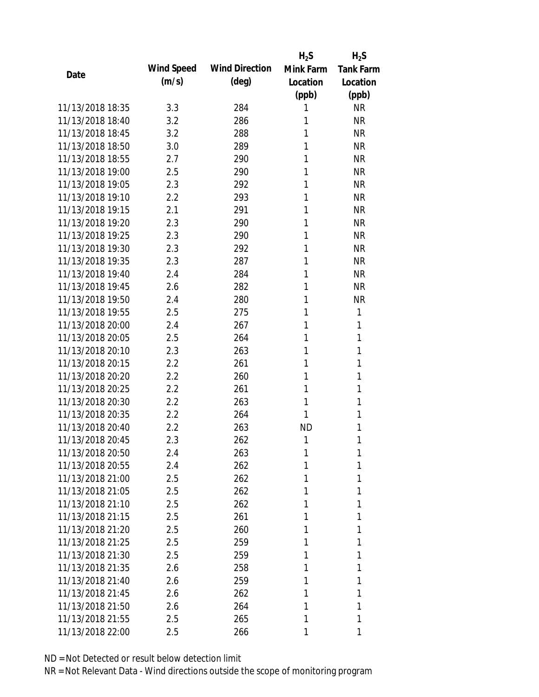|                  |            |                       | $H_2S$    | $H_2S$           |
|------------------|------------|-----------------------|-----------|------------------|
| Date             | Wind Speed | <b>Wind Direction</b> | Mink Farm | <b>Tank Farm</b> |
|                  | (m/s)      | $(\text{deg})$        | Location  | Location         |
|                  |            |                       | (ppb)     | (ppb)            |
| 11/13/2018 18:35 | 3.3        | 284                   | 1         | <b>NR</b>        |
| 11/13/2018 18:40 | 3.2        | 286                   | 1         | <b>NR</b>        |
| 11/13/2018 18:45 | 3.2        | 288                   | 1         | <b>NR</b>        |
| 11/13/2018 18:50 | 3.0        | 289                   | 1         | <b>NR</b>        |
| 11/13/2018 18:55 | 2.7        | 290                   | 1         | <b>NR</b>        |
| 11/13/2018 19:00 | 2.5        | 290                   | 1         | <b>NR</b>        |
| 11/13/2018 19:05 | 2.3        | 292                   | 1         | <b>NR</b>        |
| 11/13/2018 19:10 | 2.2        | 293                   | 1         | <b>NR</b>        |
| 11/13/2018 19:15 | 2.1        | 291                   | 1         | <b>NR</b>        |
| 11/13/2018 19:20 | 2.3        | 290                   | 1         | <b>NR</b>        |
| 11/13/2018 19:25 | 2.3        | 290                   | 1         | <b>NR</b>        |
| 11/13/2018 19:30 | 2.3        | 292                   | 1         | <b>NR</b>        |
| 11/13/2018 19:35 | 2.3        | 287                   | 1         | <b>NR</b>        |
| 11/13/2018 19:40 | 2.4        | 284                   | 1         | <b>NR</b>        |
| 11/13/2018 19:45 | 2.6        | 282                   | 1         | <b>NR</b>        |
| 11/13/2018 19:50 | 2.4        | 280                   | 1         | <b>NR</b>        |
| 11/13/2018 19:55 | 2.5        | 275                   | 1         | 1                |
| 11/13/2018 20:00 | 2.4        | 267                   | 1         | 1                |
| 11/13/2018 20:05 | 2.5        | 264                   | 1         | 1                |
| 11/13/2018 20:10 | 2.3        | 263                   | 1         | 1                |
| 11/13/2018 20:15 | 2.2        | 261                   | 1         | 1                |
| 11/13/2018 20:20 | 2.2        | 260                   | 1         | 1                |
| 11/13/2018 20:25 | 2.2        | 261                   | 1         | 1                |
| 11/13/2018 20:30 | 2.2        | 263                   | 1         | 1                |
| 11/13/2018 20:35 | 2.2        | 264                   | 1         | 1                |
| 11/13/2018 20:40 | 2.2        | 263                   | <b>ND</b> | 1                |
| 11/13/2018 20:45 | 2.3        | 262                   | 1         | 1                |
| 11/13/2018 20:50 | 2.4        | 263                   | 1         | 1                |
| 11/13/2018 20:55 | 2.4        | 262                   | 1         | 1                |
| 11/13/2018 21:00 | 2.5        | 262                   | 1         | 1                |
| 11/13/2018 21:05 | 2.5        | 262                   | 1         | 1                |
| 11/13/2018 21:10 | 2.5        | 262                   | 1         | 1                |
| 11/13/2018 21:15 | 2.5        | 261                   | 1         | 1                |
| 11/13/2018 21:20 | 2.5        | 260                   | 1         | 1                |
| 11/13/2018 21:25 | 2.5        | 259                   | 1         | 1                |
| 11/13/2018 21:30 | 2.5        | 259                   | 1         | 1                |
| 11/13/2018 21:35 | 2.6        | 258                   | 1         | 1                |
| 11/13/2018 21:40 | 2.6        | 259                   | 1         | 1                |
| 11/13/2018 21:45 | 2.6        | 262                   | 1         | 1                |
| 11/13/2018 21:50 | 2.6        | 264                   | 1         | 1                |
| 11/13/2018 21:55 | 2.5        | 265                   | 1         | 1                |
| 11/13/2018 22:00 | 2.5        | 266                   | 1         | 1                |
|                  |            |                       |           |                  |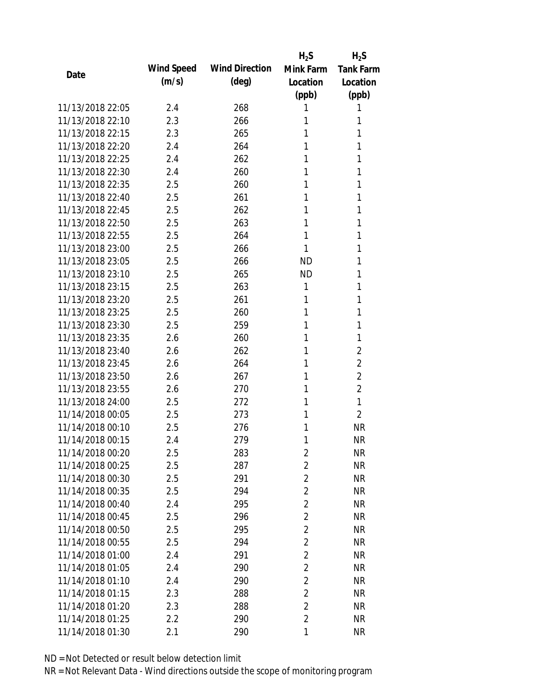|                  |            |                       | $H_2S$         | $H_2S$           |
|------------------|------------|-----------------------|----------------|------------------|
|                  | Wind Speed | <b>Wind Direction</b> | Mink Farm      | <b>Tank Farm</b> |
| Date             | (m/s)      | $(\text{deg})$        | Location       | Location         |
|                  |            |                       | (ppb)          | (ppb)            |
| 11/13/2018 22:05 | 2.4        | 268                   | 1              | 1                |
| 11/13/2018 22:10 | 2.3        | 266                   | 1              | 1                |
| 11/13/2018 22:15 | 2.3        | 265                   | 1              | 1                |
| 11/13/2018 22:20 | 2.4        | 264                   | 1              | 1                |
| 11/13/2018 22:25 | 2.4        | 262                   | 1              | 1                |
| 11/13/2018 22:30 | 2.4        | 260                   | 1              | 1                |
| 11/13/2018 22:35 | 2.5        | 260                   | 1              | 1                |
| 11/13/2018 22:40 | 2.5        | 261                   | 1              | 1                |
| 11/13/2018 22:45 | 2.5        | 262                   | 1              | 1                |
| 11/13/2018 22:50 | 2.5        | 263                   | 1              | 1                |
| 11/13/2018 22:55 | 2.5        | 264                   | 1              | 1                |
| 11/13/2018 23:00 | 2.5        | 266                   | 1              | 1                |
| 11/13/2018 23:05 | 2.5        | 266                   | <b>ND</b>      | 1                |
| 11/13/2018 23:10 | 2.5        | 265                   | <b>ND</b>      | 1                |
| 11/13/2018 23:15 | 2.5        | 263                   | 1              | 1                |
| 11/13/2018 23:20 | 2.5        | 261                   | 1              | 1                |
| 11/13/2018 23:25 | 2.5        | 260                   | 1              | 1                |
| 11/13/2018 23:30 | 2.5        | 259                   | 1              | 1                |
| 11/13/2018 23:35 | 2.6        | 260                   | 1              | 1                |
| 11/13/2018 23:40 | 2.6        | 262                   | 1              | 2                |
| 11/13/2018 23:45 | 2.6        | 264                   | 1              | $\overline{2}$   |
| 11/13/2018 23:50 | 2.6        | 267                   | 1              | $\overline{2}$   |
| 11/13/2018 23:55 | 2.6        | 270                   | 1              | $\overline{2}$   |
| 11/13/2018 24:00 | 2.5        | 272                   | 1              | 1                |
| 11/14/2018 00:05 | 2.5        | 273                   | 1              | $\overline{2}$   |
| 11/14/2018 00:10 | 2.5        | 276                   | 1              | <b>NR</b>        |
| 11/14/2018 00:15 | 2.4        | 279                   | 1              | <b>NR</b>        |
| 11/14/2018 00:20 | 2.5        | 283                   | $\overline{c}$ | <b>NR</b>        |
| 11/14/2018 00:25 | 2.5        | 287                   | $\overline{2}$ | <b>NR</b>        |
| 11/14/2018 00:30 | 2.5        | 291                   | $\overline{2}$ | <b>NR</b>        |
| 11/14/2018 00:35 | 2.5        | 294                   | $\overline{2}$ | <b>NR</b>        |
| 11/14/2018 00:40 | 2.4        | 295                   | $\overline{2}$ | <b>NR</b>        |
| 11/14/2018 00:45 | 2.5        | 296                   | 2              | <b>NR</b>        |
| 11/14/2018 00:50 | 2.5        | 295                   | $\overline{2}$ | <b>NR</b>        |
| 11/14/2018 00:55 | 2.5        | 294                   | $\overline{2}$ | <b>NR</b>        |
| 11/14/2018 01:00 | 2.4        | 291                   | $\overline{2}$ | <b>NR</b>        |
| 11/14/2018 01:05 | 2.4        | 290                   | $\overline{2}$ | <b>NR</b>        |
| 11/14/2018 01:10 | 2.4        | 290                   | $\overline{2}$ | <b>NR</b>        |
| 11/14/2018 01:15 | 2.3        | 288                   | $\overline{2}$ | <b>NR</b>        |
| 11/14/2018 01:20 | 2.3        | 288                   | 2              | <b>NR</b>        |
| 11/14/2018 01:25 | 2.2        | 290                   | $\overline{2}$ | <b>NR</b>        |
| 11/14/2018 01:30 | 2.1        | 290                   | 1              | <b>NR</b>        |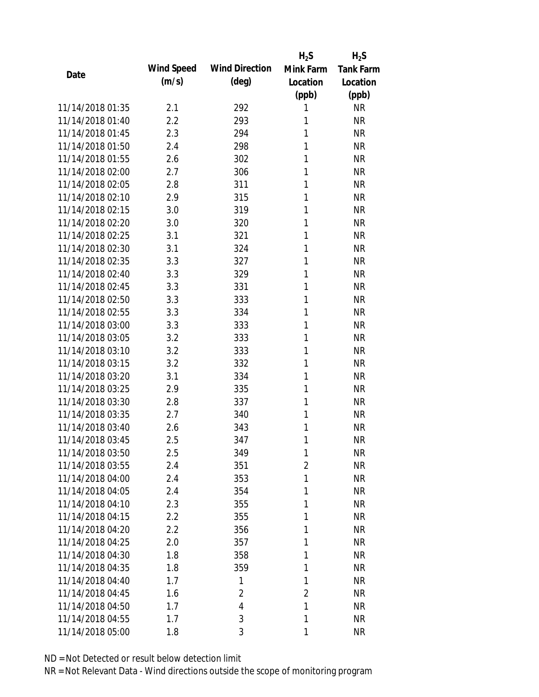|                  |            |                       | $H_2S$         | $H_2S$           |
|------------------|------------|-----------------------|----------------|------------------|
| Date             | Wind Speed | <b>Wind Direction</b> | Mink Farm      | <b>Tank Farm</b> |
|                  | (m/s)      | $(\text{deg})$        | Location       | Location         |
|                  |            |                       | (ppb)          | (ppb)            |
| 11/14/2018 01:35 | 2.1        | 292                   | 1              | <b>NR</b>        |
| 11/14/2018 01:40 | 2.2        | 293                   | 1              | <b>NR</b>        |
| 11/14/2018 01:45 | 2.3        | 294                   | 1              | <b>NR</b>        |
| 11/14/2018 01:50 | 2.4        | 298                   | 1              | <b>NR</b>        |
| 11/14/2018 01:55 | 2.6        | 302                   | 1              | <b>NR</b>        |
| 11/14/2018 02:00 | 2.7        | 306                   | 1              | <b>NR</b>        |
| 11/14/2018 02:05 | 2.8        | 311                   | 1              | <b>NR</b>        |
| 11/14/2018 02:10 | 2.9        | 315                   | 1              | <b>NR</b>        |
| 11/14/2018 02:15 | 3.0        | 319                   | 1              | <b>NR</b>        |
| 11/14/2018 02:20 | 3.0        | 320                   | 1              | <b>NR</b>        |
| 11/14/2018 02:25 | 3.1        | 321                   | 1              | <b>NR</b>        |
| 11/14/2018 02:30 | 3.1        | 324                   | 1              | <b>NR</b>        |
| 11/14/2018 02:35 | 3.3        | 327                   | 1              | <b>NR</b>        |
| 11/14/2018 02:40 | 3.3        | 329                   | 1              | <b>NR</b>        |
| 11/14/2018 02:45 | 3.3        | 331                   | 1              | <b>NR</b>        |
| 11/14/2018 02:50 | 3.3        | 333                   | 1              | <b>NR</b>        |
| 11/14/2018 02:55 | 3.3        | 334                   | 1              | <b>NR</b>        |
| 11/14/2018 03:00 | 3.3        | 333                   | 1              | <b>NR</b>        |
| 11/14/2018 03:05 | 3.2        | 333                   | 1              | <b>NR</b>        |
| 11/14/2018 03:10 | 3.2        | 333                   | 1              | <b>NR</b>        |
| 11/14/2018 03:15 | 3.2        | 332                   | 1              | <b>NR</b>        |
| 11/14/2018 03:20 | 3.1        | 334                   | 1              | <b>NR</b>        |
| 11/14/2018 03:25 | 2.9        | 335                   | 1              | <b>NR</b>        |
| 11/14/2018 03:30 | 2.8        | 337                   | 1              | <b>NR</b>        |
| 11/14/2018 03:35 | 2.7        | 340                   | 1              | <b>NR</b>        |
| 11/14/2018 03:40 | 2.6        | 343                   | 1              | <b>NR</b>        |
| 11/14/2018 03:45 | 2.5        | 347                   | 1              | <b>NR</b>        |
| 11/14/2018 03:50 | 2.5        | 349                   | 1              | <b>NR</b>        |
| 11/14/2018 03:55 | 2.4        | 351                   | 2              | <b>NR</b>        |
| 11/14/2018 04:00 | 2.4        | 353                   | 1              | <b>NR</b>        |
| 11/14/2018 04:05 | 2.4        | 354                   | 1              | <b>NR</b>        |
| 11/14/2018 04:10 | 2.3        | 355                   | 1              | <b>NR</b>        |
| 11/14/2018 04:15 | 2.2        | 355                   | 1              | <b>NR</b>        |
| 11/14/2018 04:20 | 2.2        | 356                   | 1              | <b>NR</b>        |
| 11/14/2018 04:25 | 2.0        | 357                   | 1              | <b>NR</b>        |
| 11/14/2018 04:30 | 1.8        | 358                   | 1              | <b>NR</b>        |
| 11/14/2018 04:35 | 1.8        | 359                   | 1              | <b>NR</b>        |
| 11/14/2018 04:40 | 1.7        | 1                     | 1              | <b>NR</b>        |
| 11/14/2018 04:45 | 1.6        | $\overline{2}$        | $\overline{2}$ | <b>NR</b>        |
| 11/14/2018 04:50 | 1.7        | $\overline{4}$        | 1              | <b>NR</b>        |
| 11/14/2018 04:55 | 1.7        | 3                     | 1              | <b>NR</b>        |
| 11/14/2018 05:00 | 1.8        | 3                     | 1              | <b>NR</b>        |
|                  |            |                       |                |                  |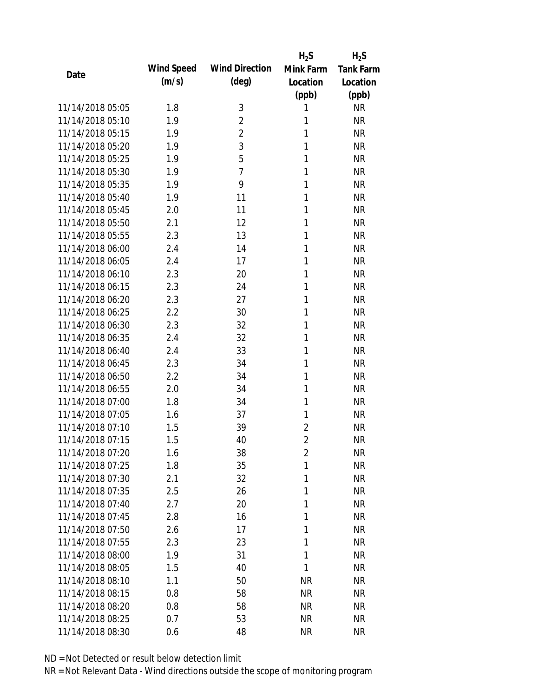|                  |            |                       | $H_2S$         | $H_2S$           |
|------------------|------------|-----------------------|----------------|------------------|
| Date             | Wind Speed | <b>Wind Direction</b> | Mink Farm      | <b>Tank Farm</b> |
|                  | (m/s)      | (deg)                 | Location       | Location         |
|                  |            |                       | (ppb)          | (ppb)            |
| 11/14/2018 05:05 | 1.8        | 3                     | 1              | <b>NR</b>        |
| 11/14/2018 05:10 | 1.9        | $\overline{2}$        | 1              | <b>NR</b>        |
| 11/14/2018 05:15 | 1.9        | $\overline{2}$        | 1              | <b>NR</b>        |
| 11/14/2018 05:20 | 1.9        | 3                     | 1              | <b>NR</b>        |
| 11/14/2018 05:25 | 1.9        | 5                     | 1              | <b>NR</b>        |
| 11/14/2018 05:30 | 1.9        | $\overline{7}$        | 1              | <b>NR</b>        |
| 11/14/2018 05:35 | 1.9        | 9                     | 1              | <b>NR</b>        |
| 11/14/2018 05:40 | 1.9        | 11                    | 1              | <b>NR</b>        |
| 11/14/2018 05:45 | 2.0        | 11                    | 1              | <b>NR</b>        |
| 11/14/2018 05:50 | 2.1        | 12                    | 1              | <b>NR</b>        |
| 11/14/2018 05:55 | 2.3        | 13                    | 1              | <b>NR</b>        |
| 11/14/2018 06:00 | 2.4        | 14                    | 1              | <b>NR</b>        |
| 11/14/2018 06:05 | 2.4        | 17                    | 1              | <b>NR</b>        |
| 11/14/2018 06:10 | 2.3        | 20                    | 1              | <b>NR</b>        |
| 11/14/2018 06:15 | 2.3        | 24                    | 1              | <b>NR</b>        |
| 11/14/2018 06:20 | 2.3        | 27                    | 1              | <b>NR</b>        |
| 11/14/2018 06:25 | 2.2        | 30                    | 1              | <b>NR</b>        |
| 11/14/2018 06:30 | 2.3        | 32                    | 1              | <b>NR</b>        |
| 11/14/2018 06:35 | 2.4        | 32                    | 1              | <b>NR</b>        |
| 11/14/2018 06:40 | 2.4        | 33                    | 1              | <b>NR</b>        |
| 11/14/2018 06:45 | 2.3        | 34                    | 1              | <b>NR</b>        |
| 11/14/2018 06:50 | 2.2        | 34                    | 1              | <b>NR</b>        |
| 11/14/2018 06:55 | 2.0        | 34                    | 1              | <b>NR</b>        |
| 11/14/2018 07:00 | 1.8        | 34                    | 1              | <b>NR</b>        |
| 11/14/2018 07:05 | 1.6        | 37                    | 1              | <b>NR</b>        |
| 11/14/2018 07:10 | 1.5        | 39                    | $\overline{2}$ | <b>NR</b>        |
| 11/14/2018 07:15 | 1.5        | 40                    | $\overline{2}$ | <b>NR</b>        |
| 11/14/2018 07:20 | 1.6        | 38                    | $\overline{2}$ | <b>NR</b>        |
| 11/14/2018 07:25 | 1.8        | 35                    | 1              | <b>NR</b>        |
| 11/14/2018 07:30 | 2.1        | 32                    | 1              | <b>NR</b>        |
| 11/14/2018 07:35 | 2.5        | 26                    | 1              | <b>NR</b>        |
| 11/14/2018 07:40 | 2.7        | 20                    | 1              | <b>NR</b>        |
| 11/14/2018 07:45 | 2.8        | 16                    | 1              | <b>NR</b>        |
| 11/14/2018 07:50 | 2.6        | 17                    | 1              | <b>NR</b>        |
| 11/14/2018 07:55 | 2.3        | 23                    | 1              | <b>NR</b>        |
| 11/14/2018 08:00 | 1.9        | 31                    | 1              | <b>NR</b>        |
| 11/14/2018 08:05 | 1.5        | 40                    | 1              | <b>NR</b>        |
| 11/14/2018 08:10 | 1.1        | 50                    | <b>NR</b>      | <b>NR</b>        |
| 11/14/2018 08:15 | 0.8        | 58                    | <b>NR</b>      | <b>NR</b>        |
| 11/14/2018 08:20 | 0.8        | 58                    | <b>NR</b>      | <b>NR</b>        |
| 11/14/2018 08:25 | 0.7        | 53                    | <b>NR</b>      | <b>NR</b>        |
| 11/14/2018 08:30 | 0.6        | 48                    | <b>NR</b>      | <b>NR</b>        |
|                  |            |                       |                |                  |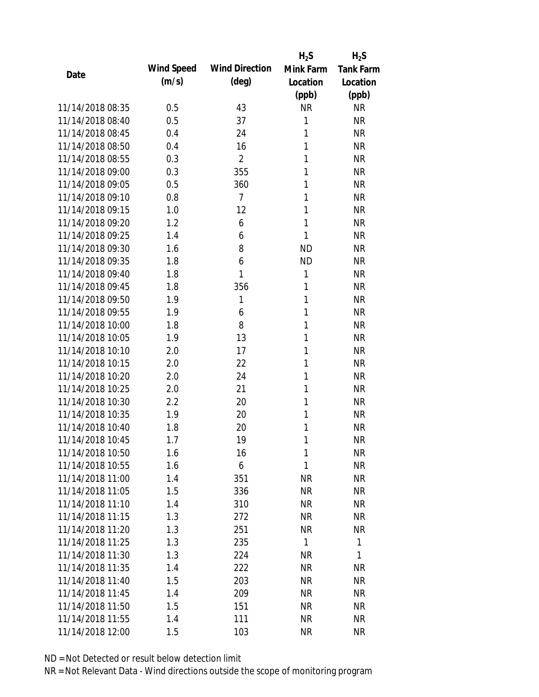|                  |            |                       | $H_2S$       | $H_2S$           |
|------------------|------------|-----------------------|--------------|------------------|
|                  | Wind Speed | <b>Wind Direction</b> | Mink Farm    | <b>Tank Farm</b> |
| Date             | (m/s)      | $(\text{deg})$        | Location     | Location         |
|                  |            |                       | (ppb)        | (ppb)            |
| 11/14/2018 08:35 | 0.5        | 43                    | <b>NR</b>    | <b>NR</b>        |
| 11/14/2018 08:40 | 0.5        | 37                    | 1            | <b>NR</b>        |
| 11/14/2018 08:45 | 0.4        | 24                    | 1            | <b>NR</b>        |
| 11/14/2018 08:50 | 0.4        | 16                    | 1            | <b>NR</b>        |
| 11/14/2018 08:55 | 0.3        | 2                     | 1            | <b>NR</b>        |
| 11/14/2018 09:00 | 0.3        | 355                   | 1            | <b>NR</b>        |
| 11/14/2018 09:05 | 0.5        | 360                   | 1            | <b>NR</b>        |
| 11/14/2018 09:10 | 0.8        | $\overline{7}$        | 1            | <b>NR</b>        |
| 11/14/2018 09:15 | 1.0        | 12                    | 1            | <b>NR</b>        |
| 11/14/2018 09:20 | 1.2        | 6                     | $\mathbf{1}$ | <b>NR</b>        |
| 11/14/2018 09:25 | 1.4        | 6                     | 1            | <b>NR</b>        |
| 11/14/2018 09:30 | 1.6        | 8                     | <b>ND</b>    | <b>NR</b>        |
| 11/14/2018 09:35 | 1.8        | 6                     | <b>ND</b>    | <b>NR</b>        |
| 11/14/2018 09:40 | 1.8        | 1                     | 1            | <b>NR</b>        |
| 11/14/2018 09:45 | 1.8        | 356                   | 1            | <b>NR</b>        |
| 11/14/2018 09:50 | 1.9        | 1                     | 1            | <b>NR</b>        |
| 11/14/2018 09:55 | 1.9        | 6                     | 1            | <b>NR</b>        |
| 11/14/2018 10:00 | 1.8        | 8                     | 1            | <b>NR</b>        |
| 11/14/2018 10:05 | 1.9        | 13                    | $\mathbf{1}$ | <b>NR</b>        |
| 11/14/2018 10:10 | 2.0        | 17                    | 1            | <b>NR</b>        |
| 11/14/2018 10:15 | 2.0        | 22                    | 1            | <b>NR</b>        |
| 11/14/2018 10:20 | 2.0        | 24                    | 1            | <b>NR</b>        |
| 11/14/2018 10:25 | 2.0        | 21                    | 1            | <b>NR</b>        |
| 11/14/2018 10:30 | 2.2        | 20                    | 1            | <b>NR</b>        |
| 11/14/2018 10:35 | 1.9        | 20                    | 1            | <b>NR</b>        |
| 11/14/2018 10:40 | 1.8        | 20                    | 1            | <b>NR</b>        |
| 11/14/2018 10:45 | 1.7        | 19                    | 1            | <b>NR</b>        |
| 11/14/2018 10:50 | 1.6        | 16                    | 1            | <b>NR</b>        |
| 11/14/2018 10:55 | 1.6        | 6                     | 1            | <b>NR</b>        |
| 11/14/2018 11:00 | 1.4        | 351                   | <b>NR</b>    | <b>NR</b>        |
| 11/14/2018 11:05 | 1.5        | 336                   | <b>NR</b>    | <b>NR</b>        |
| 11/14/2018 11:10 | 1.4        | 310                   | <b>NR</b>    | <b>NR</b>        |
| 11/14/2018 11:15 | 1.3        | 272                   | <b>NR</b>    | <b>NR</b>        |
| 11/14/2018 11:20 | 1.3        | 251                   | <b>NR</b>    | <b>NR</b>        |
| 11/14/2018 11:25 | 1.3        | 235                   | 1            | 1                |
| 11/14/2018 11:30 | 1.3        | 224                   | <b>NR</b>    | 1                |
| 11/14/2018 11:35 | 1.4        | 222                   | <b>NR</b>    | <b>NR</b>        |
| 11/14/2018 11:40 | 1.5        | 203                   | <b>NR</b>    | <b>NR</b>        |
| 11/14/2018 11:45 | 1.4        | 209                   | <b>NR</b>    | <b>NR</b>        |
| 11/14/2018 11:50 | 1.5        | 151                   | <b>NR</b>    | <b>NR</b>        |
| 11/14/2018 11:55 | 1.4        | 111                   | <b>NR</b>    | <b>NR</b>        |
| 11/14/2018 12:00 | 1.5        | 103                   | <b>NR</b>    | <b>NR</b>        |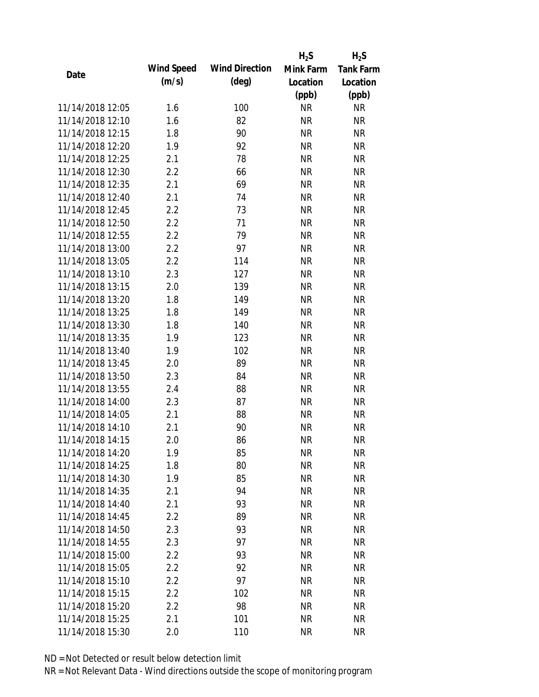|                  |            |                       | $H_2S$    | $H_2S$           |
|------------------|------------|-----------------------|-----------|------------------|
| Date             | Wind Speed | <b>Wind Direction</b> | Mink Farm | <b>Tank Farm</b> |
|                  | (m/s)      | $(\text{deg})$        | Location  | Location         |
|                  |            |                       | (ppb)     | (ppb)            |
| 11/14/2018 12:05 | 1.6        | 100                   | <b>NR</b> | <b>NR</b>        |
| 11/14/2018 12:10 | 1.6        | 82                    | <b>NR</b> | <b>NR</b>        |
| 11/14/2018 12:15 | 1.8        | 90                    | <b>NR</b> | <b>NR</b>        |
| 11/14/2018 12:20 | 1.9        | 92                    | <b>NR</b> | <b>NR</b>        |
| 11/14/2018 12:25 | 2.1        | 78                    | <b>NR</b> | <b>NR</b>        |
| 11/14/2018 12:30 | 2.2        | 66                    | <b>NR</b> | <b>NR</b>        |
| 11/14/2018 12:35 | 2.1        | 69                    | <b>NR</b> | <b>NR</b>        |
| 11/14/2018 12:40 | 2.1        | 74                    | <b>NR</b> | <b>NR</b>        |
| 11/14/2018 12:45 | 2.2        | 73                    | <b>NR</b> | <b>NR</b>        |
| 11/14/2018 12:50 | 2.2        | 71                    | <b>NR</b> | <b>NR</b>        |
| 11/14/2018 12:55 | 2.2        | 79                    | <b>NR</b> | <b>NR</b>        |
| 11/14/2018 13:00 | 2.2        | 97                    | <b>NR</b> | <b>NR</b>        |
| 11/14/2018 13:05 | 2.2        | 114                   | <b>NR</b> | <b>NR</b>        |
| 11/14/2018 13:10 | 2.3        | 127                   | <b>NR</b> | <b>NR</b>        |
| 11/14/2018 13:15 | 2.0        | 139                   | <b>NR</b> | <b>NR</b>        |
| 11/14/2018 13:20 | 1.8        | 149                   | <b>NR</b> | <b>NR</b>        |
| 11/14/2018 13:25 | 1.8        | 149                   | <b>NR</b> | <b>NR</b>        |
| 11/14/2018 13:30 | 1.8        | 140                   | <b>NR</b> | <b>NR</b>        |
| 11/14/2018 13:35 | 1.9        | 123                   | <b>NR</b> | <b>NR</b>        |
| 11/14/2018 13:40 | 1.9        | 102                   | <b>NR</b> | <b>NR</b>        |
| 11/14/2018 13:45 | 2.0        | 89                    | <b>NR</b> | <b>NR</b>        |
| 11/14/2018 13:50 | 2.3        | 84                    | <b>NR</b> | <b>NR</b>        |
| 11/14/2018 13:55 | 2.4        | 88                    | <b>NR</b> | <b>NR</b>        |
| 11/14/2018 14:00 | 2.3        | 87                    | <b>NR</b> | <b>NR</b>        |
| 11/14/2018 14:05 | 2.1        | 88                    | <b>NR</b> | <b>NR</b>        |
| 11/14/2018 14:10 | 2.1        | 90                    | <b>NR</b> | <b>NR</b>        |
| 11/14/2018 14:15 | 2.0        | 86                    | <b>NR</b> | <b>NR</b>        |
| 11/14/2018 14:20 | 1.9        | 85                    | <b>NR</b> | <b>NR</b>        |
| 11/14/2018 14:25 | 1.8        | 80                    | <b>NR</b> | <b>NR</b>        |
| 11/14/2018 14:30 | 1.9        | 85                    | <b>NR</b> | <b>NR</b>        |
| 11/14/2018 14:35 | 2.1        | 94                    | <b>NR</b> | <b>NR</b>        |
| 11/14/2018 14:40 | 2.1        | 93                    | <b>NR</b> | <b>NR</b>        |
| 11/14/2018 14:45 | 2.2        | 89                    | <b>NR</b> | <b>NR</b>        |
| 11/14/2018 14:50 | 2.3        | 93                    | <b>NR</b> | <b>NR</b>        |
| 11/14/2018 14:55 | 2.3        | 97                    | <b>NR</b> | <b>NR</b>        |
| 11/14/2018 15:00 | 2.2        | 93                    | <b>NR</b> | <b>NR</b>        |
| 11/14/2018 15:05 | 2.2        | 92                    | <b>NR</b> | <b>NR</b>        |
| 11/14/2018 15:10 | 2.2        | 97                    | NR        | <b>NR</b>        |
| 11/14/2018 15:15 | 2.2        | 102                   | <b>NR</b> | <b>NR</b>        |
| 11/14/2018 15:20 | 2.2        | 98                    | <b>NR</b> | <b>NR</b>        |
| 11/14/2018 15:25 | 2.1        | 101                   | <b>NR</b> | <b>NR</b>        |
| 11/14/2018 15:30 |            |                       |           |                  |
|                  | 2.0        | 110                   | <b>NR</b> | <b>NR</b>        |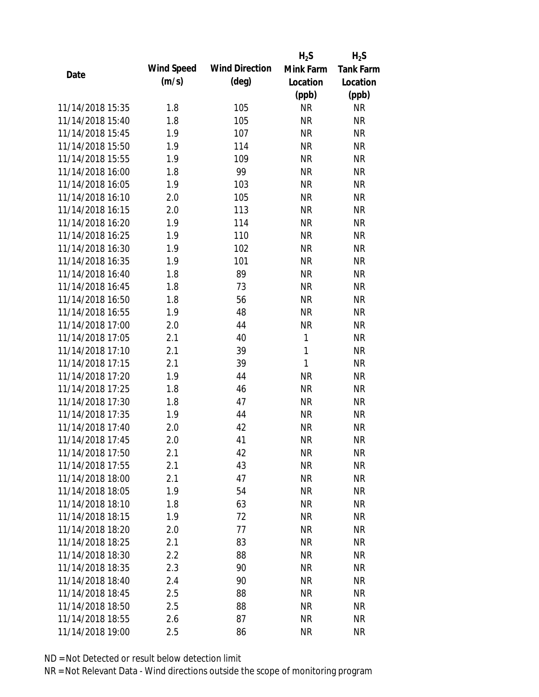|                  |            |                       | $H_2S$    | $H_2S$           |
|------------------|------------|-----------------------|-----------|------------------|
| Date             | Wind Speed | <b>Wind Direction</b> | Mink Farm | <b>Tank Farm</b> |
|                  | (m/s)      | $(\text{deg})$        | Location  | Location         |
|                  |            |                       | (ppb)     | (ppb)            |
| 11/14/2018 15:35 | 1.8        | 105                   | <b>NR</b> | <b>NR</b>        |
| 11/14/2018 15:40 | 1.8        | 105                   | <b>NR</b> | <b>NR</b>        |
| 11/14/2018 15:45 | 1.9        | 107                   | <b>NR</b> | <b>NR</b>        |
| 11/14/2018 15:50 | 1.9        | 114                   | <b>NR</b> | <b>NR</b>        |
| 11/14/2018 15:55 | 1.9        | 109                   | <b>NR</b> | <b>NR</b>        |
| 11/14/2018 16:00 | 1.8        | 99                    | <b>NR</b> | <b>NR</b>        |
| 11/14/2018 16:05 | 1.9        | 103                   | <b>NR</b> | <b>NR</b>        |
| 11/14/2018 16:10 | 2.0        | 105                   | <b>NR</b> | <b>NR</b>        |
| 11/14/2018 16:15 | 2.0        | 113                   | <b>NR</b> | <b>NR</b>        |
| 11/14/2018 16:20 | 1.9        | 114                   | <b>NR</b> | <b>NR</b>        |
| 11/14/2018 16:25 | 1.9        | 110                   | <b>NR</b> | <b>NR</b>        |
| 11/14/2018 16:30 | 1.9        | 102                   | <b>NR</b> | <b>NR</b>        |
| 11/14/2018 16:35 | 1.9        | 101                   | <b>NR</b> | <b>NR</b>        |
| 11/14/2018 16:40 | 1.8        | 89                    | <b>NR</b> | <b>NR</b>        |
| 11/14/2018 16:45 | 1.8        | 73                    | <b>NR</b> | <b>NR</b>        |
| 11/14/2018 16:50 | 1.8        | 56                    | <b>NR</b> | <b>NR</b>        |
| 11/14/2018 16:55 | 1.9        | 48                    | <b>NR</b> | <b>NR</b>        |
| 11/14/2018 17:00 | 2.0        | 44                    | <b>NR</b> | <b>NR</b>        |
| 11/14/2018 17:05 | 2.1        | 40                    | 1         | <b>NR</b>        |
| 11/14/2018 17:10 | 2.1        | 39                    | 1         | <b>NR</b>        |
| 11/14/2018 17:15 | 2.1        | 39                    | 1         | <b>NR</b>        |
| 11/14/2018 17:20 | 1.9        | 44                    | <b>NR</b> | <b>NR</b>        |
| 11/14/2018 17:25 | 1.8        | 46                    | <b>NR</b> | <b>NR</b>        |
| 11/14/2018 17:30 | 1.8        | 47                    | <b>NR</b> | <b>NR</b>        |
| 11/14/2018 17:35 | 1.9        | 44                    | <b>NR</b> | <b>NR</b>        |
| 11/14/2018 17:40 | 2.0        | 42                    | <b>NR</b> | <b>NR</b>        |
| 11/14/2018 17:45 | 2.0        | 41                    | <b>NR</b> | <b>NR</b>        |
| 11/14/2018 17:50 | 2.1        | 42                    | <b>NR</b> | <b>NR</b>        |
| 11/14/2018 17:55 | 2.1        | 43                    | <b>NR</b> | <b>NR</b>        |
| 11/14/2018 18:00 | 2.1        | 47                    | <b>NR</b> | NR               |
| 11/14/2018 18:05 | 1.9        | 54                    | <b>NR</b> | <b>NR</b>        |
| 11/14/2018 18:10 | 1.8        | 63                    | <b>NR</b> | <b>NR</b>        |
| 11/14/2018 18:15 | 1.9        | 72                    | <b>NR</b> | NR               |
| 11/14/2018 18:20 | 2.0        | 77                    | <b>NR</b> | <b>NR</b>        |
| 11/14/2018 18:25 | 2.1        | 83                    | <b>NR</b> | <b>NR</b>        |
| 11/14/2018 18:30 | 2.2        | 88                    | <b>NR</b> | <b>NR</b>        |
| 11/14/2018 18:35 | 2.3        | 90                    | <b>NR</b> | <b>NR</b>        |
| 11/14/2018 18:40 | 2.4        | 90                    | <b>NR</b> | <b>NR</b>        |
| 11/14/2018 18:45 | 2.5        | 88                    | <b>NR</b> | <b>NR</b>        |
| 11/14/2018 18:50 | 2.5        | 88                    | <b>NR</b> | <b>NR</b>        |
| 11/14/2018 18:55 | 2.6        | 87                    | <b>NR</b> | <b>NR</b>        |
| 11/14/2018 19:00 | 2.5        | 86                    | <b>NR</b> | <b>NR</b>        |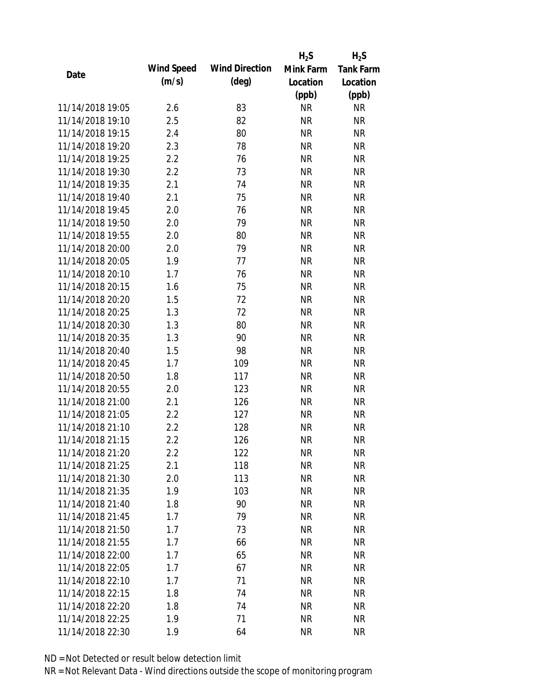|                  |            |                       | $H_2S$    | $H_2S$           |
|------------------|------------|-----------------------|-----------|------------------|
| Date             | Wind Speed | <b>Wind Direction</b> | Mink Farm | <b>Tank Farm</b> |
|                  | (m/s)      | $(\text{deg})$        | Location  | Location         |
|                  |            |                       | (ppb)     | (ppb)            |
| 11/14/2018 19:05 | 2.6        | 83                    | <b>NR</b> | <b>NR</b>        |
| 11/14/2018 19:10 | 2.5        | 82                    | <b>NR</b> | <b>NR</b>        |
| 11/14/2018 19:15 | 2.4        | 80                    | <b>NR</b> | <b>NR</b>        |
| 11/14/2018 19:20 | 2.3        | 78                    | <b>NR</b> | <b>NR</b>        |
| 11/14/2018 19:25 | 2.2        | 76                    | <b>NR</b> | <b>NR</b>        |
| 11/14/2018 19:30 | 2.2        | 73                    | <b>NR</b> | <b>NR</b>        |
| 11/14/2018 19:35 | 2.1        | 74                    | <b>NR</b> | <b>NR</b>        |
| 11/14/2018 19:40 | 2.1        | 75                    | <b>NR</b> | <b>NR</b>        |
| 11/14/2018 19:45 | 2.0        | 76                    | <b>NR</b> | <b>NR</b>        |
| 11/14/2018 19:50 | 2.0        | 79                    | <b>NR</b> | <b>NR</b>        |
| 11/14/2018 19:55 | 2.0        | 80                    | <b>NR</b> | <b>NR</b>        |
| 11/14/2018 20:00 | 2.0        | 79                    | <b>NR</b> | <b>NR</b>        |
| 11/14/2018 20:05 | 1.9        | 77                    | <b>NR</b> | <b>NR</b>        |
| 11/14/2018 20:10 | 1.7        | 76                    | <b>NR</b> | <b>NR</b>        |
| 11/14/2018 20:15 | 1.6        | 75                    | <b>NR</b> | <b>NR</b>        |
| 11/14/2018 20:20 | 1.5        | 72                    | <b>NR</b> | <b>NR</b>        |
| 11/14/2018 20:25 | 1.3        | 72                    | <b>NR</b> | <b>NR</b>        |
| 11/14/2018 20:30 | 1.3        | 80                    | <b>NR</b> | <b>NR</b>        |
| 11/14/2018 20:35 | 1.3        | 90                    | <b>NR</b> | <b>NR</b>        |
| 11/14/2018 20:40 | 1.5        | 98                    | <b>NR</b> | <b>NR</b>        |
| 11/14/2018 20:45 | 1.7        | 109                   | <b>NR</b> | <b>NR</b>        |
| 11/14/2018 20:50 | 1.8        | 117                   | <b>NR</b> | <b>NR</b>        |
| 11/14/2018 20:55 | 2.0        | 123                   | <b>NR</b> | <b>NR</b>        |
| 11/14/2018 21:00 | 2.1        | 126                   | <b>NR</b> | <b>NR</b>        |
| 11/14/2018 21:05 | 2.2        | 127                   | <b>NR</b> | <b>NR</b>        |
| 11/14/2018 21:10 | 2.2        | 128                   | <b>NR</b> | <b>NR</b>        |
| 11/14/2018 21:15 | 2.2        | 126                   | <b>NR</b> | <b>NR</b>        |
| 11/14/2018 21:20 | 2.2        | 122                   | <b>NR</b> | <b>NR</b>        |
| 11/14/2018 21:25 | 2.1        | 118                   | <b>NR</b> | <b>NR</b>        |
| 11/14/2018 21:30 | 2.0        | 113                   | <b>NR</b> | <b>NR</b>        |
| 11/14/2018 21:35 | 1.9        | 103                   | <b>NR</b> | <b>NR</b>        |
| 11/14/2018 21:40 | 1.8        | 90                    | <b>NR</b> | <b>NR</b>        |
| 11/14/2018 21:45 | 1.7        | 79                    | <b>NR</b> | <b>NR</b>        |
| 11/14/2018 21:50 | 1.7        | 73                    | <b>NR</b> | <b>NR</b>        |
| 11/14/2018 21:55 | 1.7        | 66                    | <b>NR</b> | <b>NR</b>        |
| 11/14/2018 22:00 | 1.7        | 65                    | <b>NR</b> | <b>NR</b>        |
| 11/14/2018 22:05 | 1.7        | 67                    | <b>NR</b> | <b>NR</b>        |
| 11/14/2018 22:10 | 1.7        | 71                    | <b>NR</b> | <b>NR</b>        |
| 11/14/2018 22:15 | 1.8        | 74                    | <b>NR</b> | <b>NR</b>        |
| 11/14/2018 22:20 | 1.8        | 74                    | <b>NR</b> | <b>NR</b>        |
| 11/14/2018 22:25 | 1.9        | 71                    | <b>NR</b> | <b>NR</b>        |
| 11/14/2018 22:30 | 1.9        | 64                    | <b>NR</b> | <b>NR</b>        |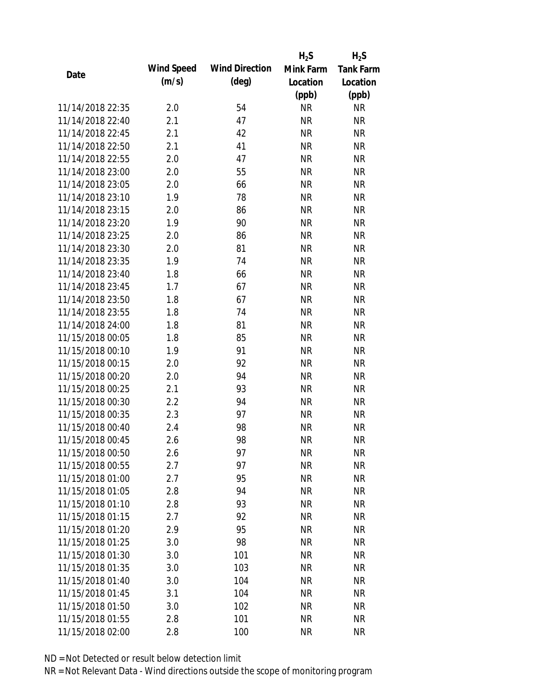|                  |            |                       | $H_2S$    | $H_2S$           |
|------------------|------------|-----------------------|-----------|------------------|
|                  | Wind Speed | <b>Wind Direction</b> | Mink Farm | <b>Tank Farm</b> |
| Date             | (m/s)      | $(\text{deg})$        | Location  | Location         |
|                  |            |                       | (ppb)     | (ppb)            |
| 11/14/2018 22:35 | 2.0        | 54                    | <b>NR</b> | <b>NR</b>        |
| 11/14/2018 22:40 | 2.1        | 47                    | <b>NR</b> | <b>NR</b>        |
| 11/14/2018 22:45 | 2.1        | 42                    | <b>NR</b> | <b>NR</b>        |
| 11/14/2018 22:50 | 2.1        | 41                    | <b>NR</b> | <b>NR</b>        |
| 11/14/2018 22:55 | 2.0        | 47                    | <b>NR</b> | <b>NR</b>        |
| 11/14/2018 23:00 | 2.0        | 55                    | <b>NR</b> | <b>NR</b>        |
| 11/14/2018 23:05 | 2.0        | 66                    | <b>NR</b> | <b>NR</b>        |
| 11/14/2018 23:10 | 1.9        | 78                    | <b>NR</b> | <b>NR</b>        |
| 11/14/2018 23:15 | 2.0        | 86                    | <b>NR</b> | <b>NR</b>        |
| 11/14/2018 23:20 | 1.9        | 90                    | <b>NR</b> | <b>NR</b>        |
| 11/14/2018 23:25 | 2.0        | 86                    | <b>NR</b> | <b>NR</b>        |
| 11/14/2018 23:30 | 2.0        | 81                    | <b>NR</b> | <b>NR</b>        |
| 11/14/2018 23:35 | 1.9        | 74                    | <b>NR</b> | <b>NR</b>        |
| 11/14/2018 23:40 | 1.8        | 66                    | <b>NR</b> | <b>NR</b>        |
| 11/14/2018 23:45 | 1.7        | 67                    | <b>NR</b> | <b>NR</b>        |
| 11/14/2018 23:50 | 1.8        | 67                    | <b>NR</b> | <b>NR</b>        |
| 11/14/2018 23:55 | 1.8        | 74                    | <b>NR</b> | <b>NR</b>        |
| 11/14/2018 24:00 | 1.8        | 81                    | <b>NR</b> | <b>NR</b>        |
| 11/15/2018 00:05 | 1.8        | 85                    | <b>NR</b> | <b>NR</b>        |
| 11/15/2018 00:10 | 1.9        | 91                    | <b>NR</b> | <b>NR</b>        |
| 11/15/2018 00:15 | 2.0        | 92                    | <b>NR</b> | <b>NR</b>        |
| 11/15/2018 00:20 | 2.0        | 94                    | <b>NR</b> | <b>NR</b>        |
| 11/15/2018 00:25 | 2.1        | 93                    | <b>NR</b> | <b>NR</b>        |
| 11/15/2018 00:30 | 2.2        | 94                    | <b>NR</b> | <b>NR</b>        |
| 11/15/2018 00:35 | 2.3        | 97                    | <b>NR</b> | <b>NR</b>        |
| 11/15/2018 00:40 | 2.4        | 98                    | <b>NR</b> | <b>NR</b>        |
| 11/15/2018 00:45 | 2.6        | 98                    | <b>NR</b> | <b>NR</b>        |
| 11/15/2018 00:50 | 2.6        | 97                    | <b>NR</b> | <b>NR</b>        |
| 11/15/2018 00:55 | 2.7        | 97                    | <b>NR</b> | <b>NR</b>        |
| 11/15/2018 01:00 | 2.7        | 95                    | <b>NR</b> | <b>NR</b>        |
| 11/15/2018 01:05 | 2.8        | 94                    | <b>NR</b> | <b>NR</b>        |
| 11/15/2018 01:10 | 2.8        | 93                    | <b>NR</b> | <b>NR</b>        |
| 11/15/2018 01:15 | 2.7        | 92                    | <b>NR</b> | <b>NR</b>        |
| 11/15/2018 01:20 | 2.9        | 95                    | <b>NR</b> | <b>NR</b>        |
| 11/15/2018 01:25 | 3.0        | 98                    | <b>NR</b> | <b>NR</b>        |
| 11/15/2018 01:30 | 3.0        | 101                   | <b>NR</b> | <b>NR</b>        |
| 11/15/2018 01:35 | 3.0        | 103                   | <b>NR</b> | <b>NR</b>        |
| 11/15/2018 01:40 | 3.0        | 104                   | <b>NR</b> | <b>NR</b>        |
| 11/15/2018 01:45 | 3.1        | 104                   | <b>NR</b> | <b>NR</b>        |
| 11/15/2018 01:50 | 3.0        | 102                   | <b>NR</b> | <b>NR</b>        |
| 11/15/2018 01:55 | 2.8        | 101                   | <b>NR</b> | <b>NR</b>        |
| 11/15/2018 02:00 | 2.8        | 100                   | <b>NR</b> | <b>NR</b>        |
|                  |            |                       |           |                  |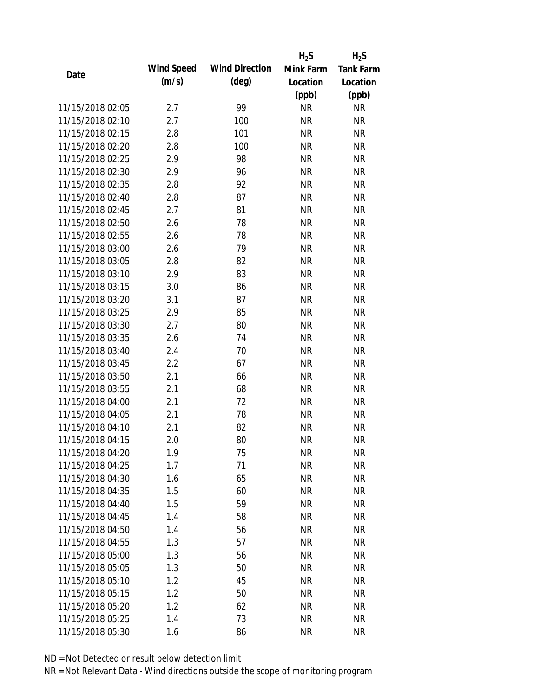|                  |            |                       | $H_2S$    | $H_2S$           |
|------------------|------------|-----------------------|-----------|------------------|
| Date             | Wind Speed | <b>Wind Direction</b> | Mink Farm | <b>Tank Farm</b> |
|                  | (m/s)      | $(\text{deg})$        | Location  | Location         |
|                  |            |                       | (ppb)     | (ppb)            |
| 11/15/2018 02:05 | 2.7        | 99                    | <b>NR</b> | <b>NR</b>        |
| 11/15/2018 02:10 | 2.7        | 100                   | <b>NR</b> | <b>NR</b>        |
| 11/15/2018 02:15 | 2.8        | 101                   | <b>NR</b> | <b>NR</b>        |
| 11/15/2018 02:20 | 2.8        | 100                   | <b>NR</b> | <b>NR</b>        |
| 11/15/2018 02:25 | 2.9        | 98                    | <b>NR</b> | <b>NR</b>        |
| 11/15/2018 02:30 | 2.9        | 96                    | <b>NR</b> | <b>NR</b>        |
| 11/15/2018 02:35 | 2.8        | 92                    | <b>NR</b> | <b>NR</b>        |
| 11/15/2018 02:40 | 2.8        | 87                    | <b>NR</b> | <b>NR</b>        |
| 11/15/2018 02:45 | 2.7        | 81                    | <b>NR</b> | <b>NR</b>        |
| 11/15/2018 02:50 | 2.6        | 78                    | <b>NR</b> | <b>NR</b>        |
| 11/15/2018 02:55 | 2.6        | 78                    | <b>NR</b> | <b>NR</b>        |
| 11/15/2018 03:00 | 2.6        | 79                    | <b>NR</b> | <b>NR</b>        |
| 11/15/2018 03:05 | 2.8        | 82                    | <b>NR</b> | <b>NR</b>        |
| 11/15/2018 03:10 | 2.9        | 83                    | <b>NR</b> | <b>NR</b>        |
| 11/15/2018 03:15 | 3.0        | 86                    | <b>NR</b> | <b>NR</b>        |
| 11/15/2018 03:20 | 3.1        | 87                    | <b>NR</b> | <b>NR</b>        |
| 11/15/2018 03:25 | 2.9        | 85                    | <b>NR</b> | <b>NR</b>        |
| 11/15/2018 03:30 | 2.7        | 80                    | <b>NR</b> | <b>NR</b>        |
| 11/15/2018 03:35 | 2.6        | 74                    | <b>NR</b> | <b>NR</b>        |
| 11/15/2018 03:40 | 2.4        | 70                    | <b>NR</b> | <b>NR</b>        |
| 11/15/2018 03:45 | 2.2        | 67                    | <b>NR</b> | <b>NR</b>        |
| 11/15/2018 03:50 | 2.1        | 66                    | <b>NR</b> | <b>NR</b>        |
| 11/15/2018 03:55 | 2.1        | 68                    | <b>NR</b> | <b>NR</b>        |
| 11/15/2018 04:00 | 2.1        | 72                    | <b>NR</b> | <b>NR</b>        |
| 11/15/2018 04:05 | 2.1        | 78                    | <b>NR</b> | <b>NR</b>        |
| 11/15/2018 04:10 | 2.1        | 82                    | <b>NR</b> | <b>NR</b>        |
| 11/15/2018 04:15 | 2.0        | 80                    | <b>NR</b> | <b>NR</b>        |
| 11/15/2018 04:20 | 1.9        | 75                    | <b>NR</b> | <b>NR</b>        |
| 11/15/2018 04:25 | 1.7        | 71                    | <b>NR</b> | <b>NR</b>        |
| 11/15/2018 04:30 | 1.6        | 65                    | <b>NR</b> | <b>NR</b>        |
| 11/15/2018 04:35 | 1.5        | 60                    | <b>NR</b> | <b>NR</b>        |
| 11/15/2018 04:40 | 1.5        | 59                    | <b>NR</b> | <b>NR</b>        |
| 11/15/2018 04:45 | 1.4        | 58                    | <b>NR</b> | <b>NR</b>        |
| 11/15/2018 04:50 | 1.4        | 56                    | <b>NR</b> | <b>NR</b>        |
| 11/15/2018 04:55 | 1.3        | 57                    | <b>NR</b> | NR               |
| 11/15/2018 05:00 | 1.3        | 56                    | <b>NR</b> | <b>NR</b>        |
| 11/15/2018 05:05 | 1.3        | 50                    | <b>NR</b> | <b>NR</b>        |
| 11/15/2018 05:10 | 1.2        | 45                    | <b>NR</b> | <b>NR</b>        |
| 11/15/2018 05:15 | 1.2        | 50                    | <b>NR</b> | NR               |
| 11/15/2018 05:20 | 1.2        | 62                    | <b>NR</b> | <b>NR</b>        |
| 11/15/2018 05:25 | 1.4        | 73                    | <b>NR</b> | <b>NR</b>        |
| 11/15/2018 05:30 | 1.6        | 86                    | <b>NR</b> | <b>NR</b>        |
|                  |            |                       |           |                  |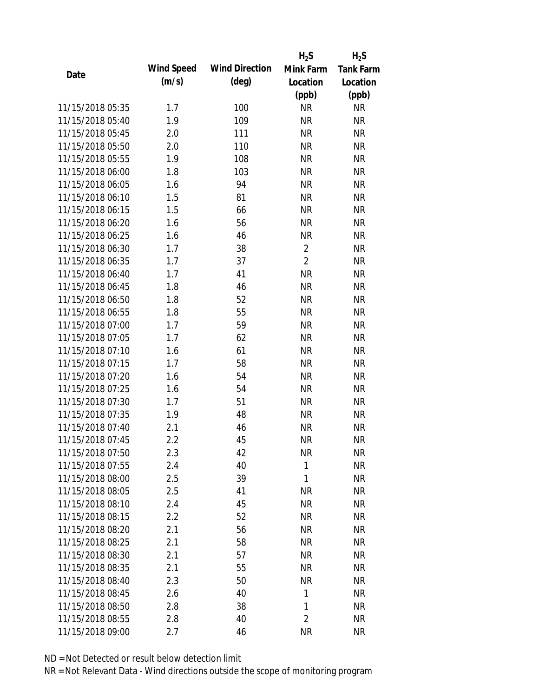|                  |            |                       | $H_2S$                 | $H_2S$                 |
|------------------|------------|-----------------------|------------------------|------------------------|
| Date             | Wind Speed | <b>Wind Direction</b> | Mink Farm              | <b>Tank Farm</b>       |
|                  | (m/s)      | $(\text{deg})$        | Location               | Location               |
|                  |            |                       | (ppb)                  | (ppb)                  |
| 11/15/2018 05:35 | 1.7        | 100                   | <b>NR</b>              | <b>NR</b>              |
| 11/15/2018 05:40 | 1.9        | 109                   | <b>NR</b>              | <b>NR</b>              |
| 11/15/2018 05:45 | 2.0        | 111                   | <b>NR</b>              | <b>NR</b>              |
| 11/15/2018 05:50 | 2.0        | 110                   | <b>NR</b>              | <b>NR</b>              |
| 11/15/2018 05:55 | 1.9        | 108                   | <b>NR</b>              | <b>NR</b>              |
| 11/15/2018 06:00 | 1.8        | 103                   | <b>NR</b>              | <b>NR</b>              |
| 11/15/2018 06:05 | 1.6        | 94                    | <b>NR</b>              | <b>NR</b>              |
| 11/15/2018 06:10 | 1.5        | 81                    | <b>NR</b>              | <b>NR</b>              |
| 11/15/2018 06:15 | 1.5        | 66                    | <b>NR</b>              | <b>NR</b>              |
| 11/15/2018 06:20 | 1.6        | 56                    | <b>NR</b>              | <b>NR</b>              |
| 11/15/2018 06:25 | 1.6        | 46                    | <b>NR</b>              | <b>NR</b>              |
| 11/15/2018 06:30 | 1.7        | 38                    | $\overline{2}$         | <b>NR</b>              |
| 11/15/2018 06:35 | 1.7        | 37                    | $\overline{2}$         | <b>NR</b>              |
| 11/15/2018 06:40 | 1.7        | 41                    | <b>NR</b>              | <b>NR</b>              |
| 11/15/2018 06:45 | 1.8        | 46                    | <b>NR</b>              | <b>NR</b>              |
| 11/15/2018 06:50 | 1.8        | 52                    | <b>NR</b>              | <b>NR</b>              |
| 11/15/2018 06:55 | 1.8        | 55                    | <b>NR</b>              | <b>NR</b>              |
| 11/15/2018 07:00 | 1.7        | 59                    | <b>NR</b>              | <b>NR</b>              |
| 11/15/2018 07:05 | 1.7        | 62                    | <b>NR</b>              | <b>NR</b>              |
| 11/15/2018 07:10 | 1.6        | 61                    | <b>NR</b>              | <b>NR</b>              |
| 11/15/2018 07:15 | 1.7        | 58                    | <b>NR</b>              | <b>NR</b>              |
| 11/15/2018 07:20 | 1.6        | 54                    | <b>NR</b>              | <b>NR</b>              |
| 11/15/2018 07:25 | 1.6        | 54                    | <b>NR</b>              | <b>NR</b>              |
| 11/15/2018 07:30 | 1.7        | 51                    | <b>NR</b>              | <b>NR</b>              |
| 11/15/2018 07:35 | 1.9        | 48                    | <b>NR</b>              | <b>NR</b>              |
| 11/15/2018 07:40 | 2.1        | 46                    | <b>NR</b>              | <b>NR</b>              |
| 11/15/2018 07:45 | 2.2        | 45                    | <b>NR</b>              | <b>NR</b>              |
| 11/15/2018 07:50 | 2.3        | 42                    | <b>NR</b>              | <b>NR</b>              |
| 11/15/2018 07:55 | 2.4        | 40                    | $\mathbf{1}$           | <b>NR</b>              |
| 11/15/2018 08:00 | 2.5        | 39                    | 1                      | <b>NR</b>              |
| 11/15/2018 08:05 | 2.5        | 41                    | <b>NR</b>              | <b>NR</b>              |
| 11/15/2018 08:10 | 2.4        | 45                    | <b>NR</b>              | <b>NR</b>              |
| 11/15/2018 08:15 | 2.2        | 52                    | <b>NR</b>              | <b>NR</b>              |
| 11/15/2018 08:20 | 2.1        | 56                    | <b>NR</b>              | <b>NR</b>              |
| 11/15/2018 08:25 | 2.1        | 58                    | <b>NR</b>              | <b>NR</b>              |
| 11/15/2018 08:30 | 2.1        | 57                    | <b>NR</b>              | <b>NR</b>              |
| 11/15/2018 08:35 |            |                       |                        |                        |
| 11/15/2018 08:40 | 2.1        | 55                    | <b>NR</b><br><b>NR</b> | <b>NR</b><br><b>NR</b> |
|                  | 2.3        | 50                    |                        |                        |
| 11/15/2018 08:45 | 2.6        | 40                    | 1                      | <b>NR</b>              |
| 11/15/2018 08:50 | 2.8        | 38                    | 1                      | <b>NR</b>              |
| 11/15/2018 08:55 | 2.8        | 40                    | 2                      | <b>NR</b>              |
| 11/15/2018 09:00 | 2.7        | 46                    | <b>NR</b>              | <b>NR</b>              |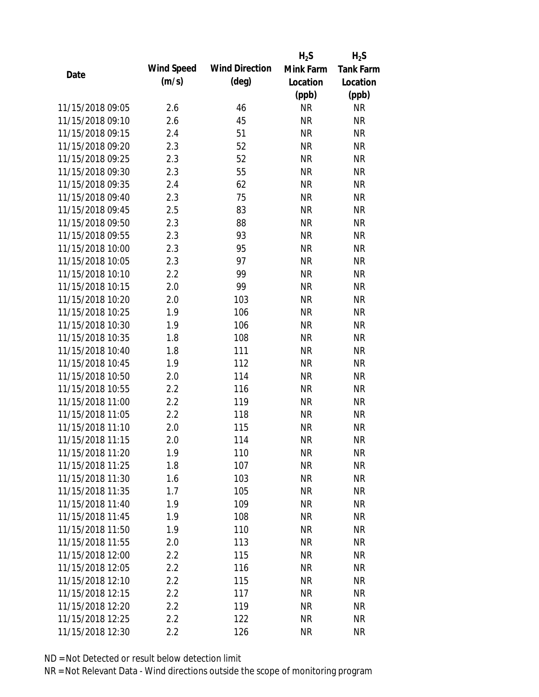|                  |            |                       | $H_2S$    | $H_2S$           |
|------------------|------------|-----------------------|-----------|------------------|
| Date             | Wind Speed | <b>Wind Direction</b> | Mink Farm | <b>Tank Farm</b> |
|                  | (m/s)      | $(\text{deg})$        | Location  | Location         |
|                  |            |                       | (ppb)     | (ppb)            |
| 11/15/2018 09:05 | 2.6        | 46                    | <b>NR</b> | <b>NR</b>        |
| 11/15/2018 09:10 | 2.6        | 45                    | <b>NR</b> | <b>NR</b>        |
| 11/15/2018 09:15 | 2.4        | 51                    | <b>NR</b> | <b>NR</b>        |
| 11/15/2018 09:20 | 2.3        | 52                    | <b>NR</b> | <b>NR</b>        |
| 11/15/2018 09:25 | 2.3        | 52                    | <b>NR</b> | <b>NR</b>        |
| 11/15/2018 09:30 | 2.3        | 55                    | <b>NR</b> | <b>NR</b>        |
| 11/15/2018 09:35 | 2.4        | 62                    | <b>NR</b> | <b>NR</b>        |
| 11/15/2018 09:40 | 2.3        | 75                    | <b>NR</b> | <b>NR</b>        |
| 11/15/2018 09:45 | 2.5        | 83                    | <b>NR</b> | <b>NR</b>        |
| 11/15/2018 09:50 | 2.3        | 88                    | <b>NR</b> | <b>NR</b>        |
| 11/15/2018 09:55 | 2.3        | 93                    | <b>NR</b> | <b>NR</b>        |
| 11/15/2018 10:00 | 2.3        | 95                    | <b>NR</b> | <b>NR</b>        |
| 11/15/2018 10:05 | 2.3        | 97                    | <b>NR</b> | <b>NR</b>        |
| 11/15/2018 10:10 | 2.2        | 99                    | <b>NR</b> | <b>NR</b>        |
| 11/15/2018 10:15 | 2.0        | 99                    | <b>NR</b> | <b>NR</b>        |
| 11/15/2018 10:20 | 2.0        | 103                   | <b>NR</b> | <b>NR</b>        |
| 11/15/2018 10:25 | 1.9        | 106                   | <b>NR</b> | <b>NR</b>        |
| 11/15/2018 10:30 | 1.9        | 106                   | <b>NR</b> | <b>NR</b>        |
| 11/15/2018 10:35 | 1.8        | 108                   | <b>NR</b> | <b>NR</b>        |
| 11/15/2018 10:40 | 1.8        | 111                   | <b>NR</b> | <b>NR</b>        |
| 11/15/2018 10:45 | 1.9        | 112                   | <b>NR</b> | <b>NR</b>        |
| 11/15/2018 10:50 | 2.0        | 114                   | <b>NR</b> | <b>NR</b>        |
| 11/15/2018 10:55 | 2.2        | 116                   | <b>NR</b> | <b>NR</b>        |
| 11/15/2018 11:00 | 2.2        | 119                   | <b>NR</b> | <b>NR</b>        |
| 11/15/2018 11:05 | 2.2        | 118                   | <b>NR</b> | <b>NR</b>        |
| 11/15/2018 11:10 | 2.0        | 115                   | <b>NR</b> | <b>NR</b>        |
| 11/15/2018 11:15 | 2.0        | 114                   | <b>NR</b> | <b>NR</b>        |
| 11/15/2018 11:20 | 1.9        | 110                   | <b>NR</b> | <b>NR</b>        |
| 11/15/2018 11:25 | 1.8        | 107                   | <b>NR</b> | <b>NR</b>        |
| 11/15/2018 11:30 | 1.6        | 103                   | <b>NR</b> | <b>NR</b>        |
| 11/15/2018 11:35 | 1.7        | 105                   | <b>NR</b> | <b>NR</b>        |
| 11/15/2018 11:40 | 1.9        | 109                   | <b>NR</b> | <b>NR</b>        |
| 11/15/2018 11:45 | 1.9        | 108                   | <b>NR</b> | <b>NR</b>        |
| 11/15/2018 11:50 | 1.9        | 110                   | <b>NR</b> | <b>NR</b>        |
| 11/15/2018 11:55 | 2.0        | 113                   | <b>NR</b> | <b>NR</b>        |
| 11/15/2018 12:00 | 2.2        | 115                   | <b>NR</b> | <b>NR</b>        |
| 11/15/2018 12:05 | 2.2        | 116                   | <b>NR</b> | <b>NR</b>        |
| 11/15/2018 12:10 | 2.2        | 115                   | NR        | <b>NR</b>        |
| 11/15/2018 12:15 | 2.2        | 117                   | <b>NR</b> | <b>NR</b>        |
| 11/15/2018 12:20 | 2.2        | 119                   | <b>NR</b> | <b>NR</b>        |
| 11/15/2018 12:25 | 2.2        | 122                   | <b>NR</b> | <b>NR</b>        |
| 11/15/2018 12:30 |            |                       | <b>NR</b> | <b>NR</b>        |
|                  | 2.2        | 126                   |           |                  |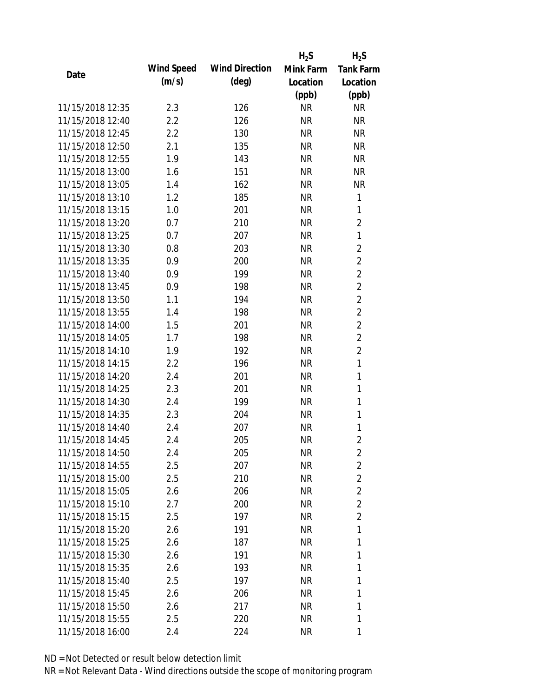|                  |            |                       | $H_2S$    | $H_2S$           |
|------------------|------------|-----------------------|-----------|------------------|
| Date             | Wind Speed | <b>Wind Direction</b> | Mink Farm | <b>Tank Farm</b> |
|                  | (m/s)      | $(\text{deg})$        | Location  | Location         |
|                  |            |                       | (ppb)     | (ppb)            |
| 11/15/2018 12:35 | 2.3        | 126                   | <b>NR</b> | <b>NR</b>        |
| 11/15/2018 12:40 | 2.2        | 126                   | <b>NR</b> | <b>NR</b>        |
| 11/15/2018 12:45 | 2.2        | 130                   | <b>NR</b> | <b>NR</b>        |
| 11/15/2018 12:50 | 2.1        | 135                   | <b>NR</b> | <b>NR</b>        |
| 11/15/2018 12:55 | 1.9        | 143                   | <b>NR</b> | <b>NR</b>        |
| 11/15/2018 13:00 | 1.6        | 151                   | <b>NR</b> | <b>NR</b>        |
| 11/15/2018 13:05 | 1.4        | 162                   | <b>NR</b> | <b>NR</b>        |
| 11/15/2018 13:10 | 1.2        | 185                   | <b>NR</b> | $\mathbf{1}$     |
| 11/15/2018 13:15 | 1.0        | 201                   | <b>NR</b> | 1                |
| 11/15/2018 13:20 | 0.7        | 210                   | <b>NR</b> | $\overline{2}$   |
| 11/15/2018 13:25 | 0.7        | 207                   | <b>NR</b> | $\mathbf{1}$     |
| 11/15/2018 13:30 | 0.8        | 203                   | <b>NR</b> | $\overline{2}$   |
| 11/15/2018 13:35 | 0.9        | 200                   | <b>NR</b> | $\overline{2}$   |
| 11/15/2018 13:40 | 0.9        | 199                   | <b>NR</b> | $\overline{2}$   |
| 11/15/2018 13:45 | 0.9        | 198                   | <b>NR</b> | $\overline{2}$   |
| 11/15/2018 13:50 | 1.1        | 194                   | <b>NR</b> | $\overline{2}$   |
| 11/15/2018 13:55 | 1.4        | 198                   | <b>NR</b> | $\overline{2}$   |
| 11/15/2018 14:00 | 1.5        | 201                   | <b>NR</b> | $\overline{2}$   |
| 11/15/2018 14:05 | 1.7        | 198                   | <b>NR</b> | $\overline{2}$   |
| 11/15/2018 14:10 | 1.9        | 192                   | <b>NR</b> | $\overline{2}$   |
| 11/15/2018 14:15 | 2.2        | 196                   | <b>NR</b> | $\mathbf{1}$     |
| 11/15/2018 14:20 | 2.4        | 201                   | <b>NR</b> | $\mathbf{1}$     |
| 11/15/2018 14:25 | 2.3        | 201                   | <b>NR</b> | 1                |
| 11/15/2018 14:30 | 2.4        | 199                   | <b>NR</b> | $\mathbf{1}$     |
| 11/15/2018 14:35 | 2.3        | 204                   | <b>NR</b> | 1                |
| 11/15/2018 14:40 | 2.4        | 207                   | <b>NR</b> | 1                |
| 11/15/2018 14:45 | 2.4        | 205                   | <b>NR</b> | $\overline{2}$   |
| 11/15/2018 14:50 | 2.4        | 205                   | <b>NR</b> | 2                |
| 11/15/2018 14:55 | 2.5        | 207                   | <b>NR</b> | $\overline{2}$   |
| 11/15/2018 15:00 | 2.5        | 210                   | NR        | $\overline{2}$   |
| 11/15/2018 15:05 | 2.6        | 206                   | NR        | $\overline{2}$   |
| 11/15/2018 15:10 | 2.7        | 200                   | NR        | $\overline{2}$   |
| 11/15/2018 15:15 | 2.5        | 197                   | NR        | $\overline{2}$   |
| 11/15/2018 15:20 | 2.6        | 191                   | <b>NR</b> | 1                |
| 11/15/2018 15:25 | 2.6        | 187                   | <b>NR</b> | 1                |
| 11/15/2018 15:30 | 2.6        | 191                   | NR        | 1                |
| 11/15/2018 15:35 | 2.6        | 193                   | NR        | 1                |
| 11/15/2018 15:40 | 2.5        | 197                   | NR        | 1                |
| 11/15/2018 15:45 | 2.6        | 206                   | NR        | 1                |
| 11/15/2018 15:50 | 2.6        | 217                   | <b>NR</b> | 1                |
| 11/15/2018 15:55 | 2.5        | 220                   | <b>NR</b> | 1                |
| 11/15/2018 16:00 | 2.4        | 224                   | <b>NR</b> | 1                |
|                  |            |                       |           |                  |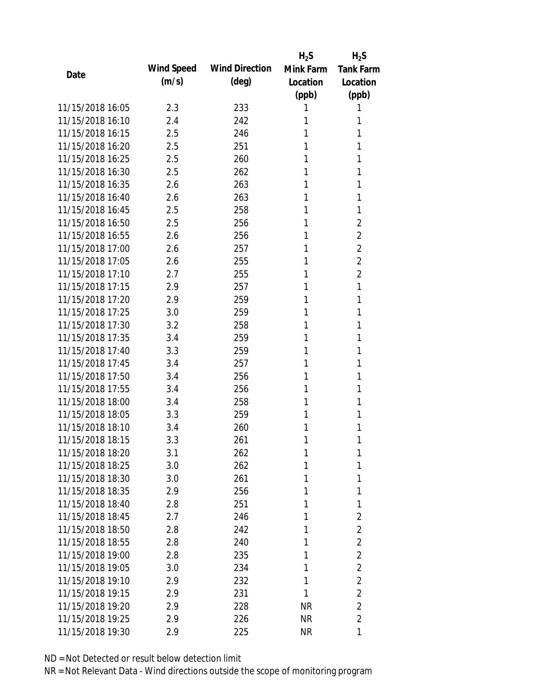|                  |            |                       | $H_2S$    | $H_2S$           |
|------------------|------------|-----------------------|-----------|------------------|
|                  | Wind Speed | <b>Wind Direction</b> | Mink Farm | <b>Tank Farm</b> |
| Date             | (m/s)      | $(\text{deg})$        | Location  | Location         |
|                  |            |                       | (ppb)     | (ppb)            |
| 11/15/2018 16:05 | 2.3        | 233                   | 1         | 1                |
| 11/15/2018 16:10 | 2.4        | 242                   | 1         | 1                |
| 11/15/2018 16:15 | 2.5        | 246                   | 1         | 1                |
| 11/15/2018 16:20 | 2.5        | 251                   | 1         | 1                |
| 11/15/2018 16:25 | 2.5        | 260                   | 1         | 1                |
| 11/15/2018 16:30 | 2.5        | 262                   | 1         | 1                |
| 11/15/2018 16:35 | 2.6        | 263                   | 1         | 1                |
| 11/15/2018 16:40 | 2.6        | 263                   | 1         | 1                |
| 11/15/2018 16:45 | 2.5        | 258                   | 1         | 1                |
| 11/15/2018 16:50 | 2.5        | 256                   | 1         | $\overline{2}$   |
| 11/15/2018 16:55 | 2.6        | 256                   | 1         | $\overline{2}$   |
| 11/15/2018 17:00 | 2.6        | 257                   | 1         | 2                |
| 11/15/2018 17:05 | 2.6        | 255                   | 1         | $\overline{2}$   |
| 11/15/2018 17:10 | 2.7        | 255                   | 1         | 2                |
| 11/15/2018 17:15 | 2.9        | 257                   | 1         | 1                |
| 11/15/2018 17:20 | 2.9        | 259                   | 1         | 1                |
| 11/15/2018 17:25 | 3.0        | 259                   | 1         | 1                |
| 11/15/2018 17:30 | 3.2        | 258                   | 1         | 1                |
| 11/15/2018 17:35 | 3.4        | 259                   | 1         | 1                |
| 11/15/2018 17:40 | 3.3        | 259                   | 1         | 1                |
| 11/15/2018 17:45 | 3.4        | 257                   | 1         | 1                |
| 11/15/2018 17:50 | 3.4        | 256                   | 1         | 1                |
| 11/15/2018 17:55 | 3.4        | 256                   | 1         | 1                |
| 11/15/2018 18:00 | 3.4        | 258                   | 1         | 1                |
| 11/15/2018 18:05 | 3.3        | 259                   | 1         | 1                |
| 11/15/2018 18:10 | 3.4        | 260                   | 1         | 1                |
| 11/15/2018 18:15 | 3.3        | 261                   | 1         | 1                |
| 11/15/2018 18:20 | 3.1        | 262                   | 1         | 1                |
| 11/15/2018 18:25 | 3.0        | 262                   | 1         | 1                |
| 11/15/2018 18:30 | 3.0        | 261                   | 1         | 1                |
| 11/15/2018 18:35 | 2.9        | 256                   | 1         | 1                |
| 11/15/2018 18:40 | 2.8        | 251                   | 1         | 1                |
| 11/15/2018 18:45 | 2.7        | 246                   | 1         | 2                |
| 11/15/2018 18:50 | 2.8        | 242                   | 1         | $\overline{2}$   |
| 11/15/2018 18:55 | 2.8        | 240                   | 1         | $\overline{2}$   |
| 11/15/2018 19:00 | 2.8        | 235                   | 1         | $\overline{2}$   |
| 11/15/2018 19:05 | 3.0        | 234                   | 1         | $\overline{2}$   |
| 11/15/2018 19:10 | 2.9        | 232                   | 1         | $\overline{2}$   |
| 11/15/2018 19:15 | 2.9        | 231                   | 1         | $\overline{2}$   |
| 11/15/2018 19:20 | 2.9        | 228                   | <b>NR</b> | $\overline{2}$   |
| 11/15/2018 19:25 | 2.9        | 226                   | <b>NR</b> | $\overline{2}$   |
| 11/15/2018 19:30 | 2.9        | 225                   | <b>NR</b> | 1                |
|                  |            |                       |           |                  |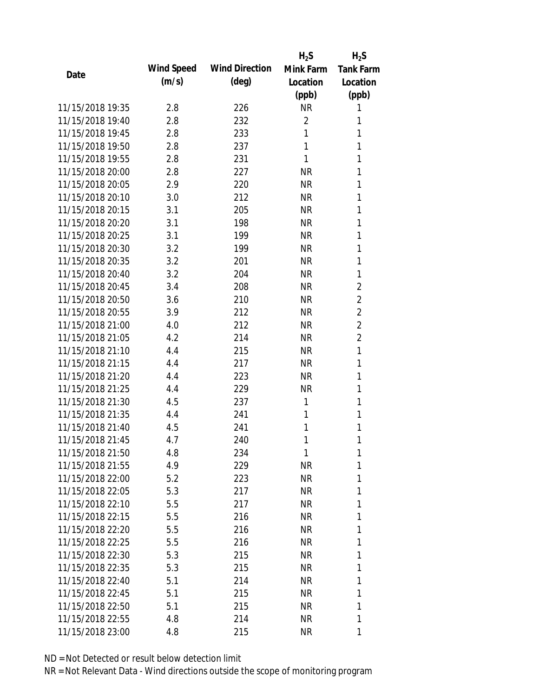|                  |            |                       | $H_2S$         | $H_2S$           |
|------------------|------------|-----------------------|----------------|------------------|
| Date             | Wind Speed | <b>Wind Direction</b> | Mink Farm      | <b>Tank Farm</b> |
|                  | (m/s)      | $(\text{deg})$        | Location       | Location         |
|                  |            |                       | (ppb)          | (ppb)            |
| 11/15/2018 19:35 | 2.8        | 226                   | <b>NR</b>      | 1                |
| 11/15/2018 19:40 | 2.8        | 232                   | $\overline{2}$ | 1                |
| 11/15/2018 19:45 | 2.8        | 233                   | 1              | 1                |
| 11/15/2018 19:50 | 2.8        | 237                   | 1              | 1                |
| 11/15/2018 19:55 | 2.8        | 231                   | 1              | 1                |
| 11/15/2018 20:00 | 2.8        | 227                   | <b>NR</b>      | 1                |
| 11/15/2018 20:05 | 2.9        | 220                   | <b>NR</b>      | 1                |
| 11/15/2018 20:10 | 3.0        | 212                   | <b>NR</b>      | 1                |
| 11/15/2018 20:15 | 3.1        | 205                   | <b>NR</b>      | 1                |
| 11/15/2018 20:20 | 3.1        | 198                   | <b>NR</b>      | 1                |
| 11/15/2018 20:25 | 3.1        | 199                   | <b>NR</b>      | 1                |
| 11/15/2018 20:30 | 3.2        | 199                   | <b>NR</b>      | 1                |
| 11/15/2018 20:35 | 3.2        | 201                   | <b>NR</b>      | 1                |
| 11/15/2018 20:40 | 3.2        | 204                   | <b>NR</b>      | 1                |
| 11/15/2018 20:45 | 3.4        | 208                   | <b>NR</b>      | 2                |
| 11/15/2018 20:50 | 3.6        | 210                   | <b>NR</b>      | $\overline{2}$   |
| 11/15/2018 20:55 | 3.9        | 212                   | <b>NR</b>      | $\overline{2}$   |
| 11/15/2018 21:00 | 4.0        | 212                   | <b>NR</b>      | $\overline{2}$   |
| 11/15/2018 21:05 | 4.2        | 214                   | <b>NR</b>      | $\overline{2}$   |
| 11/15/2018 21:10 | 4.4        | 215                   | <b>NR</b>      | 1                |
| 11/15/2018 21:15 | 4.4        | 217                   | <b>NR</b>      | 1                |
| 11/15/2018 21:20 | 4.4        | 223                   | <b>NR</b>      | 1                |
| 11/15/2018 21:25 | 4.4        | 229                   | <b>NR</b>      | 1                |
| 11/15/2018 21:30 | 4.5        | 237                   | 1              | 1                |
| 11/15/2018 21:35 | 4.4        | 241                   | 1              | 1                |
| 11/15/2018 21:40 | 4.5        | 241                   | 1              | 1                |
| 11/15/2018 21:45 | 4.7        | 240                   | 1              | 1                |
| 11/15/2018 21:50 | 4.8        | 234                   | 1              | 1                |
| 11/15/2018 21:55 | 4.9        | 229                   | <b>NR</b>      | 1                |
| 11/15/2018 22:00 | 5.2        | 223                   | <b>NR</b>      | 1                |
| 11/15/2018 22:05 | 5.3        | 217                   | <b>NR</b>      | 1                |
| 11/15/2018 22:10 | 5.5        | 217                   | <b>NR</b>      | 1                |
| 11/15/2018 22:15 | 5.5        | 216                   | <b>NR</b>      | 1                |
| 11/15/2018 22:20 | 5.5        | 216                   | <b>NR</b>      | 1                |
| 11/15/2018 22:25 | 5.5        | 216                   | <b>NR</b>      | 1                |
| 11/15/2018 22:30 | 5.3        | 215                   | <b>NR</b>      | 1                |
| 11/15/2018 22:35 | 5.3        | 215                   | <b>NR</b>      | 1                |
| 11/15/2018 22:40 | 5.1        | 214                   | <b>NR</b>      | 1                |
| 11/15/2018 22:45 | 5.1        | 215                   | <b>NR</b>      | 1                |
| 11/15/2018 22:50 | 5.1        | 215                   | <b>NR</b>      | 1                |
| 11/15/2018 22:55 | 4.8        | 214                   | <b>NR</b>      | 1                |
| 11/15/2018 23:00 | 4.8        | 215                   | <b>NR</b>      | 1                |
|                  |            |                       |                |                  |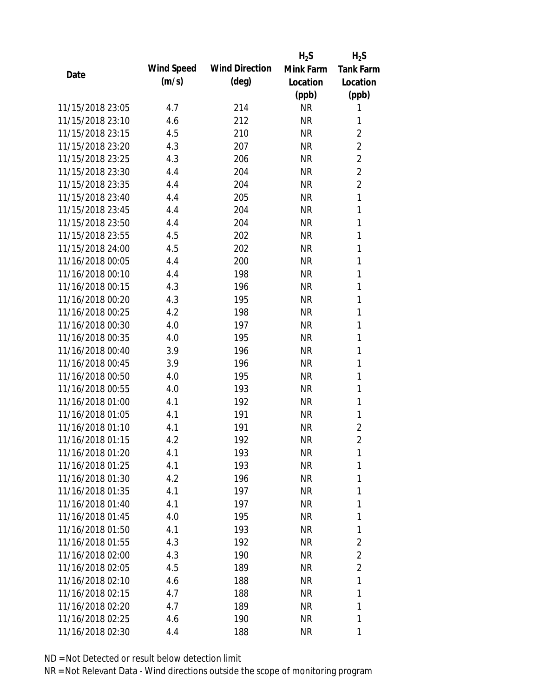|                  |            |                       | $H_2S$    | $H_2S$           |
|------------------|------------|-----------------------|-----------|------------------|
| Date             | Wind Speed | <b>Wind Direction</b> | Mink Farm | <b>Tank Farm</b> |
|                  | (m/s)      | $(\text{deg})$        | Location  | Location         |
|                  |            |                       | (ppb)     | (ppb)            |
| 11/15/2018 23:05 | 4.7        | 214                   | <b>NR</b> | 1                |
| 11/15/2018 23:10 | 4.6        | 212                   | <b>NR</b> | 1                |
| 11/15/2018 23:15 | 4.5        | 210                   | <b>NR</b> | $\overline{2}$   |
| 11/15/2018 23:20 | 4.3        | 207                   | <b>NR</b> | $\overline{2}$   |
| 11/15/2018 23:25 | 4.3        | 206                   | <b>NR</b> | $\overline{2}$   |
| 11/15/2018 23:30 | 4.4        | 204                   | <b>NR</b> | $\overline{2}$   |
| 11/15/2018 23:35 | 4.4        | 204                   | <b>NR</b> | $\overline{2}$   |
| 11/15/2018 23:40 | 4.4        | 205                   | <b>NR</b> | $\mathbf{1}$     |
| 11/15/2018 23:45 | 4.4        | 204                   | <b>NR</b> | $\mathbf{1}$     |
| 11/15/2018 23:50 | 4.4        | 204                   | <b>NR</b> | $\mathbf{1}$     |
| 11/15/2018 23:55 | 4.5        | 202                   | <b>NR</b> | 1                |
| 11/15/2018 24:00 | 4.5        | 202                   | <b>NR</b> | 1                |
| 11/16/2018 00:05 | 4.4        | 200                   | <b>NR</b> | 1                |
| 11/16/2018 00:10 | 4.4        | 198                   | <b>NR</b> | 1                |
| 11/16/2018 00:15 | 4.3        | 196                   | <b>NR</b> | 1                |
| 11/16/2018 00:20 | 4.3        | 195                   | <b>NR</b> | 1                |
| 11/16/2018 00:25 | 4.2        | 198                   | <b>NR</b> | 1                |
| 11/16/2018 00:30 | 4.0        | 197                   | <b>NR</b> | 1                |
| 11/16/2018 00:35 | 4.0        | 195                   | <b>NR</b> | $\mathbf{1}$     |
| 11/16/2018 00:40 | 3.9        | 196                   | <b>NR</b> | 1                |
| 11/16/2018 00:45 | 3.9        | 196                   | <b>NR</b> | 1                |
| 11/16/2018 00:50 | 4.0        | 195                   | <b>NR</b> | 1                |
| 11/16/2018 00:55 | 4.0        | 193                   | <b>NR</b> | 1                |
| 11/16/2018 01:00 | 4.1        | 192                   | <b>NR</b> | 1                |
| 11/16/2018 01:05 | 4.1        | 191                   | <b>NR</b> | 1                |
| 11/16/2018 01:10 | 4.1        | 191                   | <b>NR</b> | $\overline{2}$   |
| 11/16/2018 01:15 | 4.2        | 192                   | <b>NR</b> | $\overline{2}$   |
| 11/16/2018 01:20 | 4.1        | 193                   | <b>NR</b> | 1                |
| 11/16/2018 01:25 | 4.1        | 193                   | <b>NR</b> | 1                |
| 11/16/2018 01:30 | 4.2        | 196                   | <b>NR</b> | 1                |
| 11/16/2018 01:35 | 4.1        | 197                   | <b>NR</b> | 1                |
| 11/16/2018 01:40 | 4.1        | 197                   | <b>NR</b> | 1                |
| 11/16/2018 01:45 | 4.0        | 195                   | <b>NR</b> | 1                |
| 11/16/2018 01:50 | 4.1        | 193                   | <b>NR</b> | 1                |
| 11/16/2018 01:55 | 4.3        | 192                   | <b>NR</b> | $\overline{2}$   |
| 11/16/2018 02:00 | 4.3        | 190                   | <b>NR</b> | 2                |
| 11/16/2018 02:05 | 4.5        | 189                   | <b>NR</b> | $\overline{2}$   |
| 11/16/2018 02:10 | 4.6        | 188                   | <b>NR</b> | 1                |
| 11/16/2018 02:15 | 4.7        | 188                   | <b>NR</b> | 1                |
| 11/16/2018 02:20 | 4.7        | 189                   | <b>NR</b> | 1                |
| 11/16/2018 02:25 | 4.6        | 190                   | <b>NR</b> | 1                |
| 11/16/2018 02:30 | 4.4        | 188                   | <b>NR</b> | 1                |
|                  |            |                       |           |                  |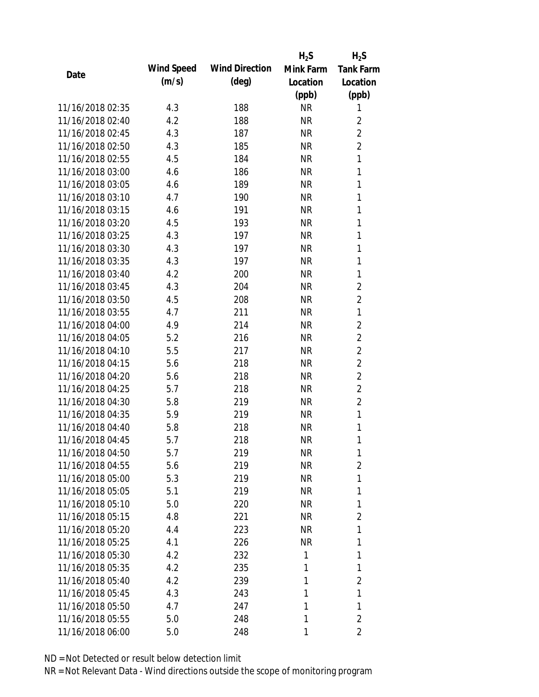|                  |            |                       | $H_2S$    | $H_2S$           |
|------------------|------------|-----------------------|-----------|------------------|
| Date             | Wind Speed | <b>Wind Direction</b> | Mink Farm | <b>Tank Farm</b> |
|                  | (m/s)      | $(\text{deg})$        | Location  | Location         |
|                  |            |                       | (ppb)     | (ppb)            |
| 11/16/2018 02:35 | 4.3        | 188                   | <b>NR</b> | 1                |
| 11/16/2018 02:40 | 4.2        | 188                   | <b>NR</b> | 2                |
| 11/16/2018 02:45 | 4.3        | 187                   | <b>NR</b> | $\overline{2}$   |
| 11/16/2018 02:50 | 4.3        | 185                   | <b>NR</b> | $\overline{2}$   |
| 11/16/2018 02:55 | 4.5        | 184                   | <b>NR</b> | 1                |
| 11/16/2018 03:00 | 4.6        | 186                   | <b>NR</b> | 1                |
| 11/16/2018 03:05 | 4.6        | 189                   | <b>NR</b> | 1                |
| 11/16/2018 03:10 | 4.7        | 190                   | <b>NR</b> | 1                |
| 11/16/2018 03:15 | 4.6        | 191                   | <b>NR</b> | $\mathbf{1}$     |
| 11/16/2018 03:20 | 4.5        | 193                   | <b>NR</b> | $\mathbf{1}$     |
| 11/16/2018 03:25 | 4.3        | 197                   | <b>NR</b> | 1                |
| 11/16/2018 03:30 | 4.3        | 197                   | <b>NR</b> | 1                |
| 11/16/2018 03:35 | 4.3        | 197                   | <b>NR</b> | 1                |
| 11/16/2018 03:40 | 4.2        | 200                   | <b>NR</b> | 1                |
| 11/16/2018 03:45 | 4.3        | 204                   | <b>NR</b> | $\overline{2}$   |
| 11/16/2018 03:50 | 4.5        | 208                   | <b>NR</b> | $\overline{2}$   |
| 11/16/2018 03:55 | 4.7        | 211                   | <b>NR</b> | 1                |
| 11/16/2018 04:00 | 4.9        | 214                   | <b>NR</b> | $\overline{2}$   |
| 11/16/2018 04:05 | 5.2        | 216                   | <b>NR</b> | $\overline{2}$   |
| 11/16/2018 04:10 | 5.5        | 217                   | <b>NR</b> | $\overline{2}$   |
| 11/16/2018 04:15 | 5.6        | 218                   | <b>NR</b> | $\overline{2}$   |
| 11/16/2018 04:20 | 5.6        | 218                   | <b>NR</b> | $\overline{2}$   |
| 11/16/2018 04:25 | 5.7        | 218                   | <b>NR</b> | $\overline{2}$   |
| 11/16/2018 04:30 | 5.8        | 219                   | <b>NR</b> | $\overline{2}$   |
| 11/16/2018 04:35 | 5.9        | 219                   | <b>NR</b> | 1                |
| 11/16/2018 04:40 | 5.8        | 218                   | <b>NR</b> | 1                |
| 11/16/2018 04:45 | 5.7        | 218                   | <b>NR</b> | 1                |
| 11/16/2018 04:50 | 5.7        | 219                   | <b>NR</b> | 1                |
| 11/16/2018 04:55 | 5.6        | 219                   | <b>NR</b> | 2                |
| 11/16/2018 05:00 | 5.3        | 219                   | <b>NR</b> | 1                |
| 11/16/2018 05:05 | 5.1        | 219                   | <b>NR</b> | 1                |
| 11/16/2018 05:10 | 5.0        | 220                   | <b>NR</b> | 1                |
| 11/16/2018 05:15 | 4.8        | 221                   | <b>NR</b> | 2                |
| 11/16/2018 05:20 | 4.4        | 223                   | <b>NR</b> | 1                |
| 11/16/2018 05:25 | 4.1        | 226                   | <b>NR</b> | 1                |
| 11/16/2018 05:30 | 4.2        | 232                   | 1         | 1                |
| 11/16/2018 05:35 | 4.2        | 235                   | 1         | 1                |
| 11/16/2018 05:40 | 4.2        | 239                   | 1         | 2                |
| 11/16/2018 05:45 | 4.3        | 243                   | 1         | 1                |
| 11/16/2018 05:50 | 4.7        | 247                   | 1         | 1                |
| 11/16/2018 05:55 | 5.0        | 248                   | 1         | $\overline{2}$   |
| 11/16/2018 06:00 | 5.0        | 248                   | 1         | 2                |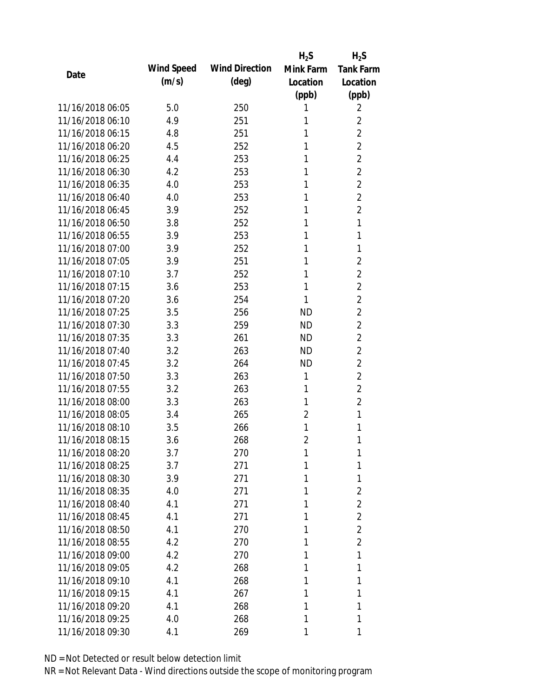|                  |            |                       | $H_2S$         | $H_2S$           |
|------------------|------------|-----------------------|----------------|------------------|
|                  | Wind Speed | <b>Wind Direction</b> | Mink Farm      | <b>Tank Farm</b> |
| Date             | (m/s)      | $(\text{deg})$        | Location       | Location         |
|                  |            |                       | (ppb)          | (ppb)            |
| 11/16/2018 06:05 | 5.0        | 250                   | 1              | 2                |
| 11/16/2018 06:10 | 4.9        | 251                   | 1              | $\overline{2}$   |
| 11/16/2018 06:15 | 4.8        | 251                   | 1              | $\overline{2}$   |
| 11/16/2018 06:20 | 4.5        | 252                   | 1              | $\overline{2}$   |
| 11/16/2018 06:25 | 4.4        | 253                   | 1              | $\overline{2}$   |
| 11/16/2018 06:30 | 4.2        | 253                   | 1              | $\overline{2}$   |
| 11/16/2018 06:35 | 4.0        | 253                   | 1              | $\overline{2}$   |
| 11/16/2018 06:40 | 4.0        | 253                   | 1              | $\overline{2}$   |
| 11/16/2018 06:45 | 3.9        | 252                   | 1              | $\overline{2}$   |
| 11/16/2018 06:50 | 3.8        | 252                   | 1              | 1                |
| 11/16/2018 06:55 | 3.9        | 253                   | 1              | 1                |
| 11/16/2018 07:00 | 3.9        | 252                   | 1              | 1                |
| 11/16/2018 07:05 | 3.9        | 251                   | 1              | 2                |
| 11/16/2018 07:10 | 3.7        | 252                   | 1              | $\overline{2}$   |
| 11/16/2018 07:15 | 3.6        | 253                   | 1              | $\overline{2}$   |
| 11/16/2018 07:20 | 3.6        | 254                   | 1              | $\overline{2}$   |
| 11/16/2018 07:25 | 3.5        | 256                   | <b>ND</b>      | $\overline{2}$   |
| 11/16/2018 07:30 | 3.3        | 259                   | <b>ND</b>      | $\overline{2}$   |
| 11/16/2018 07:35 | 3.3        | 261                   | <b>ND</b>      | $\overline{2}$   |
| 11/16/2018 07:40 | 3.2        | 263                   | <b>ND</b>      | $\overline{2}$   |
| 11/16/2018 07:45 | 3.2        | 264                   | <b>ND</b>      | $\overline{2}$   |
| 11/16/2018 07:50 | 3.3        | 263                   | 1              | $\overline{2}$   |
| 11/16/2018 07:55 | 3.2        | 263                   | 1              | $\overline{2}$   |
| 11/16/2018 08:00 | 3.3        | 263                   | 1              | $\overline{2}$   |
| 11/16/2018 08:05 | 3.4        | 265                   | 2              | 1                |
| 11/16/2018 08:10 | 3.5        | 266                   | 1              | 1                |
| 11/16/2018 08:15 | 3.6        | 268                   | $\overline{2}$ | 1                |
| 11/16/2018 08:20 | 3.7        | 270                   | 1              | 1                |
| 11/16/2018 08:25 | 3.7        | 271                   | 1              | 1                |
| 11/16/2018 08:30 | 3.9        | 271                   | 1              | 1                |
| 11/16/2018 08:35 | 4.0        | 271                   | 1              | $\overline{2}$   |
| 11/16/2018 08:40 | 4.1        | 271                   | 1              | $\overline{2}$   |
| 11/16/2018 08:45 | 4.1        | 271                   | 1              | $\overline{2}$   |
| 11/16/2018 08:50 | 4.1        | 270                   | 1              | $\overline{2}$   |
| 11/16/2018 08:55 | 4.2        | 270                   | 1              | $\overline{2}$   |
| 11/16/2018 09:00 | 4.2        | 270                   | 1              | 1                |
| 11/16/2018 09:05 | 4.2        | 268                   | 1              | 1                |
| 11/16/2018 09:10 | 4.1        | 268                   | 1              | 1                |
| 11/16/2018 09:15 | 4.1        | 267                   | 1              | 1                |
| 11/16/2018 09:20 | 4.1        | 268                   | 1              | 1                |
| 11/16/2018 09:25 | 4.0        | 268                   | 1              | 1                |
| 11/16/2018 09:30 | 4.1        | 269                   | 1              | 1                |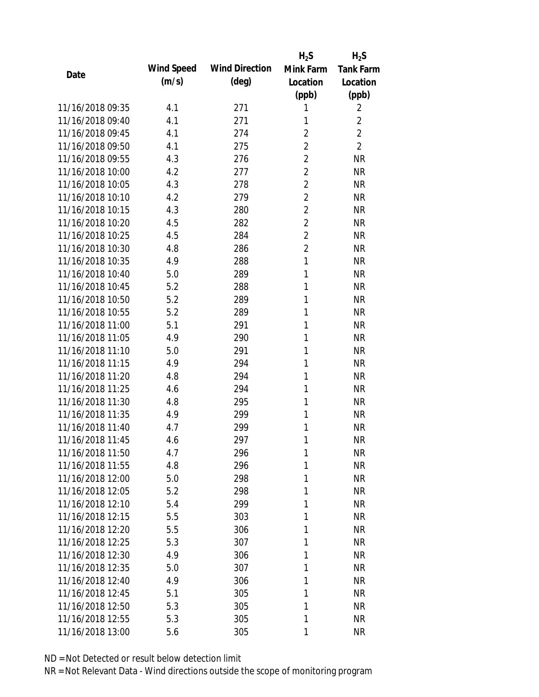|                  |            |                       | $H_2S$         | $H_2S$           |
|------------------|------------|-----------------------|----------------|------------------|
| Date             | Wind Speed | <b>Wind Direction</b> | Mink Farm      | <b>Tank Farm</b> |
|                  | (m/s)      | $(\text{deg})$        | Location       | Location         |
|                  |            |                       | (ppb)          | (ppb)            |
| 11/16/2018 09:35 | 4.1        | 271                   | 1              | 2                |
| 11/16/2018 09:40 | 4.1        | 271                   | 1              | $\overline{2}$   |
| 11/16/2018 09:45 | 4.1        | 274                   | $\overline{2}$ | $\overline{2}$   |
| 11/16/2018 09:50 | 4.1        | 275                   | $\overline{2}$ | $\overline{2}$   |
| 11/16/2018 09:55 | 4.3        | 276                   | $\overline{2}$ | <b>NR</b>        |
| 11/16/2018 10:00 | 4.2        | 277                   | $\overline{2}$ | <b>NR</b>        |
| 11/16/2018 10:05 | 4.3        | 278                   | $\overline{2}$ | <b>NR</b>        |
| 11/16/2018 10:10 | 4.2        | 279                   | $\overline{2}$ | <b>NR</b>        |
| 11/16/2018 10:15 | 4.3        | 280                   | $\overline{2}$ | <b>NR</b>        |
| 11/16/2018 10:20 | 4.5        | 282                   | $\overline{2}$ | <b>NR</b>        |
| 11/16/2018 10:25 | 4.5        | 284                   | $\overline{2}$ | <b>NR</b>        |
| 11/16/2018 10:30 | 4.8        | 286                   | $\overline{2}$ | <b>NR</b>        |
| 11/16/2018 10:35 | 4.9        | 288                   | $\mathbf{1}$   | <b>NR</b>        |
| 11/16/2018 10:40 | 5.0        | 289                   | 1              | <b>NR</b>        |
| 11/16/2018 10:45 | 5.2        | 288                   | 1              | <b>NR</b>        |
| 11/16/2018 10:50 | 5.2        | 289                   | 1              | <b>NR</b>        |
| 11/16/2018 10:55 | 5.2        | 289                   | 1              | <b>NR</b>        |
| 11/16/2018 11:00 | 5.1        | 291                   | 1              | <b>NR</b>        |
| 11/16/2018 11:05 | 4.9        | 290                   | 1              | <b>NR</b>        |
| 11/16/2018 11:10 | 5.0        | 291                   | 1              | <b>NR</b>        |
| 11/16/2018 11:15 | 4.9        | 294                   | 1              | <b>NR</b>        |
| 11/16/2018 11:20 | 4.8        | 294                   | 1              | <b>NR</b>        |
| 11/16/2018 11:25 | 4.6        | 294                   | 1              | <b>NR</b>        |
| 11/16/2018 11:30 | 4.8        | 295                   | 1              | <b>NR</b>        |
| 11/16/2018 11:35 | 4.9        | 299                   | 1              | <b>NR</b>        |
| 11/16/2018 11:40 | 4.7        | 299                   | 1              | <b>NR</b>        |
| 11/16/2018 11:45 | 4.6        | 297                   | 1              | <b>NR</b>        |
| 11/16/2018 11:50 | 4.7        | 296                   | 1              | <b>NR</b>        |
| 11/16/2018 11:55 | 4.8        | 296                   | 1              | <b>NR</b>        |
| 11/16/2018 12:00 | 5.0        | 298                   | 1              | <b>NR</b>        |
| 11/16/2018 12:05 | 5.2        | 298                   | 1              | <b>NR</b>        |
| 11/16/2018 12:10 | 5.4        | 299                   | 1              | <b>NR</b>        |
| 11/16/2018 12:15 | 5.5        | 303                   | 1              | <b>NR</b>        |
| 11/16/2018 12:20 | 5.5        | 306                   | 1              | <b>NR</b>        |
| 11/16/2018 12:25 | 5.3        | 307                   | 1              | <b>NR</b>        |
| 11/16/2018 12:30 | 4.9        | 306                   | 1              | <b>NR</b>        |
| 11/16/2018 12:35 | 5.0        | 307                   | 1              | <b>NR</b>        |
| 11/16/2018 12:40 | 4.9        | 306                   | 1              | <b>NR</b>        |
| 11/16/2018 12:45 | 5.1        | 305                   | 1              | <b>NR</b>        |
| 11/16/2018 12:50 | 5.3        | 305                   | 1              | <b>NR</b>        |
| 11/16/2018 12:55 | 5.3        | 305                   | 1              | <b>NR</b>        |
| 11/16/2018 13:00 | 5.6        | 305                   | 1              | <b>NR</b>        |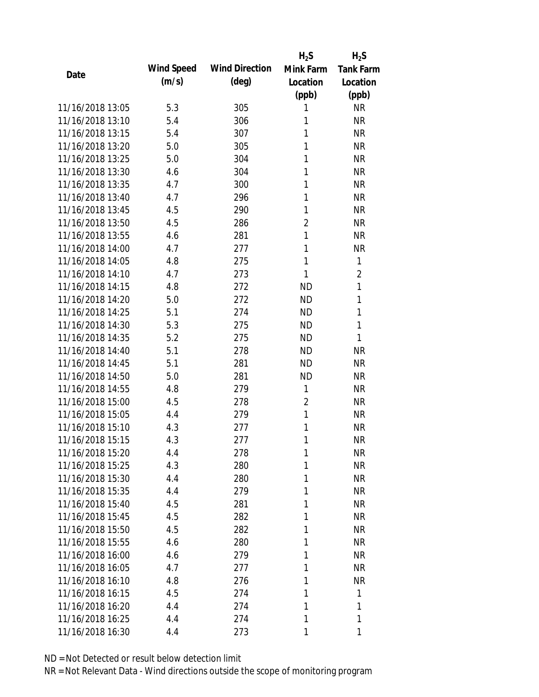|                  |            |                       | $H_2S$         | $H_2S$           |
|------------------|------------|-----------------------|----------------|------------------|
| Date             | Wind Speed | <b>Wind Direction</b> | Mink Farm      | <b>Tank Farm</b> |
|                  | (m/s)      | $(\text{deg})$        | Location       | Location         |
|                  |            |                       | (ppb)          | (ppb)            |
| 11/16/2018 13:05 | 5.3        | 305                   | 1              | <b>NR</b>        |
| 11/16/2018 13:10 | 5.4        | 306                   | 1              | <b>NR</b>        |
| 11/16/2018 13:15 | 5.4        | 307                   | 1              | <b>NR</b>        |
| 11/16/2018 13:20 | 5.0        | 305                   | 1              | <b>NR</b>        |
| 11/16/2018 13:25 | 5.0        | 304                   | 1              | <b>NR</b>        |
| 11/16/2018 13:30 | 4.6        | 304                   | 1              | <b>NR</b>        |
| 11/16/2018 13:35 | 4.7        | 300                   | 1              | <b>NR</b>        |
| 11/16/2018 13:40 | 4.7        | 296                   | 1              | <b>NR</b>        |
| 11/16/2018 13:45 | 4.5        | 290                   | 1              | <b>NR</b>        |
| 11/16/2018 13:50 | 4.5        | 286                   | $\overline{2}$ | <b>NR</b>        |
| 11/16/2018 13:55 | 4.6        | 281                   | $\mathbf{1}$   | <b>NR</b>        |
| 11/16/2018 14:00 | 4.7        | 277                   | 1              | <b>NR</b>        |
| 11/16/2018 14:05 | 4.8        | 275                   | 1              | 1                |
| 11/16/2018 14:10 | 4.7        | 273                   | 1              | $\overline{2}$   |
| 11/16/2018 14:15 | 4.8        | 272                   | <b>ND</b>      | 1                |
| 11/16/2018 14:20 | 5.0        | 272                   | <b>ND</b>      | 1                |
| 11/16/2018 14:25 | 5.1        | 274                   | <b>ND</b>      | 1                |
| 11/16/2018 14:30 | 5.3        | 275                   | <b>ND</b>      | 1                |
| 11/16/2018 14:35 | 5.2        | 275                   | <b>ND</b>      | 1                |
| 11/16/2018 14:40 | 5.1        | 278                   | <b>ND</b>      | <b>NR</b>        |
| 11/16/2018 14:45 | 5.1        | 281                   | <b>ND</b>      | <b>NR</b>        |
| 11/16/2018 14:50 | 5.0        | 281                   | <b>ND</b>      | <b>NR</b>        |
| 11/16/2018 14:55 | 4.8        | 279                   | 1              | <b>NR</b>        |
| 11/16/2018 15:00 | 4.5        | 278                   | $\overline{2}$ | <b>NR</b>        |
| 11/16/2018 15:05 | 4.4        | 279                   | $\mathbf{1}$   | <b>NR</b>        |
| 11/16/2018 15:10 | 4.3        | 277                   | 1              | <b>NR</b>        |
| 11/16/2018 15:15 | 4.3        | 277                   | 1              | <b>NR</b>        |
| 11/16/2018 15:20 | 4.4        | 278                   | 1              | <b>NR</b>        |
| 11/16/2018 15:25 | 4.3        | 280                   | 1              | <b>NR</b>        |
| 11/16/2018 15:30 | 4.4        | 280                   | 1              | <b>NR</b>        |
| 11/16/2018 15:35 | 4.4        | 279                   | 1              | <b>NR</b>        |
| 11/16/2018 15:40 | 4.5        | 281                   | 1              | <b>NR</b>        |
| 11/16/2018 15:45 | 4.5        | 282                   | 1              | NR               |
| 11/16/2018 15:50 | 4.5        | 282                   | 1              | <b>NR</b>        |
| 11/16/2018 15:55 | 4.6        | 280                   | 1              | NR               |
| 11/16/2018 16:00 | 4.6        | 279                   | 1              | <b>NR</b>        |
| 11/16/2018 16:05 | 4.7        | 277                   | 1              | NR               |
| 11/16/2018 16:10 | 4.8        | 276                   | 1              | <b>NR</b>        |
| 11/16/2018 16:15 | 4.5        | 274                   | 1              | 1                |
| 11/16/2018 16:20 | 4.4        | 274                   | 1              | 1                |
| 11/16/2018 16:25 | 4.4        | 274                   | 1              | 1                |
| 11/16/2018 16:30 | 4.4        | 273                   | 1              | 1                |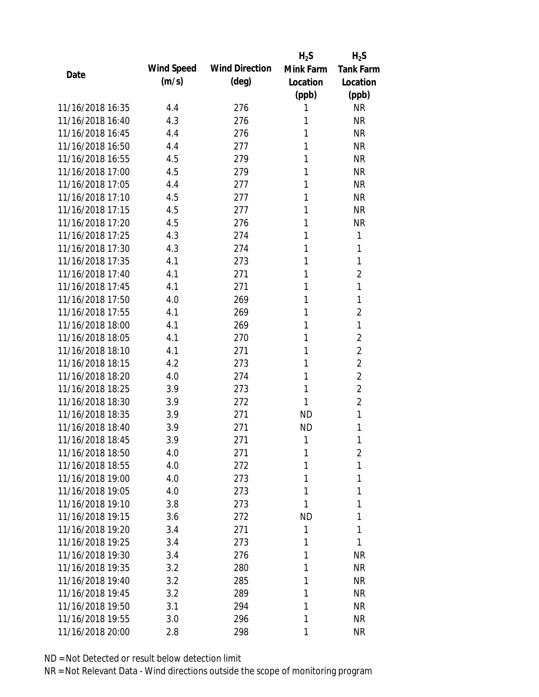|                  |            |                       | $H_2S$    | $H_2S$           |
|------------------|------------|-----------------------|-----------|------------------|
| Date             | Wind Speed | <b>Wind Direction</b> | Mink Farm | <b>Tank Farm</b> |
|                  | (m/s)      | $(\text{deg})$        | Location  | Location         |
|                  |            |                       | (ppb)     | (ppb)            |
| 11/16/2018 16:35 | 4.4        | 276                   | 1         | <b>NR</b>        |
| 11/16/2018 16:40 | 4.3        | 276                   | 1         | <b>NR</b>        |
| 11/16/2018 16:45 | 4.4        | 276                   | 1         | <b>NR</b>        |
| 11/16/2018 16:50 | 4.4        | 277                   | 1         | <b>NR</b>        |
| 11/16/2018 16:55 | 4.5        | 279                   | 1         | <b>NR</b>        |
| 11/16/2018 17:00 | 4.5        | 279                   | 1         | <b>NR</b>        |
| 11/16/2018 17:05 | 4.4        | 277                   | 1         | <b>NR</b>        |
| 11/16/2018 17:10 | 4.5        | 277                   | 1         | <b>NR</b>        |
| 11/16/2018 17:15 | 4.5        | 277                   | 1         | <b>NR</b>        |
| 11/16/2018 17:20 | 4.5        | 276                   | 1         | <b>NR</b>        |
| 11/16/2018 17:25 | 4.3        | 274                   | 1         | 1                |
| 11/16/2018 17:30 | 4.3        | 274                   | 1         | 1                |
| 11/16/2018 17:35 | 4.1        | 273                   | 1         | 1                |
| 11/16/2018 17:40 | 4.1        | 271                   | 1         | $\overline{2}$   |
| 11/16/2018 17:45 | 4.1        | 271                   | 1         | 1                |
| 11/16/2018 17:50 | 4.0        | 269                   | 1         | 1                |
| 11/16/2018 17:55 | 4.1        | 269                   | 1         | 2                |
| 11/16/2018 18:00 | 4.1        | 269                   | 1         | 1                |
| 11/16/2018 18:05 | 4.1        | 270                   | 1         | $\overline{2}$   |
| 11/16/2018 18:10 | 4.1        | 271                   | 1         | $\overline{2}$   |
| 11/16/2018 18:15 | 4.2        | 273                   | 1         | $\overline{2}$   |
| 11/16/2018 18:20 | 4.0        | 274                   | 1         | $\overline{2}$   |
| 11/16/2018 18:25 | 3.9        | 273                   | 1         | $\overline{2}$   |
| 11/16/2018 18:30 | 3.9        | 272                   | 1         | $\overline{2}$   |
| 11/16/2018 18:35 | 3.9        | 271                   | <b>ND</b> | 1                |
| 11/16/2018 18:40 | 3.9        | 271                   | <b>ND</b> | 1                |
| 11/16/2018 18:45 | 3.9        | 271                   | 1         | 1                |
| 11/16/2018 18:50 | 4.0        | 271                   | 1         | 2                |
| 11/16/2018 18:55 | 4.0        | 272                   | 1         | 1                |
| 11/16/2018 19:00 | 4.0        | 273                   | 1         | 1                |
| 11/16/2018 19:05 | 4.0        | 273                   | 1         | 1                |
| 11/16/2018 19:10 | 3.8        | 273                   | 1         | 1                |
| 11/16/2018 19:15 | 3.6        | 272                   | ND        | 1                |
| 11/16/2018 19:20 | 3.4        | 271                   | 1         | 1                |
| 11/16/2018 19:25 | 3.4        | 273                   | 1         | 1                |
| 11/16/2018 19:30 | 3.4        | 276                   | 1         | <b>NR</b>        |
| 11/16/2018 19:35 | 3.2        | 280                   | 1         | <b>NR</b>        |
| 11/16/2018 19:40 | 3.2        | 285                   | 1         | <b>NR</b>        |
| 11/16/2018 19:45 | 3.2        | 289                   | 1         | NR               |
| 11/16/2018 19:50 | 3.1        | 294                   | 1         | <b>NR</b>        |
| 11/16/2018 19:55 | 3.0        | 296                   | 1         | <b>NR</b>        |
| 11/16/2018 20:00 | 2.8        | 298                   | 1         | <b>NR</b>        |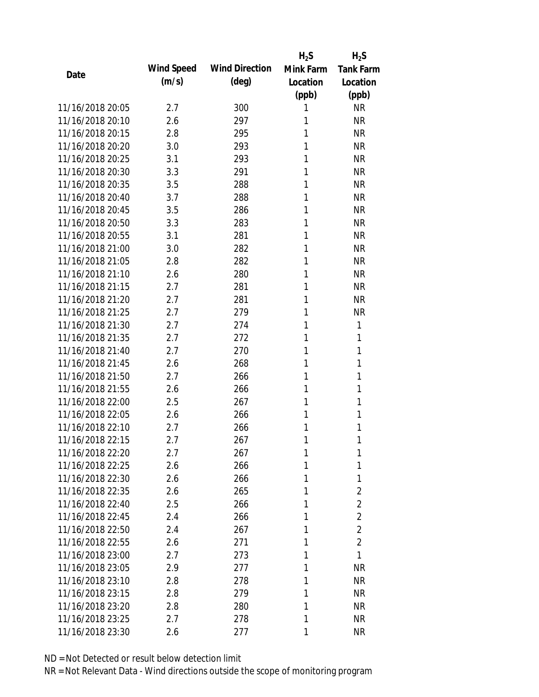|                  |            |                       | $H_2S$    | $H_2S$           |
|------------------|------------|-----------------------|-----------|------------------|
| Date             | Wind Speed | <b>Wind Direction</b> | Mink Farm | <b>Tank Farm</b> |
|                  | (m/s)      | $(\text{deg})$        | Location  | Location         |
|                  |            |                       | (ppb)     | (ppb)            |
| 11/16/2018 20:05 | 2.7        | 300                   | 1         | <b>NR</b>        |
| 11/16/2018 20:10 | 2.6        | 297                   | 1         | <b>NR</b>        |
| 11/16/2018 20:15 | 2.8        | 295                   | 1         | <b>NR</b>        |
| 11/16/2018 20:20 | 3.0        | 293                   | 1         | <b>NR</b>        |
| 11/16/2018 20:25 | 3.1        | 293                   | 1         | <b>NR</b>        |
| 11/16/2018 20:30 | 3.3        | 291                   | 1         | <b>NR</b>        |
| 11/16/2018 20:35 | 3.5        | 288                   | 1         | <b>NR</b>        |
| 11/16/2018 20:40 | 3.7        | 288                   | 1         | <b>NR</b>        |
| 11/16/2018 20:45 | 3.5        | 286                   | 1         | <b>NR</b>        |
| 11/16/2018 20:50 | 3.3        | 283                   | 1         | <b>NR</b>        |
| 11/16/2018 20:55 | 3.1        | 281                   | 1         | <b>NR</b>        |
| 11/16/2018 21:00 | 3.0        | 282                   | 1         | <b>NR</b>        |
| 11/16/2018 21:05 | 2.8        | 282                   | 1         | <b>NR</b>        |
| 11/16/2018 21:10 | 2.6        | 280                   | 1         | <b>NR</b>        |
| 11/16/2018 21:15 | 2.7        | 281                   | 1         | <b>NR</b>        |
| 11/16/2018 21:20 | 2.7        | 281                   | 1         | <b>NR</b>        |
| 11/16/2018 21:25 | 2.7        | 279                   | 1         | <b>NR</b>        |
| 11/16/2018 21:30 | 2.7        | 274                   | 1         | 1                |
| 11/16/2018 21:35 | 2.7        | 272                   | 1         | 1                |
| 11/16/2018 21:40 | 2.7        | 270                   | 1         | 1                |
| 11/16/2018 21:45 | 2.6        | 268                   | 1         | 1                |
| 11/16/2018 21:50 | 2.7        | 266                   | 1         | 1                |
| 11/16/2018 21:55 | 2.6        | 266                   | 1         | 1                |
| 11/16/2018 22:00 | 2.5        | 267                   | 1         | 1                |
| 11/16/2018 22:05 | 2.6        | 266                   | 1         | 1                |
| 11/16/2018 22:10 | 2.7        | 266                   | 1         | 1                |
| 11/16/2018 22:15 | 2.7        | 267                   | 1         | 1                |
| 11/16/2018 22:20 | 2.7        | 267                   | 1         | 1                |
| 11/16/2018 22:25 | 2.6        | 266                   | 1         | 1                |
| 11/16/2018 22:30 | 2.6        | 266                   | 1         | 1                |
| 11/16/2018 22:35 | 2.6        | 265                   | 1         | 2                |
| 11/16/2018 22:40 | 2.5        | 266                   | 1         | $\overline{2}$   |
| 11/16/2018 22:45 | 2.4        | 266                   | 1         | $\overline{2}$   |
| 11/16/2018 22:50 | 2.4        | 267                   | 1         | $\overline{2}$   |
| 11/16/2018 22:55 | 2.6        | 271                   | 1         | $\overline{2}$   |
| 11/16/2018 23:00 | 2.7        | 273                   | 1         | 1                |
| 11/16/2018 23:05 | 2.9        | 277                   | 1         | <b>NR</b>        |
| 11/16/2018 23:10 | 2.8        | 278                   | 1         | <b>NR</b>        |
| 11/16/2018 23:15 | 2.8        | 279                   | 1         | NR               |
| 11/16/2018 23:20 | 2.8        | 280                   | 1         | <b>NR</b>        |
| 11/16/2018 23:25 | 2.7        | 278                   | 1         | ΝR               |
| 11/16/2018 23:30 | 2.6        | 277                   | 1         | <b>NR</b>        |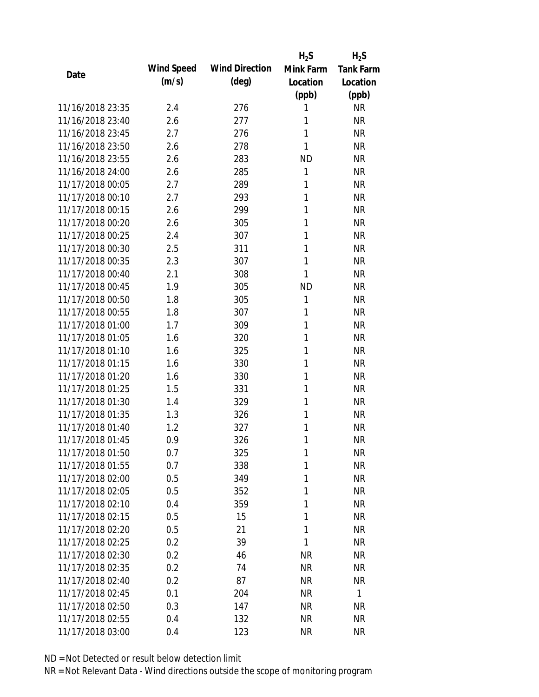|                  |            |                       | $H_2S$    | $H_2S$           |
|------------------|------------|-----------------------|-----------|------------------|
| Date             | Wind Speed | <b>Wind Direction</b> | Mink Farm | <b>Tank Farm</b> |
|                  | (m/s)      | $(\text{deg})$        | Location  | Location         |
|                  |            |                       | (ppb)     | (ppb)            |
| 11/16/2018 23:35 | 2.4        | 276                   | 1         | <b>NR</b>        |
| 11/16/2018 23:40 | 2.6        | 277                   | 1         | <b>NR</b>        |
| 11/16/2018 23:45 | 2.7        | 276                   | 1         | <b>NR</b>        |
| 11/16/2018 23:50 | 2.6        | 278                   | 1         | <b>NR</b>        |
| 11/16/2018 23:55 | 2.6        | 283                   | <b>ND</b> | <b>NR</b>        |
| 11/16/2018 24:00 | 2.6        | 285                   | 1         | <b>NR</b>        |
| 11/17/2018 00:05 | 2.7        | 289                   | 1         | <b>NR</b>        |
| 11/17/2018 00:10 | 2.7        | 293                   | 1         | <b>NR</b>        |
| 11/17/2018 00:15 | 2.6        | 299                   | 1         | <b>NR</b>        |
| 11/17/2018 00:20 | 2.6        | 305                   | 1         | <b>NR</b>        |
| 11/17/2018 00:25 | 2.4        | 307                   | 1         | <b>NR</b>        |
| 11/17/2018 00:30 | 2.5        | 311                   | 1         | <b>NR</b>        |
| 11/17/2018 00:35 | 2.3        | 307                   | 1         | <b>NR</b>        |
| 11/17/2018 00:40 | 2.1        | 308                   | 1         | <b>NR</b>        |
| 11/17/2018 00:45 | 1.9        | 305                   | <b>ND</b> | <b>NR</b>        |
| 11/17/2018 00:50 | 1.8        | 305                   | 1         | <b>NR</b>        |
| 11/17/2018 00:55 | 1.8        | 307                   | 1         | <b>NR</b>        |
| 11/17/2018 01:00 | 1.7        | 309                   | 1         | <b>NR</b>        |
| 11/17/2018 01:05 | 1.6        | 320                   | 1         | <b>NR</b>        |
| 11/17/2018 01:10 | 1.6        | 325                   | 1         | <b>NR</b>        |
| 11/17/2018 01:15 | 1.6        | 330                   | 1         | <b>NR</b>        |
| 11/17/2018 01:20 | 1.6        | 330                   | 1         | <b>NR</b>        |
| 11/17/2018 01:25 | 1.5        | 331                   | 1         | <b>NR</b>        |
| 11/17/2018 01:30 | 1.4        | 329                   | 1         | <b>NR</b>        |
| 11/17/2018 01:35 | 1.3        | 326                   | 1         | <b>NR</b>        |
| 11/17/2018 01:40 | 1.2        | 327                   | 1         | <b>NR</b>        |
| 11/17/2018 01:45 | 0.9        | 326                   | 1         | <b>NR</b>        |
| 11/17/2018 01:50 | 0.7        | 325                   | 1         | <b>NR</b>        |
| 11/17/2018 01:55 | 0.7        | 338                   | 1         | <b>NR</b>        |
| 11/17/2018 02:00 | 0.5        | 349                   | 1         | <b>NR</b>        |
| 11/17/2018 02:05 | 0.5        | 352                   | 1         | <b>NR</b>        |
| 11/17/2018 02:10 | 0.4        | 359                   | 1         | <b>NR</b>        |
| 11/17/2018 02:15 | 0.5        | 15                    | 1         | <b>NR</b>        |
| 11/17/2018 02:20 | 0.5        | 21                    | 1         | <b>NR</b>        |
| 11/17/2018 02:25 | 0.2        | 39                    | 1         | <b>NR</b>        |
| 11/17/2018 02:30 | 0.2        | 46                    | <b>NR</b> | <b>NR</b>        |
| 11/17/2018 02:35 | 0.2        | 74                    | <b>NR</b> | <b>NR</b>        |
| 11/17/2018 02:40 | 0.2        | 87                    | <b>NR</b> | <b>NR</b>        |
| 11/17/2018 02:45 | 0.1        | 204                   | <b>NR</b> | $\mathbf{1}$     |
| 11/17/2018 02:50 | 0.3        | 147                   | <b>NR</b> | <b>NR</b>        |
| 11/17/2018 02:55 | 0.4        | 132                   | <b>NR</b> | <b>NR</b>        |
| 11/17/2018 03:00 | 0.4        | 123                   | <b>NR</b> | <b>NR</b>        |
|                  |            |                       |           |                  |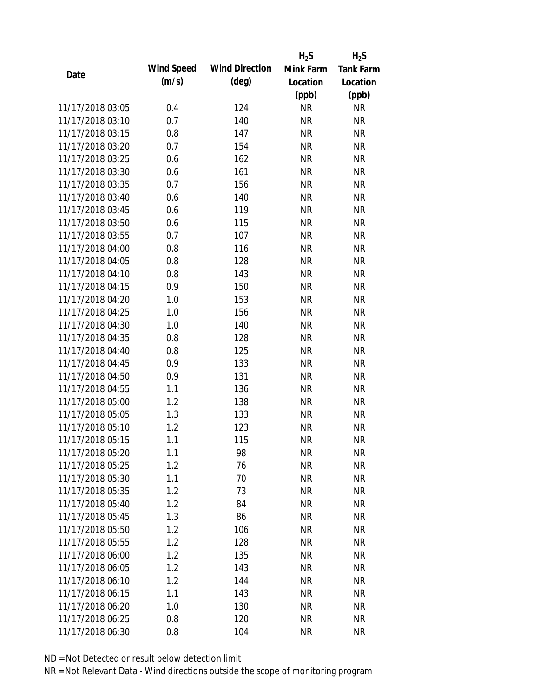|                  |            |                       | $H_2S$    | $H_2S$           |
|------------------|------------|-----------------------|-----------|------------------|
| Date             | Wind Speed | <b>Wind Direction</b> | Mink Farm | <b>Tank Farm</b> |
|                  | (m/s)      | $(\text{deg})$        | Location  | Location         |
|                  |            |                       | (ppb)     | (ppb)            |
| 11/17/2018 03:05 | 0.4        | 124                   | <b>NR</b> | <b>NR</b>        |
| 11/17/2018 03:10 | 0.7        | 140                   | <b>NR</b> | <b>NR</b>        |
| 11/17/2018 03:15 | 0.8        | 147                   | <b>NR</b> | <b>NR</b>        |
| 11/17/2018 03:20 | 0.7        | 154                   | <b>NR</b> | <b>NR</b>        |
| 11/17/2018 03:25 | 0.6        | 162                   | <b>NR</b> | <b>NR</b>        |
| 11/17/2018 03:30 | 0.6        | 161                   | <b>NR</b> | <b>NR</b>        |
| 11/17/2018 03:35 | 0.7        | 156                   | <b>NR</b> | <b>NR</b>        |
| 11/17/2018 03:40 | 0.6        | 140                   | <b>NR</b> | <b>NR</b>        |
| 11/17/2018 03:45 | 0.6        | 119                   | <b>NR</b> | <b>NR</b>        |
| 11/17/2018 03:50 | 0.6        | 115                   | <b>NR</b> | <b>NR</b>        |
| 11/17/2018 03:55 | 0.7        | 107                   | <b>NR</b> | <b>NR</b>        |
| 11/17/2018 04:00 | 0.8        | 116                   | <b>NR</b> | <b>NR</b>        |
| 11/17/2018 04:05 | 0.8        | 128                   | <b>NR</b> | <b>NR</b>        |
| 11/17/2018 04:10 | 0.8        | 143                   | <b>NR</b> | <b>NR</b>        |
| 11/17/2018 04:15 | 0.9        | 150                   | <b>NR</b> | <b>NR</b>        |
| 11/17/2018 04:20 | 1.0        | 153                   | <b>NR</b> | <b>NR</b>        |
| 11/17/2018 04:25 | 1.0        | 156                   | <b>NR</b> | <b>NR</b>        |
| 11/17/2018 04:30 | 1.0        | 140                   | <b>NR</b> | <b>NR</b>        |
| 11/17/2018 04:35 | 0.8        | 128                   | <b>NR</b> | <b>NR</b>        |
| 11/17/2018 04:40 | 0.8        | 125                   | <b>NR</b> | <b>NR</b>        |
| 11/17/2018 04:45 | 0.9        | 133                   | <b>NR</b> | <b>NR</b>        |
| 11/17/2018 04:50 | 0.9        | 131                   | <b>NR</b> | <b>NR</b>        |
| 11/17/2018 04:55 | 1.1        | 136                   | <b>NR</b> | <b>NR</b>        |
| 11/17/2018 05:00 | 1.2        | 138                   | <b>NR</b> | <b>NR</b>        |
| 11/17/2018 05:05 | 1.3        | 133                   | <b>NR</b> | <b>NR</b>        |
| 11/17/2018 05:10 | 1.2        | 123                   | <b>NR</b> | <b>NR</b>        |
| 11/17/2018 05:15 | 1.1        | 115                   | <b>NR</b> | <b>NR</b>        |
| 11/17/2018 05:20 | 1.1        | 98                    | <b>NR</b> | <b>NR</b>        |
| 11/17/2018 05:25 | 1.2        | 76                    | <b>NR</b> | <b>NR</b>        |
| 11/17/2018 05:30 | 1.1        | 70                    | <b>NR</b> | <b>NR</b>        |
| 11/17/2018 05:35 | 1.2        | 73                    | <b>NR</b> | <b>NR</b>        |
| 11/17/2018 05:40 | 1.2        | 84                    | <b>NR</b> | <b>NR</b>        |
| 11/17/2018 05:45 | 1.3        | 86                    | <b>NR</b> | <b>NR</b>        |
| 11/17/2018 05:50 | 1.2        | 106                   | <b>NR</b> | <b>NR</b>        |
| 11/17/2018 05:55 | 1.2        | 128                   | <b>NR</b> | <b>NR</b>        |
| 11/17/2018 06:00 | 1.2        | 135                   | <b>NR</b> | <b>NR</b>        |
| 11/17/2018 06:05 | 1.2        | 143                   | <b>NR</b> | <b>NR</b>        |
| 11/17/2018 06:10 | 1.2        | 144                   | NR        | <b>NR</b>        |
| 11/17/2018 06:15 | 1.1        | 143                   | <b>NR</b> | <b>NR</b>        |
| 11/17/2018 06:20 | 1.0        | 130                   | <b>NR</b> | <b>NR</b>        |
| 11/17/2018 06:25 | 0.8        | 120                   | <b>NR</b> | <b>NR</b>        |
| 11/17/2018 06:30 | 0.8        | 104                   | <b>NR</b> | <b>NR</b>        |
|                  |            |                       |           |                  |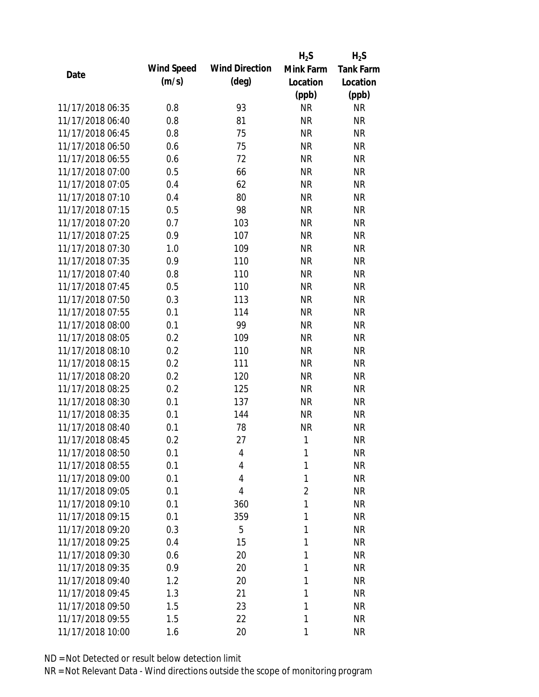|                  |            |                       | $H_2S$         | $H_2S$           |
|------------------|------------|-----------------------|----------------|------------------|
|                  | Wind Speed | <b>Wind Direction</b> | Mink Farm      | <b>Tank Farm</b> |
| Date             | (m/s)      | $(\text{deg})$        | Location       | Location         |
|                  |            |                       | (ppb)          | (ppb)            |
| 11/17/2018 06:35 | 0.8        | 93                    | <b>NR</b>      | <b>NR</b>        |
| 11/17/2018 06:40 | 0.8        | 81                    | <b>NR</b>      | <b>NR</b>        |
| 11/17/2018 06:45 | 0.8        | 75                    | <b>NR</b>      | <b>NR</b>        |
| 11/17/2018 06:50 | 0.6        | 75                    | <b>NR</b>      | <b>NR</b>        |
| 11/17/2018 06:55 | 0.6        | 72                    | <b>NR</b>      | <b>NR</b>        |
| 11/17/2018 07:00 | 0.5        | 66                    | <b>NR</b>      | <b>NR</b>        |
| 11/17/2018 07:05 | 0.4        | 62                    | <b>NR</b>      | <b>NR</b>        |
| 11/17/2018 07:10 | 0.4        | 80                    | <b>NR</b>      | <b>NR</b>        |
| 11/17/2018 07:15 | 0.5        | 98                    | <b>NR</b>      | <b>NR</b>        |
| 11/17/2018 07:20 | 0.7        | 103                   | <b>NR</b>      | <b>NR</b>        |
| 11/17/2018 07:25 | 0.9        | 107                   | <b>NR</b>      | <b>NR</b>        |
| 11/17/2018 07:30 | 1.0        | 109                   | <b>NR</b>      | <b>NR</b>        |
| 11/17/2018 07:35 | 0.9        | 110                   | <b>NR</b>      | <b>NR</b>        |
| 11/17/2018 07:40 | 0.8        | 110                   | <b>NR</b>      | <b>NR</b>        |
| 11/17/2018 07:45 | 0.5        | 110                   | <b>NR</b>      | <b>NR</b>        |
| 11/17/2018 07:50 | 0.3        | 113                   | <b>NR</b>      | <b>NR</b>        |
| 11/17/2018 07:55 | 0.1        | 114                   | <b>NR</b>      | <b>NR</b>        |
| 11/17/2018 08:00 | 0.1        | 99                    | <b>NR</b>      | <b>NR</b>        |
| 11/17/2018 08:05 | 0.2        | 109                   | <b>NR</b>      | <b>NR</b>        |
| 11/17/2018 08:10 | 0.2        | 110                   | <b>NR</b>      | <b>NR</b>        |
| 11/17/2018 08:15 | 0.2        | 111                   | <b>NR</b>      | <b>NR</b>        |
| 11/17/2018 08:20 | 0.2        | 120                   | <b>NR</b>      | <b>NR</b>        |
| 11/17/2018 08:25 | 0.2        | 125                   | <b>NR</b>      | <b>NR</b>        |
| 11/17/2018 08:30 | 0.1        | 137                   | <b>NR</b>      | <b>NR</b>        |
| 11/17/2018 08:35 | 0.1        | 144                   | <b>NR</b>      | <b>NR</b>        |
| 11/17/2018 08:40 | 0.1        | 78                    | <b>NR</b>      | <b>NR</b>        |
| 11/17/2018 08:45 | 0.2        | 27                    | 1              | <b>NR</b>        |
| 11/17/2018 08:50 | 0.1        | 4                     | 1              | <b>NR</b>        |
| 11/17/2018 08:55 | 0.1        | 4                     | 1              | <b>NR</b>        |
| 11/17/2018 09:00 | 0.1        | 4                     | 1              | <b>NR</b>        |
| 11/17/2018 09:05 | 0.1        | 4                     | $\overline{2}$ | <b>NR</b>        |
| 11/17/2018 09:10 | 0.1        | 360                   | 1              | <b>NR</b>        |
| 11/17/2018 09:15 | 0.1        | 359                   | 1              | <b>NR</b>        |
| 11/17/2018 09:20 | 0.3        | 5                     | 1              | <b>NR</b>        |
| 11/17/2018 09:25 | 0.4        | 15                    | 1              | <b>NR</b>        |
| 11/17/2018 09:30 | 0.6        | 20                    | 1              | <b>NR</b>        |
| 11/17/2018 09:35 | 0.9        | 20                    | 1              | <b>NR</b>        |
| 11/17/2018 09:40 | 1.2        | 20                    | 1              | <b>NR</b>        |
| 11/17/2018 09:45 | 1.3        | 21                    | 1              | <b>NR</b>        |
| 11/17/2018 09:50 | 1.5        | 23                    | 1              | <b>NR</b>        |
| 11/17/2018 09:55 | 1.5        | 22                    | 1              | <b>NR</b>        |
| 11/17/2018 10:00 | 1.6        | 20                    | 1              | <b>NR</b>        |
|                  |            |                       |                |                  |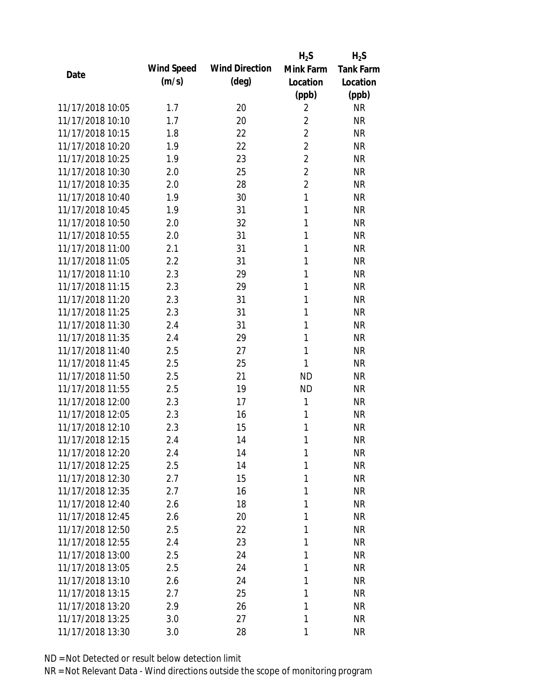|                  |            |                       | $H_2S$         | $H_2S$           |
|------------------|------------|-----------------------|----------------|------------------|
| Date             | Wind Speed | <b>Wind Direction</b> | Mink Farm      | <b>Tank Farm</b> |
|                  | (m/s)      | $(\text{deg})$        | Location       | Location         |
|                  |            |                       | (ppb)          | (ppb)            |
| 11/17/2018 10:05 | 1.7        | 20                    | $\overline{2}$ | <b>NR</b>        |
| 11/17/2018 10:10 | 1.7        | 20                    | $\overline{2}$ | <b>NR</b>        |
| 11/17/2018 10:15 | 1.8        | 22                    | $\overline{2}$ | <b>NR</b>        |
| 11/17/2018 10:20 | 1.9        | 22                    | $\overline{2}$ | <b>NR</b>        |
| 11/17/2018 10:25 | 1.9        | 23                    | $\overline{2}$ | <b>NR</b>        |
| 11/17/2018 10:30 | 2.0        | 25                    | $\overline{2}$ | <b>NR</b>        |
| 11/17/2018 10:35 | 2.0        | 28                    | $\overline{2}$ | <b>NR</b>        |
| 11/17/2018 10:40 | 1.9        | 30                    | $\mathbf{1}$   | <b>NR</b>        |
| 11/17/2018 10:45 | 1.9        | 31                    | 1              | <b>NR</b>        |
| 11/17/2018 10:50 | 2.0        | 32                    | 1              | <b>NR</b>        |
| 11/17/2018 10:55 | 2.0        | 31                    | 1              | <b>NR</b>        |
| 11/17/2018 11:00 | 2.1        | 31                    | 1              | <b>NR</b>        |
| 11/17/2018 11:05 | 2.2        | 31                    | 1              | <b>NR</b>        |
| 11/17/2018 11:10 | 2.3        | 29                    | 1              | <b>NR</b>        |
| 11/17/2018 11:15 | 2.3        | 29                    | 1              | <b>NR</b>        |
| 11/17/2018 11:20 | 2.3        | 31                    | 1              | <b>NR</b>        |
| 11/17/2018 11:25 | 2.3        | 31                    | 1              | <b>NR</b>        |
| 11/17/2018 11:30 | 2.4        | 31                    | 1              | <b>NR</b>        |
| 11/17/2018 11:35 | 2.4        | 29                    | 1              | <b>NR</b>        |
| 11/17/2018 11:40 | 2.5        | 27                    | 1              | <b>NR</b>        |
| 11/17/2018 11:45 | 2.5        | 25                    | 1              | <b>NR</b>        |
| 11/17/2018 11:50 | 2.5        | 21                    | <b>ND</b>      | <b>NR</b>        |
| 11/17/2018 11:55 | 2.5        | 19                    | <b>ND</b>      | <b>NR</b>        |
| 11/17/2018 12:00 | 2.3        | 17                    | 1              | <b>NR</b>        |
| 11/17/2018 12:05 | 2.3        | 16                    | 1              | <b>NR</b>        |
| 11/17/2018 12:10 | 2.3        | 15                    | 1              | <b>NR</b>        |
| 11/17/2018 12:15 | 2.4        | 14                    | 1              | <b>NR</b>        |
| 11/17/2018 12:20 | 2.4        | 14                    | 1              | <b>NR</b>        |
| 11/17/2018 12:25 | 2.5        | 14                    | 1              | <b>NR</b>        |
| 11/17/2018 12:30 | 2.7        | 15                    | 1              | <b>NR</b>        |
| 11/17/2018 12:35 | 2.7        | 16                    | 1              | <b>NR</b>        |
| 11/17/2018 12:40 | 2.6        | 18                    | 1              | <b>NR</b>        |
| 11/17/2018 12:45 | 2.6        | 20                    | 1              | <b>NR</b>        |
| 11/17/2018 12:50 | 2.5        | 22                    | 1              | <b>NR</b>        |
| 11/17/2018 12:55 | 2.4        | 23                    | 1              | <b>NR</b>        |
| 11/17/2018 13:00 | 2.5        | 24                    | 1              | <b>NR</b>        |
| 11/17/2018 13:05 | 2.5        | 24                    | 1              | <b>NR</b>        |
| 11/17/2018 13:10 | 2.6        | 24                    | 1              | <b>NR</b>        |
| 11/17/2018 13:15 | 2.7        | 25                    | 1              | <b>NR</b>        |
| 11/17/2018 13:20 | 2.9        | 26                    | 1              | <b>NR</b>        |
| 11/17/2018 13:25 | 3.0        | 27                    | 1              | <b>NR</b>        |
| 11/17/2018 13:30 | 3.0        | 28                    | 1              | <b>NR</b>        |
|                  |            |                       |                |                  |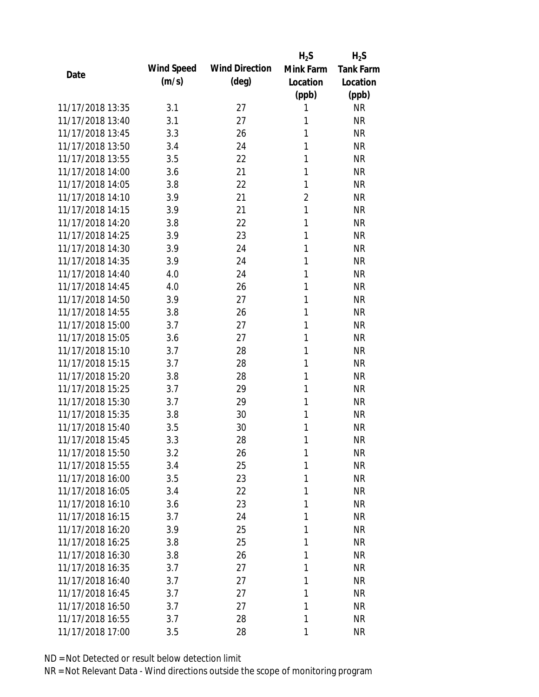|                  |            |                       | $H_2S$         | $H_2S$           |
|------------------|------------|-----------------------|----------------|------------------|
| Date             | Wind Speed | <b>Wind Direction</b> | Mink Farm      | <b>Tank Farm</b> |
|                  | (m/s)      | $(\text{deg})$        | Location       | Location         |
|                  |            |                       | (ppb)          | (ppb)            |
| 11/17/2018 13:35 | 3.1        | 27                    | 1              | <b>NR</b>        |
| 11/17/2018 13:40 | 3.1        | 27                    | 1              | <b>NR</b>        |
| 11/17/2018 13:45 | 3.3        | 26                    | 1              | <b>NR</b>        |
| 11/17/2018 13:50 | 3.4        | 24                    | 1              | <b>NR</b>        |
| 11/17/2018 13:55 | 3.5        | 22                    | 1              | <b>NR</b>        |
| 11/17/2018 14:00 | 3.6        | 21                    | 1              | <b>NR</b>        |
| 11/17/2018 14:05 | 3.8        | 22                    | 1              | <b>NR</b>        |
| 11/17/2018 14:10 | 3.9        | 21                    | $\overline{2}$ | <b>NR</b>        |
| 11/17/2018 14:15 | 3.9        | 21                    | $\mathbf{1}$   | <b>NR</b>        |
| 11/17/2018 14:20 | 3.8        | 22                    | 1              | <b>NR</b>        |
| 11/17/2018 14:25 | 3.9        | 23                    | 1              | <b>NR</b>        |
| 11/17/2018 14:30 | 3.9        | 24                    | 1              | <b>NR</b>        |
| 11/17/2018 14:35 | 3.9        | 24                    | 1              | <b>NR</b>        |
| 11/17/2018 14:40 | 4.0        | 24                    | 1              | <b>NR</b>        |
| 11/17/2018 14:45 | 4.0        | 26                    | 1              | <b>NR</b>        |
| 11/17/2018 14:50 | 3.9        | 27                    | 1              | <b>NR</b>        |
| 11/17/2018 14:55 | 3.8        | 26                    | 1              | <b>NR</b>        |
| 11/17/2018 15:00 | 3.7        | 27                    | 1              | <b>NR</b>        |
| 11/17/2018 15:05 | 3.6        | 27                    | 1              | <b>NR</b>        |
| 11/17/2018 15:10 | 3.7        | 28                    | 1              | <b>NR</b>        |
| 11/17/2018 15:15 | 3.7        | 28                    | 1              | <b>NR</b>        |
| 11/17/2018 15:20 | 3.8        | 28                    | 1              | <b>NR</b>        |
| 11/17/2018 15:25 | 3.7        | 29                    | 1              | <b>NR</b>        |
| 11/17/2018 15:30 | 3.7        | 29                    | 1              | <b>NR</b>        |
| 11/17/2018 15:35 | 3.8        | 30                    | 1              | <b>NR</b>        |
| 11/17/2018 15:40 | 3.5        | 30                    | 1              | <b>NR</b>        |
| 11/17/2018 15:45 | 3.3        | 28                    | 1              | <b>NR</b>        |
| 11/17/2018 15:50 | 3.2        | 26                    | 1              | <b>NR</b>        |
| 11/17/2018 15:55 | 3.4        | 25                    | 1              | <b>NR</b>        |
| 11/17/2018 16:00 | 3.5        | 23                    | 1              | <b>NR</b>        |
| 11/17/2018 16:05 | 3.4        | 22                    | 1              | <b>NR</b>        |
| 11/17/2018 16:10 | 3.6        | 23                    | 1              | <b>NR</b>        |
| 11/17/2018 16:15 | 3.7        | 24                    | 1              | <b>NR</b>        |
| 11/17/2018 16:20 | 3.9        | 25                    | 1              | <b>NR</b>        |
| 11/17/2018 16:25 | 3.8        | 25                    | 1              | <b>NR</b>        |
| 11/17/2018 16:30 | 3.8        | 26                    | 1              | <b>NR</b>        |
| 11/17/2018 16:35 | 3.7        | 27                    | 1              | <b>NR</b>        |
| 11/17/2018 16:40 | 3.7        | 27                    | 1              | <b>NR</b>        |
| 11/17/2018 16:45 |            | 27                    | 1              | <b>NR</b>        |
| 11/17/2018 16:50 | 3.7        | 27                    | 1              | <b>NR</b>        |
|                  | 3.7        |                       |                |                  |
| 11/17/2018 16:55 | 3.7        | 28                    | 1              | <b>NR</b>        |
| 11/17/2018 17:00 | 3.5        | 28                    | 1              | <b>NR</b>        |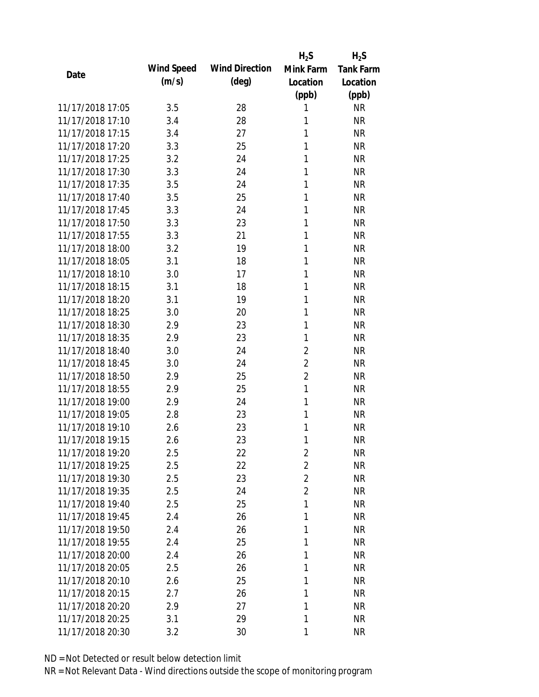|                  |            |                       | $H_2S$         | $H_2S$           |
|------------------|------------|-----------------------|----------------|------------------|
| Date             | Wind Speed | <b>Wind Direction</b> | Mink Farm      | <b>Tank Farm</b> |
|                  | (m/s)      | $(\text{deg})$        | Location       | Location         |
|                  |            |                       | (ppb)          | (ppb)            |
| 11/17/2018 17:05 | 3.5        | 28                    | 1              | <b>NR</b>        |
| 11/17/2018 17:10 | 3.4        | 28                    | 1              | <b>NR</b>        |
| 11/17/2018 17:15 | 3.4        | 27                    | 1              | <b>NR</b>        |
| 11/17/2018 17:20 | 3.3        | 25                    | 1              | <b>NR</b>        |
| 11/17/2018 17:25 | 3.2        | 24                    | 1              | <b>NR</b>        |
| 11/17/2018 17:30 | 3.3        | 24                    | 1              | <b>NR</b>        |
| 11/17/2018 17:35 | 3.5        | 24                    | 1              | <b>NR</b>        |
| 11/17/2018 17:40 | 3.5        | 25                    | 1              | <b>NR</b>        |
| 11/17/2018 17:45 | 3.3        | 24                    | 1              | <b>NR</b>        |
| 11/17/2018 17:50 | 3.3        | 23                    | 1              | <b>NR</b>        |
| 11/17/2018 17:55 | 3.3        | 21                    | 1              | <b>NR</b>        |
| 11/17/2018 18:00 | 3.2        | 19                    | 1              | <b>NR</b>        |
| 11/17/2018 18:05 | 3.1        | 18                    | 1              | <b>NR</b>        |
| 11/17/2018 18:10 | 3.0        | 17                    | 1              | <b>NR</b>        |
| 11/17/2018 18:15 | 3.1        | 18                    | 1              | <b>NR</b>        |
| 11/17/2018 18:20 | 3.1        | 19                    | 1              | <b>NR</b>        |
| 11/17/2018 18:25 | 3.0        | 20                    | 1              | <b>NR</b>        |
| 11/17/2018 18:30 | 2.9        | 23                    | 1              | <b>NR</b>        |
| 11/17/2018 18:35 | 2.9        | 23                    | 1              | <b>NR</b>        |
| 11/17/2018 18:40 | 3.0        | 24                    | $\overline{2}$ | <b>NR</b>        |
| 11/17/2018 18:45 | 3.0        | 24                    | $\overline{2}$ | <b>NR</b>        |
| 11/17/2018 18:50 | 2.9        | 25                    | $\overline{2}$ | <b>NR</b>        |
| 11/17/2018 18:55 | 2.9        | 25                    | 1              | <b>NR</b>        |
| 11/17/2018 19:00 | 2.9        | 24                    | 1              | <b>NR</b>        |
| 11/17/2018 19:05 | 2.8        | 23                    | 1              | <b>NR</b>        |
| 11/17/2018 19:10 | 2.6        | 23                    | 1              | <b>NR</b>        |
| 11/17/2018 19:15 | 2.6        | 23                    | 1              | <b>NR</b>        |
| 11/17/2018 19:20 | 2.5        | 22                    | $\overline{2}$ | <b>NR</b>        |
| 11/17/2018 19:25 | 2.5        | 22                    | $\overline{2}$ | <b>NR</b>        |
| 11/17/2018 19:30 | 2.5        | 23                    | $\overline{2}$ | <b>NR</b>        |
| 11/17/2018 19:35 | 2.5        | 24                    | $\overline{2}$ | <b>NR</b>        |
| 11/17/2018 19:40 | 2.5        | 25                    | 1              | <b>NR</b>        |
| 11/17/2018 19:45 | 2.4        | 26                    | 1              | <b>NR</b>        |
| 11/17/2018 19:50 | 2.4        | 26                    | 1              | <b>NR</b>        |
| 11/17/2018 19:55 | 2.4        | 25                    | 1              | <b>NR</b>        |
| 11/17/2018 20:00 | 2.4        | 26                    | 1              | <b>NR</b>        |
| 11/17/2018 20:05 | 2.5        | 26                    | 1              | <b>NR</b>        |
| 11/17/2018 20:10 | 2.6        | 25                    | 1              | <b>NR</b>        |
| 11/17/2018 20:15 | 2.7        | 26                    | 1              | <b>NR</b>        |
| 11/17/2018 20:20 | 2.9        | 27                    | 1              | <b>NR</b>        |
| 11/17/2018 20:25 | 3.1        | 29                    | 1              | <b>NR</b>        |
|                  |            |                       |                |                  |
| 11/17/2018 20:30 | 3.2        | 30                    | 1              | <b>NR</b>        |